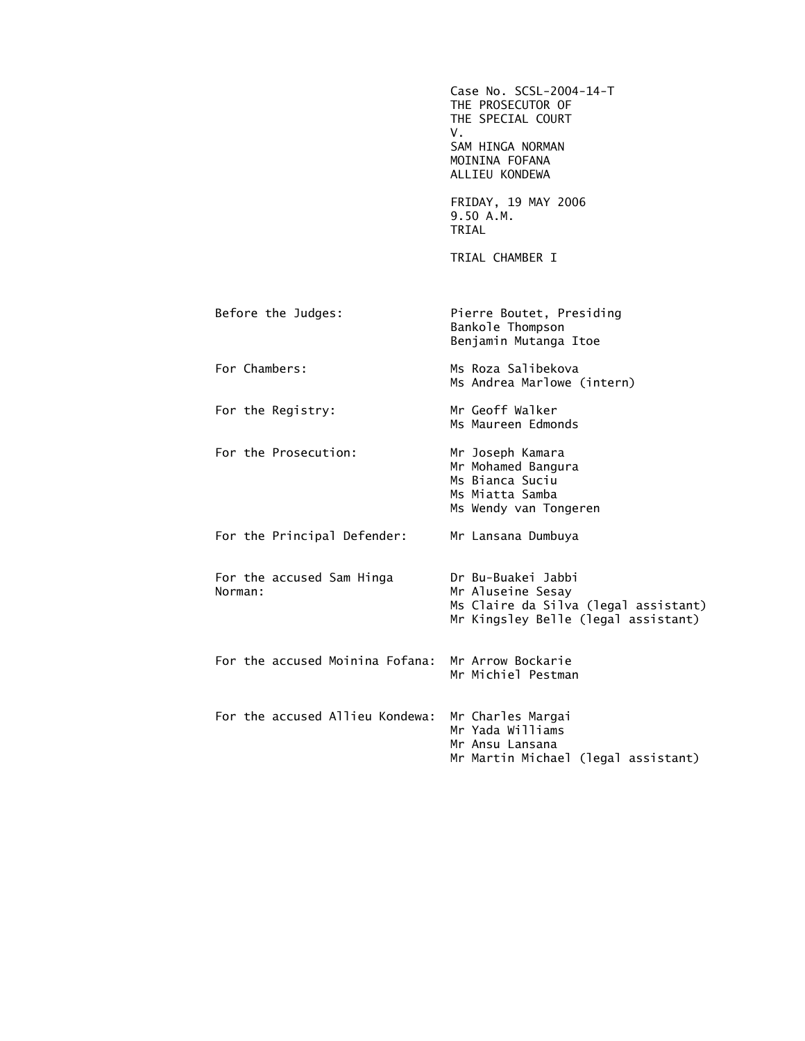|                                                   | Case No. SCSL-2004-14-T<br>THE PROSECUTOR OF<br>THE SPECIAL COURT<br>V.<br>SAM HINGA NORMAN<br>MOININA FOFANA<br>ALLIEU KONDEWA |
|---------------------------------------------------|---------------------------------------------------------------------------------------------------------------------------------|
|                                                   | FRIDAY, 19 MAY 2006<br>9.50 A.M.<br>TRIAL                                                                                       |
|                                                   | TRIAL CHAMBER I                                                                                                                 |
| Before the Judges:                                | Pierre Boutet, Presiding<br>Bankole Thompson<br>Benjamin Mutanga Itoe                                                           |
| For Chambers:                                     | Ms Roza Salibekova<br>Ms Andrea Marlowe (intern)                                                                                |
| For the Registry:                                 | Mr Geoff Walker<br>Ms Maureen Edmonds                                                                                           |
| For the Prosecution:                              | Mr Joseph Kamara<br>Mr Mohamed Bangura<br>Ms Bianca Suciu<br>Ms Miatta Samba<br>Ms Wendy van Tongeren                           |
| For the Principal Defender:                       | Mr Lansana Dumbuya                                                                                                              |
| For the accused Sam Hinga<br>Norman:              | Dr Bu-Buakei Jabbi<br>Mr Aluseine Sesay<br>Ms Claire da Silva (legal assistant)<br>Mr Kingsley Belle (legal assistant)          |
| For the accused Moinina Fofana: Mr Arrow Bockarie | Mr Michiel Pestman                                                                                                              |
| For the accused Allieu Kondewa:                   | Mr Charles Margai<br>Mr Yada Williams<br>Mr Ansu Lansana<br>Mr Martin Michael (legal assistant)                                 |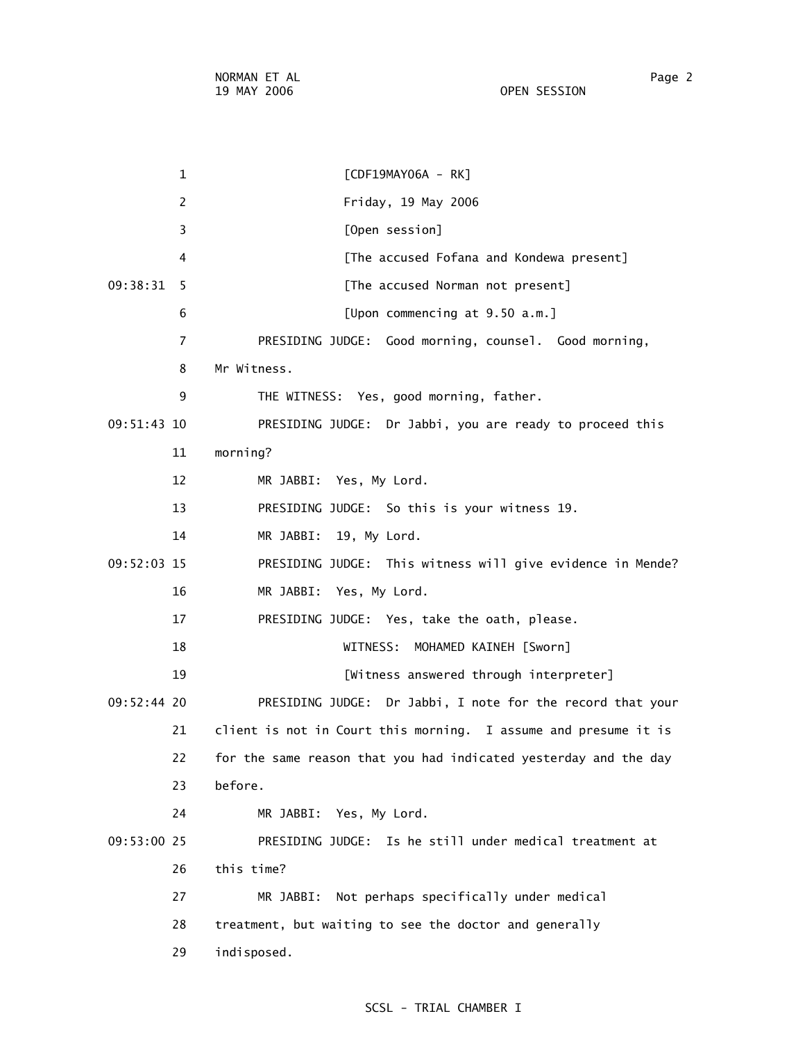1 [CDF19MAY06A - RK] 2 Friday, 19 May 2006 3 [Open session] 4 [The accused Fofana and Kondewa present] 09:38:31 5 [The accused Norman not present] 6 [Upon commencing at 9.50 a.m.] 7 PRESIDING JUDGE: Good morning, counsel. Good morning, 8 Mr Witness. 9 THE WITNESS: Yes, good morning, father. 09:51:43 10 PRESIDING JUDGE: Dr Jabbi, you are ready to proceed this 11 morning? 12 MR JABBI: Yes, My Lord. 13 PRESIDING JUDGE: So this is your witness 19. 14 MR JABBI: 19, My Lord. 09:52:03 15 PRESIDING JUDGE: This witness will give evidence in Mende? 16 MR JABBI: Yes, My Lord. 17 PRESIDING JUDGE: Yes, take the oath, please. 18 WITNESS: MOHAMED KAINEH [Sworn] 19 [Witness answered through interpreter] 09:52:44 20 PRESIDING JUDGE: Dr Jabbi, I note for the record that your 21 client is not in Court this morning. I assume and presume it is 22 for the same reason that you had indicated yesterday and the day 23 before. 24 MR JABBI: Yes, My Lord. 09:53:00 25 PRESIDING JUDGE: Is he still under medical treatment at 26 this time? 27 MR JABBI: Not perhaps specifically under medical 28 treatment, but waiting to see the doctor and generally 29 indisposed.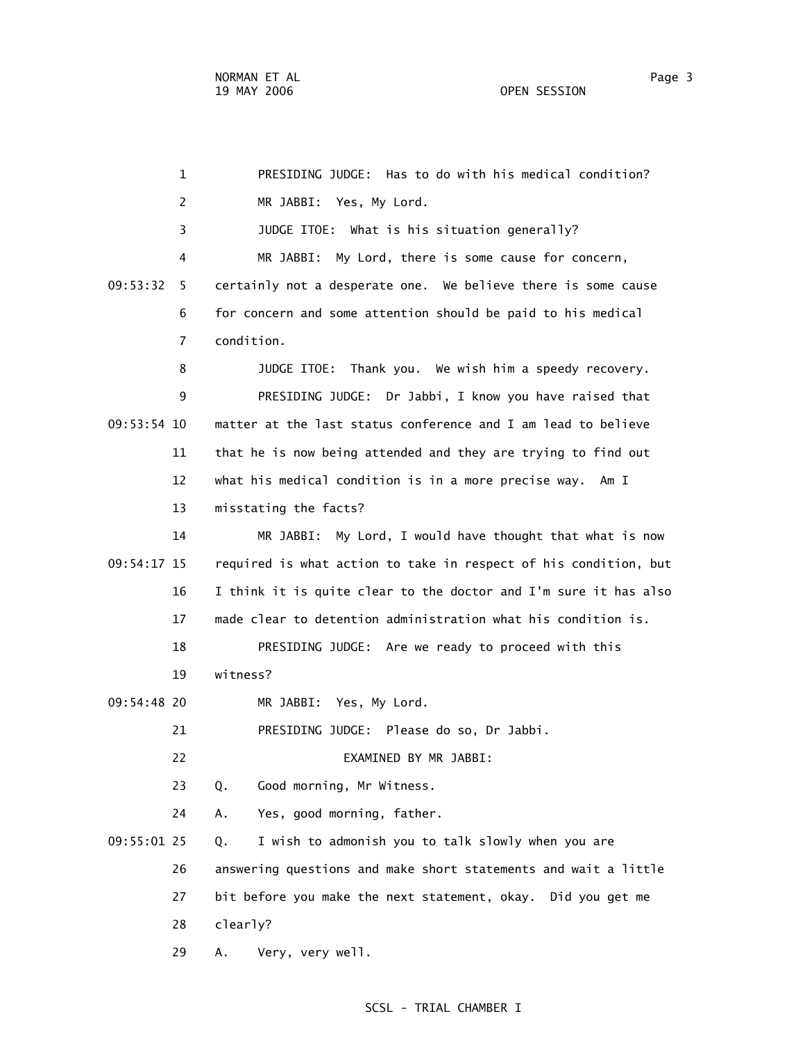|             | $\mathbf{1}$   | PRESIDING JUDGE: Has to do with his medical condition?           |
|-------------|----------------|------------------------------------------------------------------|
|             | 2              | MR JABBI: Yes, My Lord.                                          |
|             | 3              | JUDGE ITOE: What is his situation generally?                     |
|             | 4              | MR JABBI:<br>My Lord, there is some cause for concern,           |
| 09:53:32    | 5.             | certainly not a desperate one. We believe there is some cause    |
|             | 6              | for concern and some attention should be paid to his medical     |
|             | $\overline{7}$ | condition.                                                       |
|             | 8              | JUDGE ITOE: Thank you. We wish him a speedy recovery.            |
|             | 9              | PRESIDING JUDGE: Dr Jabbi, I know you have raised that           |
| 09:53:54 10 |                | matter at the last status conference and I am lead to believe    |
|             | 11             | that he is now being attended and they are trying to find out    |
|             | 12             | what his medical condition is in a more precise way. Am I        |
|             | 13             | misstating the facts?                                            |
|             | 14             | My Lord, I would have thought that what is now<br>MR JABBI:      |
| 09:54:17 15 |                | required is what action to take in respect of his condition, but |
|             | 16             | I think it is quite clear to the doctor and I'm sure it has also |
|             | 17             | made clear to detention administration what his condition is.    |
|             | 18             | PRESIDING JUDGE: Are we ready to proceed with this               |
|             | 19             | witness?                                                         |
| 09:54:48 20 |                | MR JABBI: Yes, My Lord.                                          |
|             | 21             | PRESIDING JUDGE: Please do so, Dr Jabbi.                         |
|             | 22             | EXAMINED BY MR JABBI:                                            |
|             | 23             | Good morning, Mr Witness.<br>Q.                                  |
|             | 24             | Yes, good morning, father.<br>Α.                                 |
| 09:55:01 25 |                | I wish to admonish you to talk slowly when you are<br>Q.         |
|             | 26             | answering questions and make short statements and wait a little  |
|             | 27             | bit before you make the next statement, okay. Did you get me     |
|             | 28             | clearly?                                                         |
|             | 29             | Very, very well.<br>Α.                                           |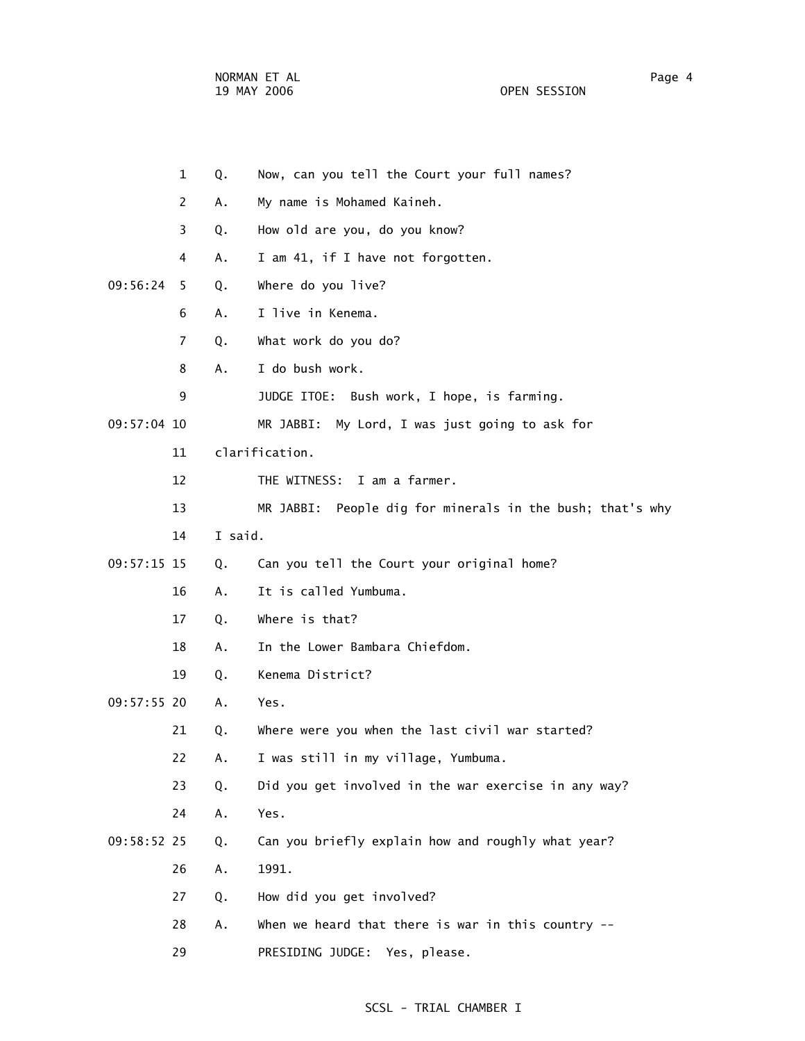NORMAN ET AL Page 4

OPEN SESSION

|               | $\mathbf{1}$   | Q.      | Now, can you tell the Court your full names?              |
|---------------|----------------|---------|-----------------------------------------------------------|
|               | $\overline{2}$ | А.      | My name is Mohamed Kaineh.                                |
|               | 3              | Q.      | How old are you, do you know?                             |
|               | 4              | Α.      | I am 41, if I have not forgotten.                         |
| 09:56:24      | 5.             | Q.      | Where do you live?                                        |
|               | 6              | Α.      | I live in Kenema.                                         |
|               | $\overline{7}$ | Q.      | What work do you do?                                      |
|               | 8              | А.      | I do bush work.                                           |
|               | 9              |         | JUDGE ITOE: Bush work, I hope, is farming.                |
| 09:57:04 10   |                |         | MR JABBI:<br>My Lord, I was just going to ask for         |
|               | 11             |         | clarification.                                            |
|               | 12             |         | THE WITNESS: I am a farmer.                               |
|               | 13             |         | MR JABBI: People dig for minerals in the bush; that's why |
|               | 14             | I said. |                                                           |
| 09:57:15 15   |                | Q.      | Can you tell the Court your original home?                |
|               | 16             | Α.      | It is called Yumbuma.                                     |
|               | 17             | Q.      | Where is that?                                            |
|               | 18             | Α.      | In the Lower Bambara Chiefdom.                            |
|               | 19             | Q.      | Kenema District?                                          |
| $09:57:55$ 20 |                | Α.      | Yes.                                                      |
|               | 21             | Q.      | Where were you when the last civil war started?           |
|               | 22             | Α.      | I was still in my village, Yumbuma.                       |
|               | 23             | Q.      | Did you get involved in the war exercise in any way?      |
|               | 24             | Α.      | Yes.                                                      |
| 09:58:52 25   |                | Q.      | Can you briefly explain how and roughly what year?        |
|               | 26             | Α.      | 1991.                                                     |
|               | 27             | Q.      | How did you get involved?                                 |
|               | 28             | Α.      | When we heard that there is war in this country $--$      |
|               | 29             |         | PRESIDING JUDGE:<br>Yes, please.                          |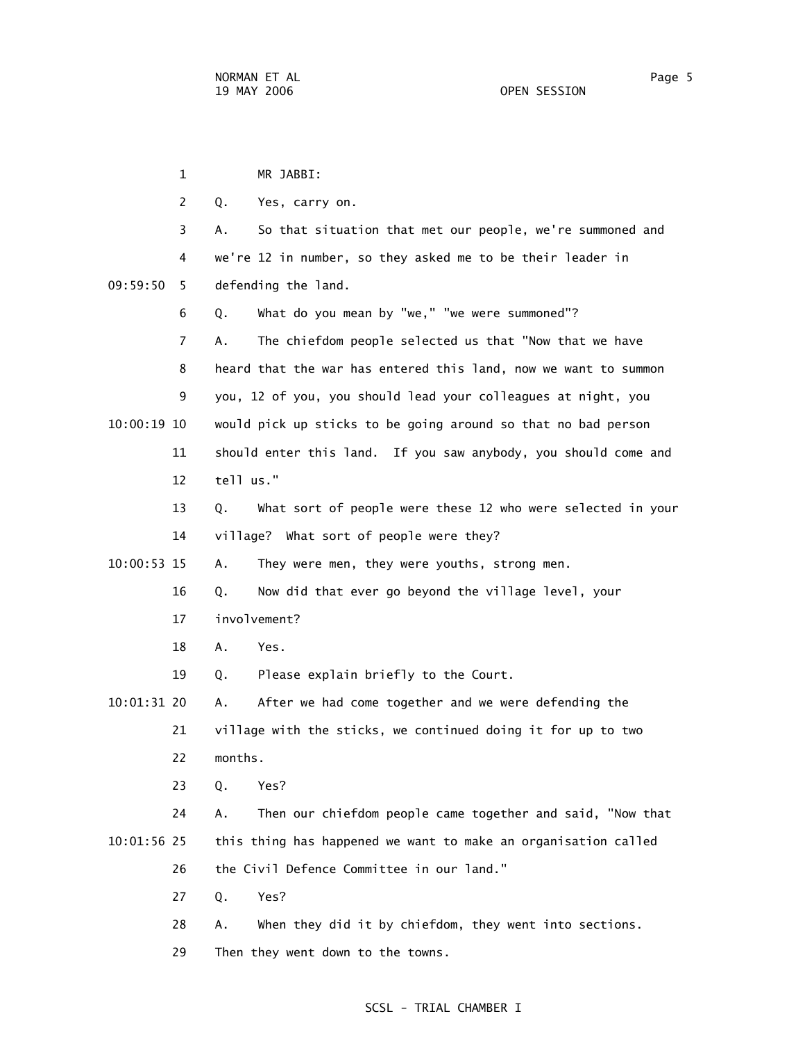1 MR JABBI: 2 Q. Yes, carry on. 3 A. So that situation that met our people, we're summoned and 4 we're 12 in number, so they asked me to be their leader in 09:59:50 5 defending the land. 6 Q. What do you mean by "we," "we were summoned"? 7 A. The chiefdom people selected us that "Now that we have 8 heard that the war has entered this land, now we want to summon 9 you, 12 of you, you should lead your colleagues at night, you 10:00:19 10 would pick up sticks to be going around so that no bad person 11 should enter this land. If you saw anybody, you should come and 12 tell us." 13 Q. What sort of people were these 12 who were selected in your 14 village? What sort of people were they? 10:00:53 15 A. They were men, they were youths, strong men. 16 Q. Now did that ever go beyond the village level, your 17 involvement? 18 A. Yes. 19 Q. Please explain briefly to the Court. 10:01:31 20 A. After we had come together and we were defending the 21 village with the sticks, we continued doing it for up to two 22 months. 23 Q. Yes? 24 A. Then our chiefdom people came together and said, "Now that 10:01:56 25 this thing has happened we want to make an organisation called 26 the Civil Defence Committee in our land." 27 Q. Yes? 28 A. When they did it by chiefdom, they went into sections. 29 Then they went down to the towns.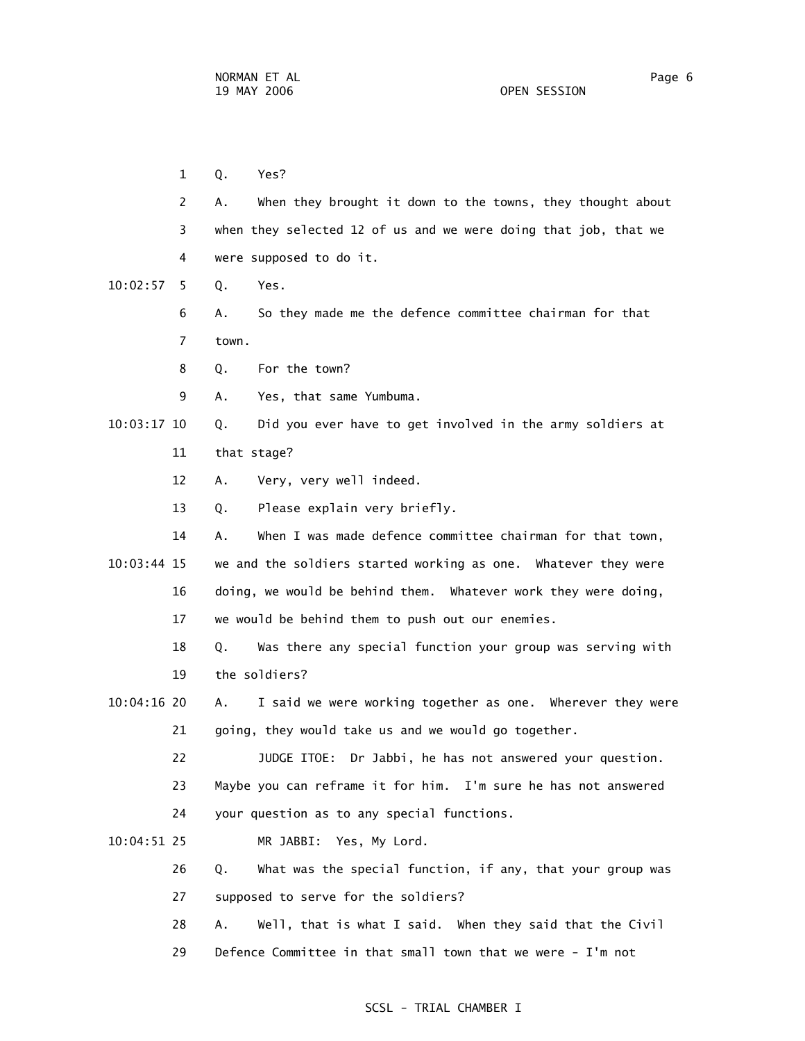1 Q. Yes? 2 A. When they brought it down to the towns, they thought about 3 when they selected 12 of us and we were doing that job, that we 4 were supposed to do it. 10:02:57 5 Q. Yes. 6 A. So they made me the defence committee chairman for that 7 town. 8 Q. For the town? 9 A. Yes, that same Yumbuma. 10:03:17 10 Q. Did you ever have to get involved in the army soldiers at 11 that stage? 12 A. Very, very well indeed. 13 Q. Please explain very briefly. 14 A. When I was made defence committee chairman for that town, 10:03:44 15 we and the soldiers started working as one. Whatever they were 16 doing, we would be behind them. Whatever work they were doing, 17 we would be behind them to push out our enemies. 18 Q. Was there any special function your group was serving with 19 the soldiers? 10:04:16 20 A. I said we were working together as one. Wherever they were 21 going, they would take us and we would go together. 22 JUDGE ITOE: Dr Jabbi, he has not answered your question. 23 Maybe you can reframe it for him. I'm sure he has not answered 24 your question as to any special functions. 10:04:51 25 MR JABBI: Yes, My Lord. 26 Q. What was the special function, if any, that your group was 27 supposed to serve for the soldiers? 28 A. Well, that is what I said. When they said that the Civil

29 Defence Committee in that small town that we were - I'm not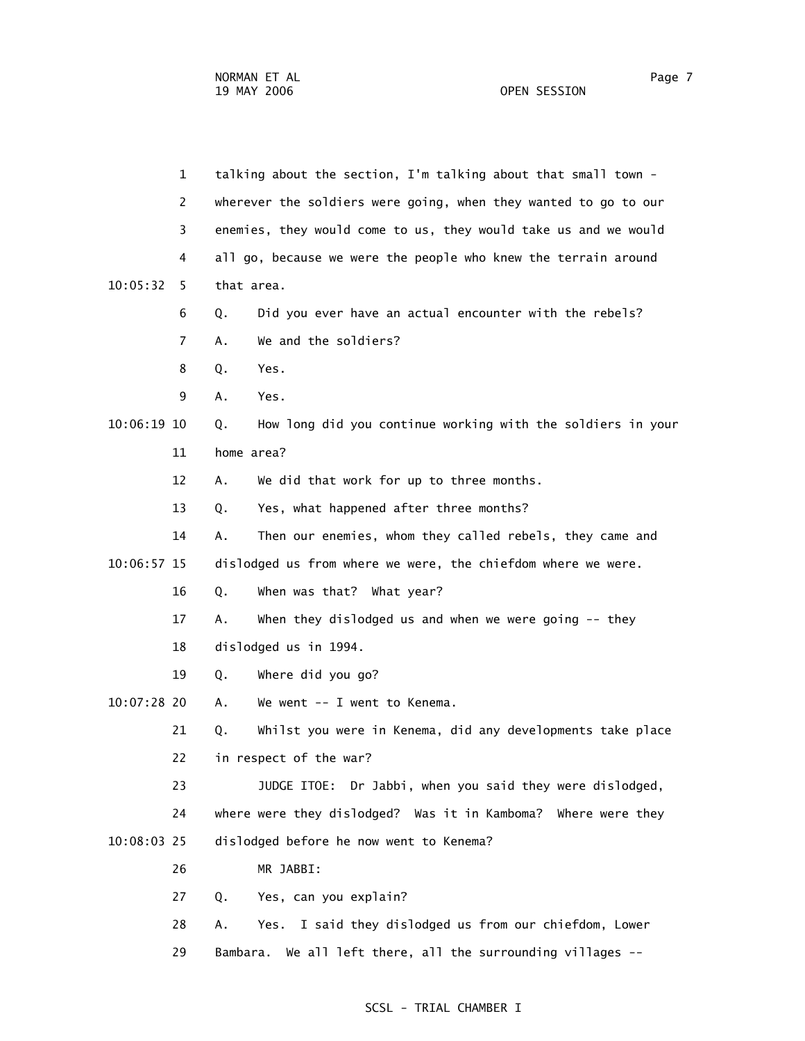|               | 1              | talking about the section, I'm talking about that small town -    |
|---------------|----------------|-------------------------------------------------------------------|
|               | $\overline{2}$ | wherever the soldiers were going, when they wanted to go to our   |
|               | 3              | enemies, they would come to us, they would take us and we would   |
|               | 4              | all go, because we were the people who knew the terrain around    |
| 10:05:32      | 5.             | that area.                                                        |
|               | 6              | Did you ever have an actual encounter with the rebels?<br>Q.      |
|               | 7              | We and the soldiers?<br>Α.                                        |
|               | 8              | Q.<br>Yes.                                                        |
|               | 9              | Α.<br>Yes.                                                        |
| $10:06:19$ 10 |                | How long did you continue working with the soldiers in your<br>Q. |
|               | 11             | home area?                                                        |
|               | 12             | We did that work for up to three months.<br>Α.                    |
|               | 13             | Yes, what happened after three months?<br>Q.                      |
|               | 14             | Then our enemies, whom they called rebels, they came and<br>А.    |
| 10:06:57 15   |                | dislodged us from where we were, the chiefdom where we were.      |
|               | 16             | When was that? What year?<br>Q.                                   |
|               | 17             | When they dislodged us and when we were going $-$ - they<br>Α.    |
|               | 18             | dislodged us in 1994.                                             |
|               | 19             | Where did you go?<br>Q.                                           |
| 10:07:28 20   |                | We went -- I went to Kenema.<br>Α.                                |
|               | 21             | Whilst you were in Kenema, did any developments take place<br>Q.  |
|               | 22             | in respect of the war?                                            |
|               | 23             | JUDGE ITOE: Dr Jabbi, when you said they were dislodged,          |
|               | 24             | where were they dislodged? Was it in Kamboma? Where were they     |
| 10:08:03 25   |                | dislodged before he now went to Kenema?                           |
|               | 26             | MR JABBI:                                                         |
|               | 27             | Yes, can you explain?<br>Q.                                       |
|               | 28             | I said they dislodged us from our chiefdom, Lower<br>Yes.<br>А.   |
|               | 29             | We all left there, all the surrounding villages --<br>Bambara.    |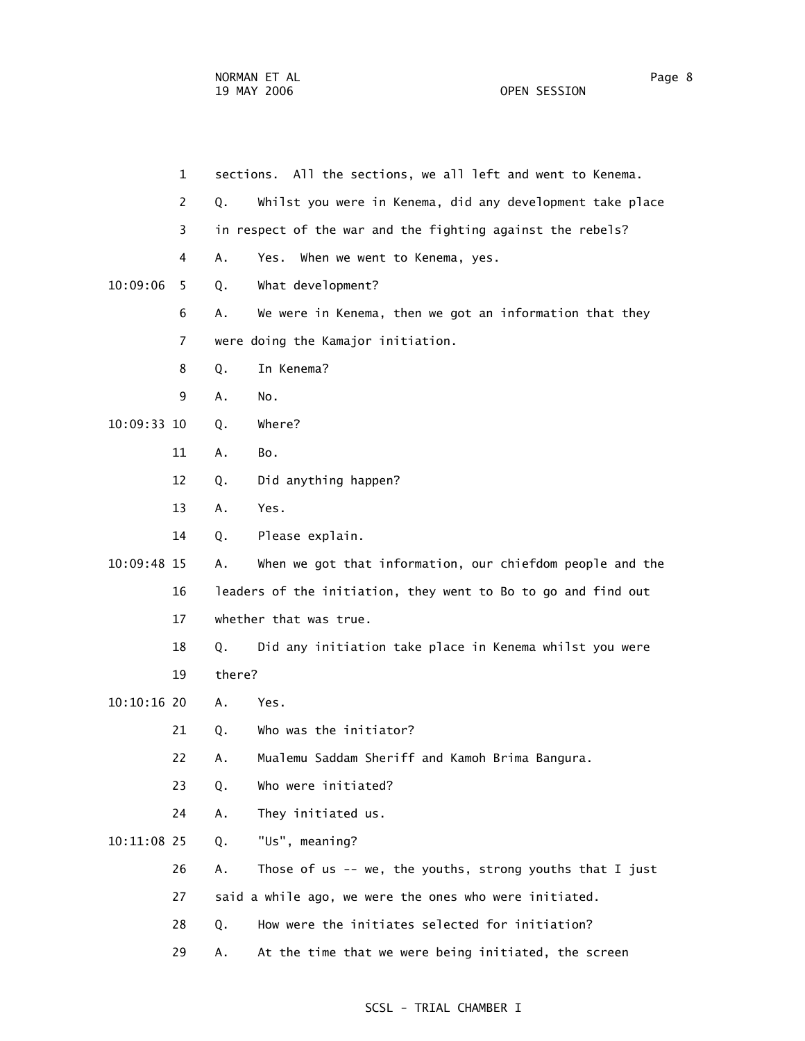1 sections. All the sections, we all left and went to Kenema. 2 Q. Whilst you were in Kenema, did any development take place 3 in respect of the war and the fighting against the rebels? 4 A. Yes. When we went to Kenema, yes. 10:09:06 5 Q. What development? 6 A. We were in Kenema, then we got an information that they 7 were doing the Kamajor initiation. 8 Q. In Kenema? 9 A. No. 10:09:33 10 Q. Where? 11 A. Bo. 12 Q. Did anything happen? 13 A. Yes. 14 Q. Please explain. 10:09:48 15 A. When we got that information, our chiefdom people and the 16 leaders of the initiation, they went to Bo to go and find out 17 whether that was true. 18 Q. Did any initiation take place in Kenema whilst you were 19 there? 10:10:16 20 A. Yes. 21 Q. Who was the initiator? 22 A. Mualemu Saddam Sheriff and Kamoh Brima Bangura. 23 Q. Who were initiated? 24 A. They initiated us. 10:11:08 25 Q. "Us", meaning? 26 A. Those of us -- we, the youths, strong youths that I just 27 said a while ago, we were the ones who were initiated. 28 Q. How were the initiates selected for initiation? 29 A. At the time that we were being initiated, the screen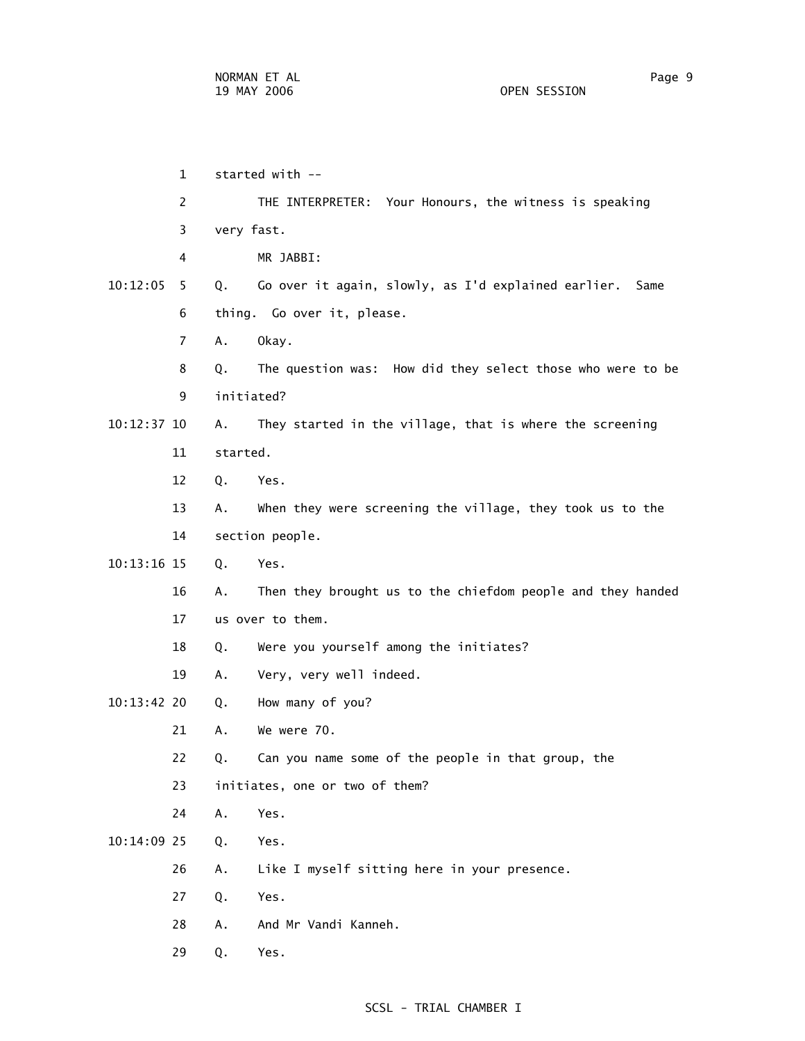1 started with -- 2 THE INTERPRETER: Your Honours, the witness is speaking 3 very fast. 4 MR JABBI: 10:12:05 5 Q. Go over it again, slowly, as I'd explained earlier. Same 6 thing. Go over it, please. 7 A. Okay. 8 Q. The question was: How did they select those who were to be 9 initiated? 10:12:37 10 A. They started in the village, that is where the screening 11 started. 12 Q. Yes. 13 A. When they were screening the village, they took us to the 14 section people. 10:13:16 15 Q. Yes. 16 A. Then they brought us to the chiefdom people and they handed 17 us over to them. 18 Q. Were you yourself among the initiates? 19 A. Very, very well indeed. 10:13:42 20 Q. How many of you? 21 A. We were 70. 22 Q. Can you name some of the people in that group, the 23 initiates, one or two of them? 24 A. Yes. 10:14:09 25 Q. Yes. 26 A. Like I myself sitting here in your presence. 27 Q. Yes. 28 A. And Mr Vandi Kanneh. 29 Q. Yes.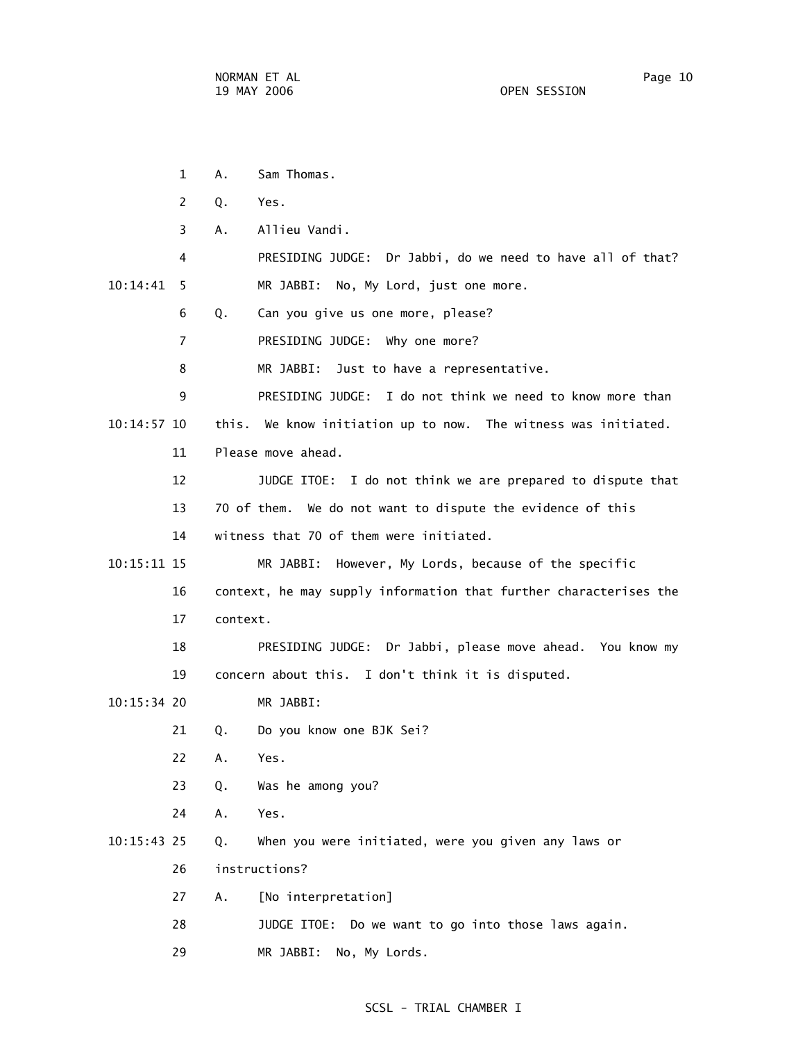1 A. Sam Thomas. 2 Q. Yes. 3 A. Allieu Vandi. 4 PRESIDING JUDGE: Dr Jabbi, do we need to have all of that? 10:14:41 5 MR JABBI: No, My Lord, just one more. 6 Q. Can you give us one more, please? 7 PRESIDING JUDGE: Why one more? 8 MR JABBI: Just to have a representative. 9 PRESIDING JUDGE: I do not think we need to know more than 10:14:57 10 this. We know initiation up to now. The witness was initiated. 11 Please move ahead. 12 JUDGE ITOE: I do not think we are prepared to dispute that 13 70 of them. We do not want to dispute the evidence of this 14 witness that 70 of them were initiated. 10:15:11 15 MR JABBI: However, My Lords, because of the specific 16 context, he may supply information that further characterises the 17 context. 18 PRESIDING JUDGE: Dr Jabbi, please move ahead. You know my 19 concern about this. I don't think it is disputed. 10:15:34 20 MR JABBI: 21 Q. Do you know one BJK Sei? 22 A. Yes. 23 Q. Was he among you? 24 A. Yes. 10:15:43 25 Q. When you were initiated, were you given any laws or 26 instructions? 27 A. [No interpretation] 28 JUDGE ITOE: Do we want to go into those laws again. 29 MR JABBI: No, My Lords.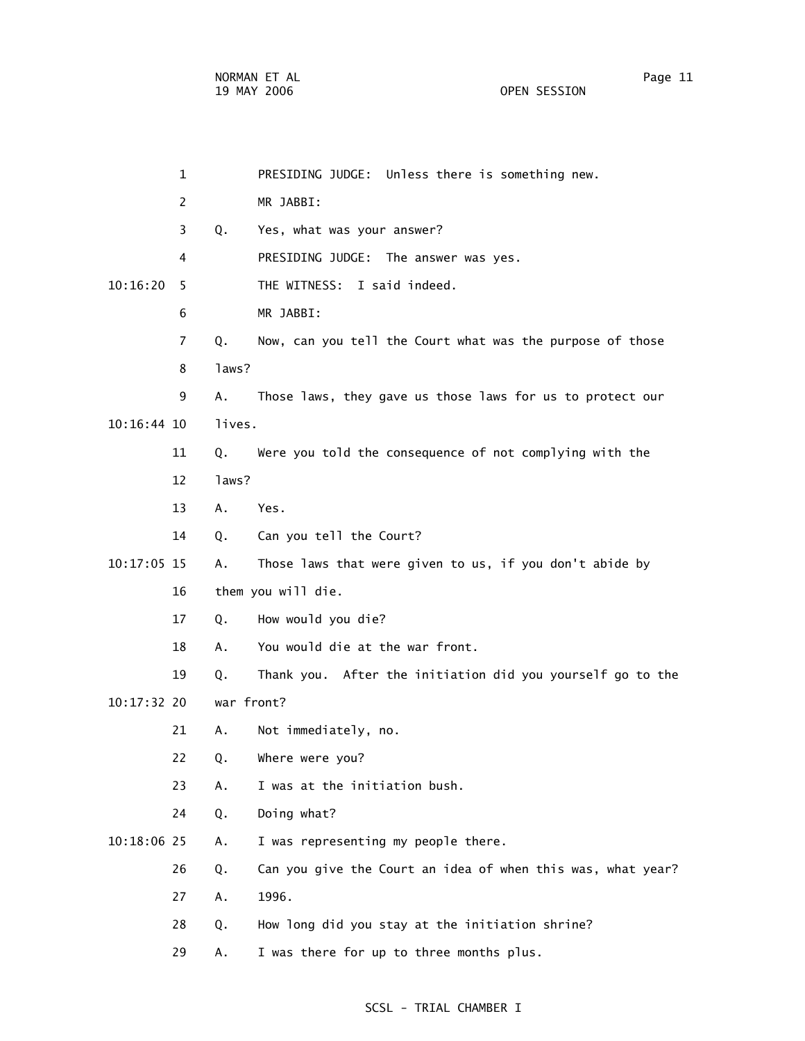|               | $\mathbf 1$    |            | PRESIDING JUDGE: Unless there is something new.             |
|---------------|----------------|------------|-------------------------------------------------------------|
|               | $\overline{2}$ |            | MR JABBI:                                                   |
|               | 3              | Q.         | Yes, what was your answer?                                  |
|               | 4              |            | PRESIDING JUDGE: The answer was yes.                        |
| 10:16:20      | 5              |            | THE WITNESS: I said indeed.                                 |
|               | 6              |            | MR JABBI:                                                   |
|               | 7              | Q.         | Now, can you tell the Court what was the purpose of those   |
|               | 8              | laws?      |                                                             |
|               | 9              | Α.         | Those laws, they gave us those laws for us to protect our   |
| $10:16:44$ 10 |                | lives.     |                                                             |
|               | 11             | Q.         | Were you told the consequence of not complying with the     |
|               | 12             | laws?      |                                                             |
|               | 13             | Α.         | Yes.                                                        |
|               | 14             | Q.         | Can you tell the Court?                                     |
| 10:17:05 15   |                | Α.         | Those laws that were given to us, if you don't abide by     |
|               | 16             |            | them you will die.                                          |
|               | 17             | Q.         | How would you die?                                          |
|               | 18             | А.         | You would die at the war front.                             |
|               | 19             | Q.         | Thank you. After the initiation did you yourself go to the  |
| 10:17:32 20   |                | war front? |                                                             |
|               | 21             | Α.         | Not immediately, no.                                        |
|               | 22             | Q.         | Where were you?                                             |
|               | 23             | Α.         | I was at the initiation bush.                               |
|               | 24             | Q.         | Doing what?                                                 |
| 10:18:06 25   |                | Α.         | I was representing my people there.                         |
|               | 26             | Q.         | Can you give the Court an idea of when this was, what year? |
|               | 27             | Α.         | 1996.                                                       |
|               | 28             | Q.         | How long did you stay at the initiation shrine?             |
|               | 29             | Α.         | I was there for up to three months plus.                    |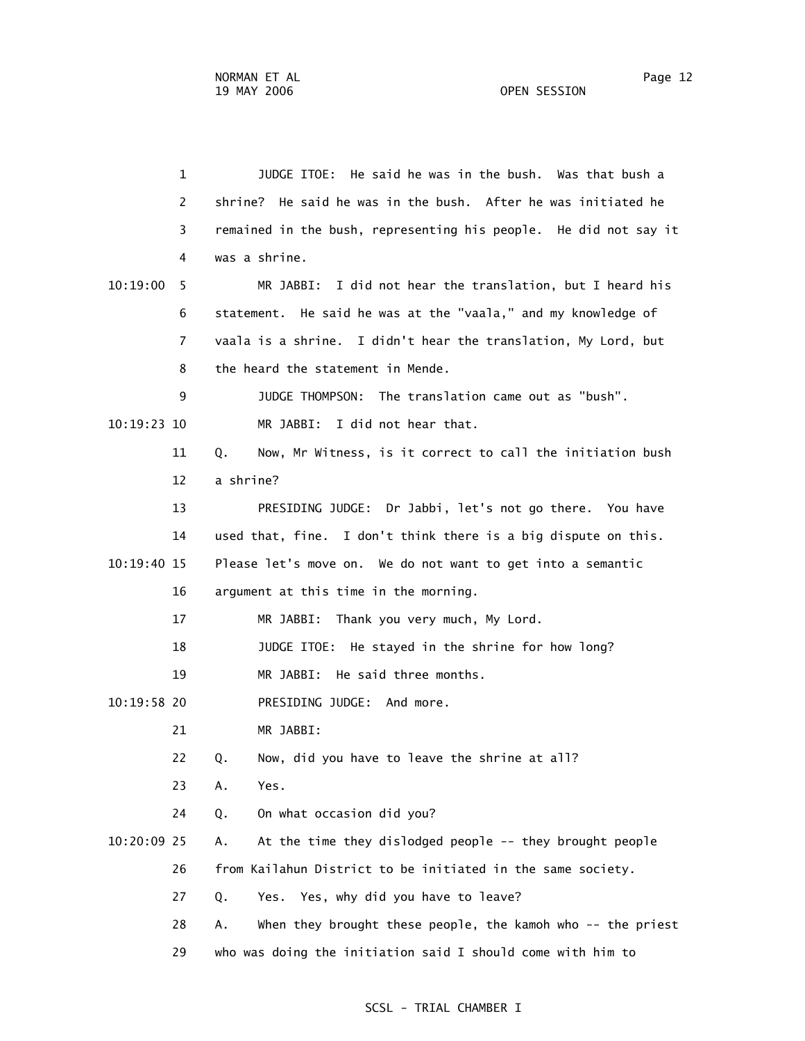1 JUDGE ITOE: He said he was in the bush. Was that bush a 2 shrine? He said he was in the bush. After he was initiated he 3 remained in the bush, representing his people. He did not say it 4 was a shrine. 10:19:00 5 MR JABBI: I did not hear the translation, but I heard his 6 statement. He said he was at the "vaala," and my knowledge of 7 vaala is a shrine. I didn't hear the translation, My Lord, but 8 the heard the statement in Mende. 9 JUDGE THOMPSON: The translation came out as "bush". 10:19:23 10 MR JABBI: I did not hear that. 11 Q. Now, Mr Witness, is it correct to call the initiation bush 12 a shrine? 13 PRESIDING JUDGE: Dr Jabbi, let's not go there. You have 14 used that, fine. I don't think there is a big dispute on this. 10:19:40 15 Please let's move on. We do not want to get into a semantic 16 argument at this time in the morning. 17 MR JABBI: Thank you very much, My Lord. 18 JUDGE ITOE: He stayed in the shrine for how long? 19 MR JABBI: He said three months. 10:19:58 20 PRESIDING JUDGE: And more. 21 MR JABBI: 22 Q. Now, did you have to leave the shrine at all? 23 A. Yes. 24 Q. On what occasion did you? 10:20:09 25 A. At the time they dislodged people -- they brought people 26 from Kailahun District to be initiated in the same society. 27 Q. Yes. Yes, why did you have to leave? 28 A. When they brought these people, the kamoh who -- the priest 29 who was doing the initiation said I should come with him to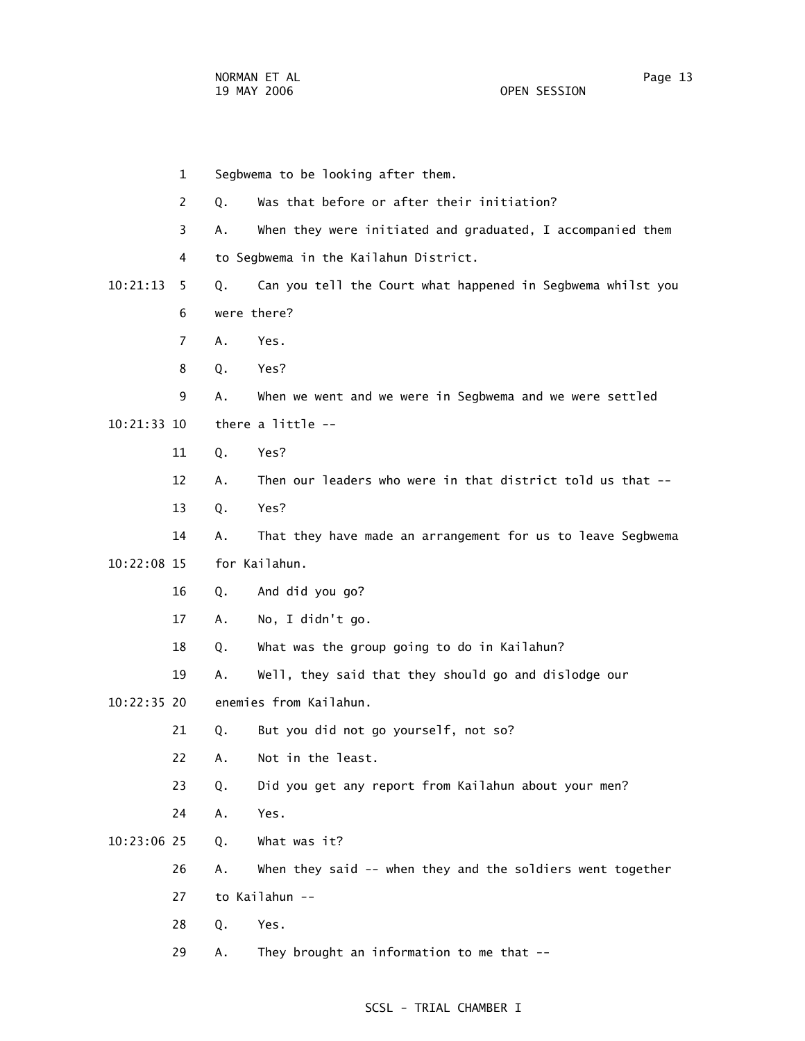1 Segbwema to be looking after them. 2 Q. Was that before or after their initiation? 3 A. When they were initiated and graduated, I accompanied them 4 to Segbwema in the Kailahun District. 10:21:13 5 Q. Can you tell the Court what happened in Segbwema whilst you 6 were there? 7 A. Yes. 8 Q. Yes? 9 A. When we went and we were in Segbwema and we were settled 10:21:33 10 there a little -- 11 Q. Yes? 12 A. Then our leaders who were in that district told us that -- 13 Q. Yes? 14 A. That they have made an arrangement for us to leave Segbwema 10:22:08 15 for Kailahun. 16 Q. And did you go? 17 A. No, I didn't go. 18 Q. What was the group going to do in Kailahun? 19 A. Well, they said that they should go and dislodge our 10:22:35 20 enemies from Kailahun. 21 Q. But you did not go yourself, not so? 22 A. Not in the least. 23 Q. Did you get any report from Kailahun about your men? 24 A. Yes. 10:23:06 25 Q. What was it? 26 A. When they said -- when they and the soldiers went together 27 to Kailahun -- 28 Q. Yes. 29 A. They brought an information to me that --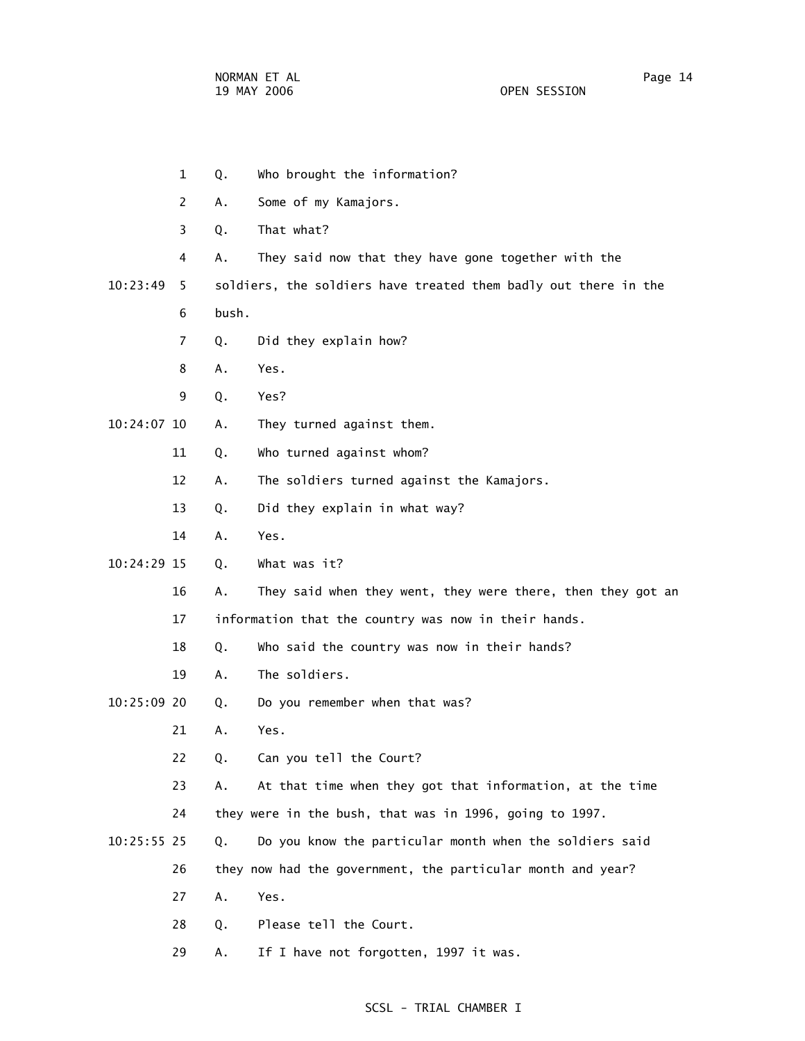- 1 Q. Who brought the information? 2 A. Some of my Kamajors. 3 Q. That what? 4 A. They said now that they have gone together with the 10:23:49 5 soldiers, the soldiers have treated them badly out there in the 6 bush. 7 Q. Did they explain how? 8 A. Yes. 9 Q. Yes? 10:24:07 10 A. They turned against them. 11 Q. Who turned against whom? 12 A. The soldiers turned against the Kamajors. 13 Q. Did they explain in what way? 14 A. Yes. 10:24:29 15 Q. What was it? 16 A. They said when they went, they were there, then they got an 17 information that the country was now in their hands. 18 Q. Who said the country was now in their hands? 19 A. The soldiers. 10:25:09 20 Q. Do you remember when that was? 21 A. Yes. 22 Q. Can you tell the Court? 23 A. At that time when they got that information, at the time 24 they were in the bush, that was in 1996, going to 1997. 10:25:55 25 Q. Do you know the particular month when the soldiers said 26 they now had the government, the particular month and year? 27 A. Yes. 28 Q. Please tell the Court.
	- 29 A. If I have not forgotten, 1997 it was.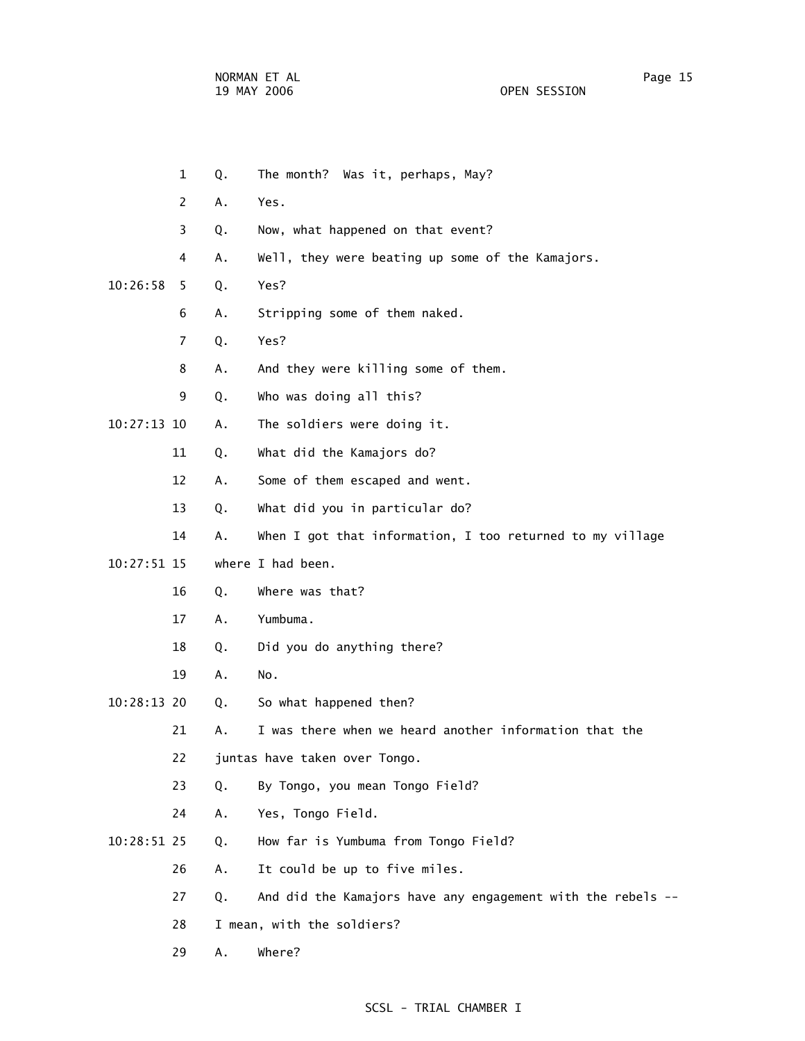- 1 Q. The month? Was it, perhaps, May? 2 A. Yes. 3 Q. Now, what happened on that event? 4 A. Well, they were beating up some of the Kamajors. 10:26:58 5 Q. Yes? 6 A. Stripping some of them naked. 7 Q. Yes? 8 A. And they were killing some of them. 9 Q. Who was doing all this? 10:27:13 10 A. The soldiers were doing it. 11 Q. What did the Kamajors do? 12 A. Some of them escaped and went. 13 Q. What did you in particular do? 14 A. When I got that information, I too returned to my village 10:27:51 15 where I had been. 16 Q. Where was that? 17 A. Yumbuma. 18 Q. Did you do anything there? 19 A. No. 10:28:13 20 Q. So what happened then? 21 A. I was there when we heard another information that the 22 juntas have taken over Tongo. 23 Q. By Tongo, you mean Tongo Field? 24 A. Yes, Tongo Field. 10:28:51 25 Q. How far is Yumbuma from Tongo Field? 26 A. It could be up to five miles. 27 Q. And did the Kamajors have any engagement with the rebels -- 28 I mean, with the soldiers?
	- 29 A. Where?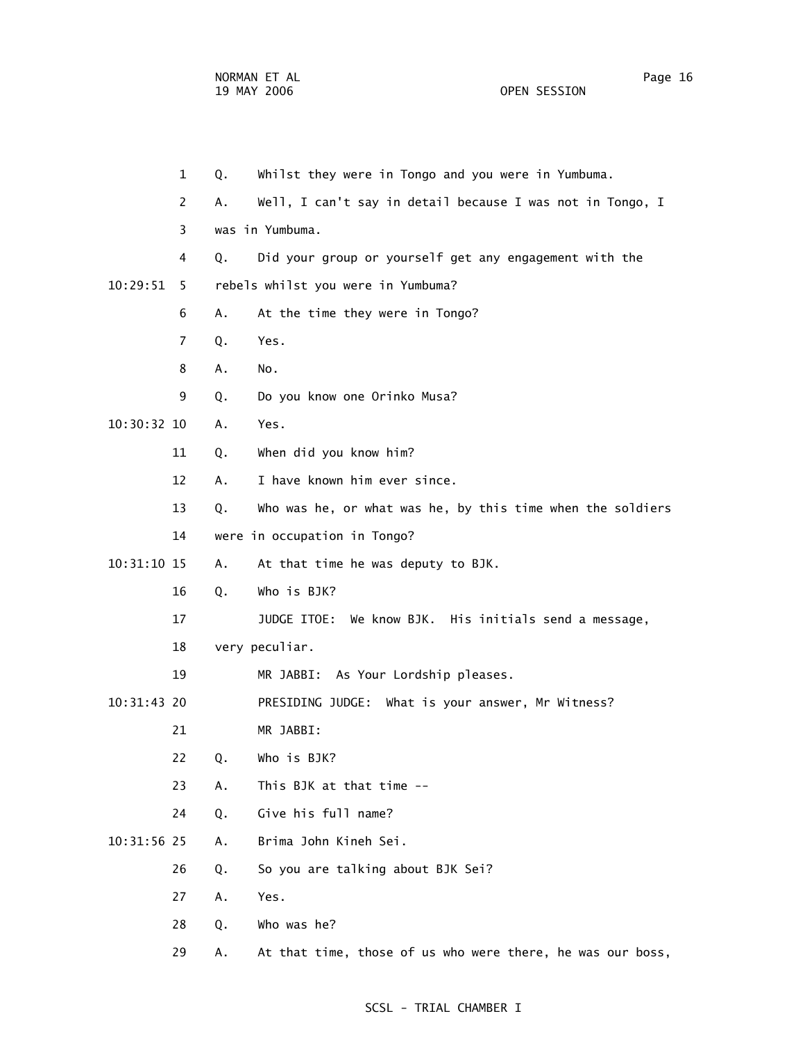1 Q. Whilst they were in Tongo and you were in Yumbuma. 2 A. Well, I can't say in detail because I was not in Tongo, I 3 was in Yumbuma. 4 Q. Did your group or yourself get any engagement with the 10:29:51 5 rebels whilst you were in Yumbuma? 6 A. At the time they were in Tongo? 7 Q. Yes. 8 A. No. 9 Q. Do you know one Orinko Musa? 10:30:32 10 A. Yes. 11 Q. When did you know him? 12 A. I have known him ever since. 13 Q. Who was he, or what was he, by this time when the soldiers 14 were in occupation in Tongo? 10:31:10 15 A. At that time he was deputy to BJK. 16 Q. Who is BJK? 17 JUDGE ITOE: We know BJK. His initials send a message, 18 very peculiar. 19 MR JABBI: As Your Lordship pleases. 10:31:43 20 PRESIDING JUDGE: What is your answer, Mr Witness? 21 MR JABBI: 22 Q. Who is BJK? 23 A. This BJK at that time -- 24 Q. Give his full name? 10:31:56 25 A. Brima John Kineh Sei. 26 Q. So you are talking about BJK Sei? 27 A. Yes.

- 28 Q. Who was he?
- 29 A. At that time, those of us who were there, he was our boss,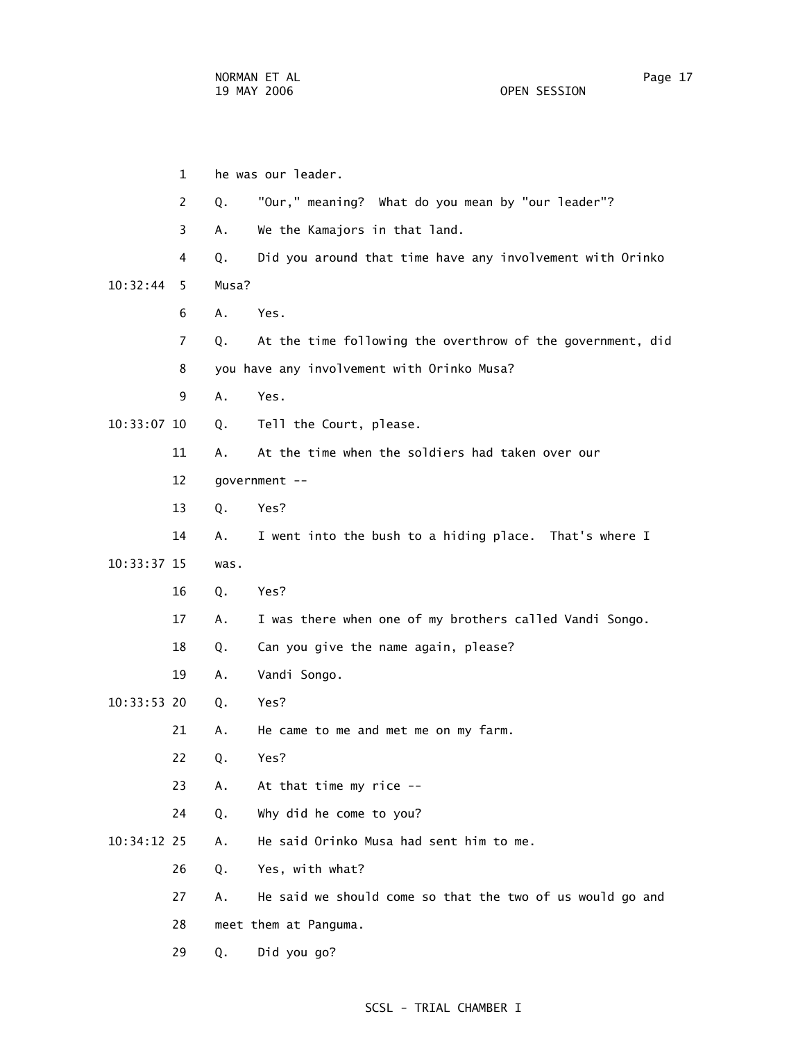1 he was our leader. 2 Q. "Our," meaning? What do you mean by "our leader"? 3 A. We the Kamajors in that land. 4 Q. Did you around that time have any involvement with Orinko 10:32:44 5 Musa? 6 A. Yes. 7 Q. At the time following the overthrow of the government, did 8 you have any involvement with Orinko Musa? 9 A. Yes. 10:33:07 10 Q. Tell the Court, please. 11 A. At the time when the soldiers had taken over our 12 government -- 13 Q. Yes? 14 A. I went into the bush to a hiding place. That's where I 10:33:37 15 was. 16 Q. Yes? 17 A. I was there when one of my brothers called Vandi Songo. 18 Q. Can you give the name again, please? 19 A. Vandi Songo. 10:33:53 20 Q. Yes? 21 A. He came to me and met me on my farm. 22 Q. Yes? 23 A. At that time my rice -- 24 Q. Why did he come to you? 10:34:12 25 A. He said Orinko Musa had sent him to me. 26 Q. Yes, with what? 27 A. He said we should come so that the two of us would go and 28 meet them at Panguma. 29 Q. Did you go?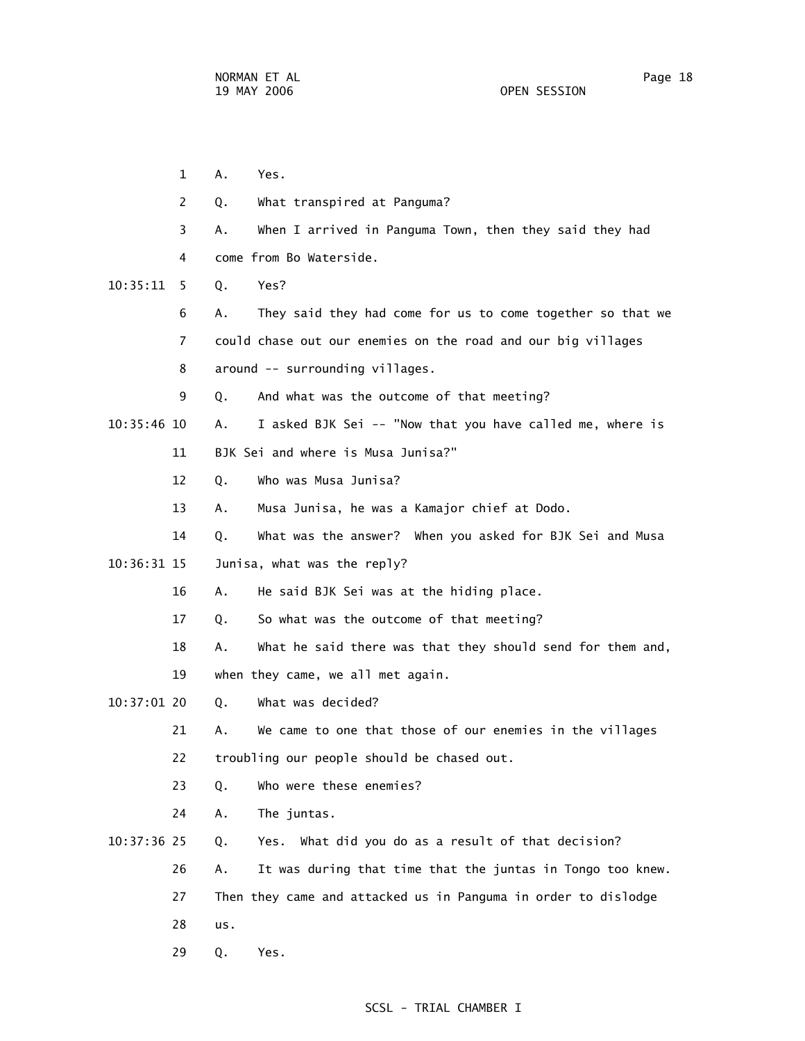1 A. Yes. 2 Q. What transpired at Panguma? 3 A. When I arrived in Panguma Town, then they said they had 4 come from Bo Waterside. 10:35:11 5 Q. Yes? 6 A. They said they had come for us to come together so that we 7 could chase out our enemies on the road and our big villages 8 around -- surrounding villages. 9 Q. And what was the outcome of that meeting? 10:35:46 10 A. I asked BJK Sei -- "Now that you have called me, where is 11 BJK Sei and where is Musa Junisa?" 12 Q. Who was Musa Junisa? 13 A. Musa Junisa, he was a Kamajor chief at Dodo. 14 Q. What was the answer? When you asked for BJK Sei and Musa 10:36:31 15 Junisa, what was the reply? 16 A. He said BJK Sei was at the hiding place. 17 Q. So what was the outcome of that meeting? 18 A. What he said there was that they should send for them and, 19 when they came, we all met again. 10:37:01 20 Q. What was decided? 21 A. We came to one that those of our enemies in the villages 22 troubling our people should be chased out. 23 Q. Who were these enemies? 24 A. The juntas. 10:37:36 25 Q. Yes. What did you do as a result of that decision? 26 A. It was during that time that the juntas in Tongo too knew. 27 Then they came and attacked us in Panguma in order to dislodge 28 us. 29 Q. Yes.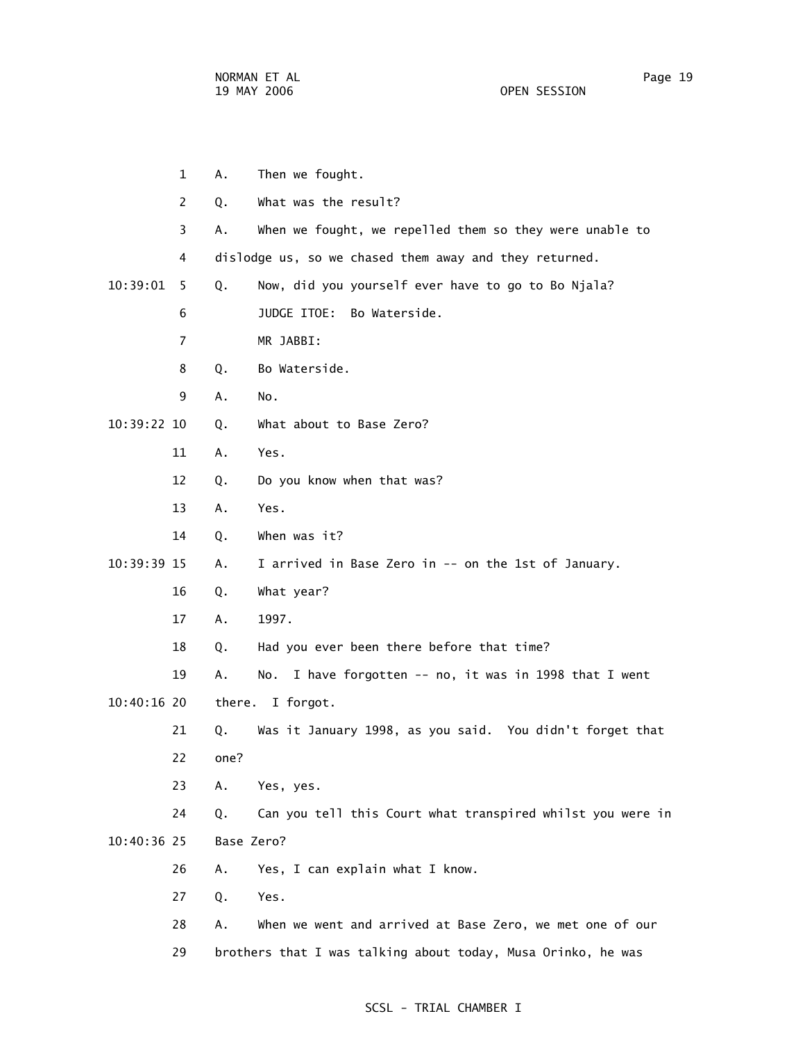|             | 1                     | Α.         | Then we fought.                                              |
|-------------|-----------------------|------------|--------------------------------------------------------------|
|             | $\mathbf{2}^{\prime}$ | Q.         | What was the result?                                         |
|             | 3                     | Α.         | When we fought, we repelled them so they were unable to      |
|             | 4                     |            | dislodge us, so we chased them away and they returned.       |
| 10:39:01    | 5.                    | Q.         | Now, did you yourself ever have to go to Bo Njala?           |
|             | 6                     |            | JUDGE ITOE: Bo Waterside.                                    |
|             | 7                     |            | MR JABBI:                                                    |
|             | 8                     | Q.         | Bo Waterside.                                                |
|             | 9                     | Α.         | No.                                                          |
| 10:39:22 10 |                       | Q.         | What about to Base Zero?                                     |
|             | 11                    | Α.         | Yes.                                                         |
|             | 12                    | Q.         | Do you know when that was?                                   |
|             | 13                    | Α.         | Yes.                                                         |
|             | 14                    | Q.         | When was it?                                                 |
| 10:39:39 15 |                       | Α.         | I arrived in Base Zero in -- on the 1st of January.          |
|             | 16                    | Q.         | What year?                                                   |
|             | 17                    | Α.         | 1997.                                                        |
|             | 18                    | Q.         | Had you ever been there before that time?                    |
|             | 19                    | Α.         | I have forgotten -- no, it was in 1998 that I went<br>No.    |
| 10:40:16 20 |                       | there.     | I forgot.                                                    |
|             | 21                    | Q.         | Was it January 1998, as you said. You didn't forget that     |
|             | 22                    | one?       |                                                              |
|             | 23                    | Α.         | Yes, yes.                                                    |
|             | 24                    | Q.         | Can you tell this Court what transpired whilst you were in   |
| 10:40:36 25 |                       | Base Zero? |                                                              |
|             | 26                    | Α.         | Yes, I can explain what I know.                              |
|             | 27                    | Q.         | Yes.                                                         |
|             | 28                    | А.         | When we went and arrived at Base Zero, we met one of our     |
|             | 29                    |            | brothers that I was talking about today, Musa Orinko, he was |
|             |                       |            |                                                              |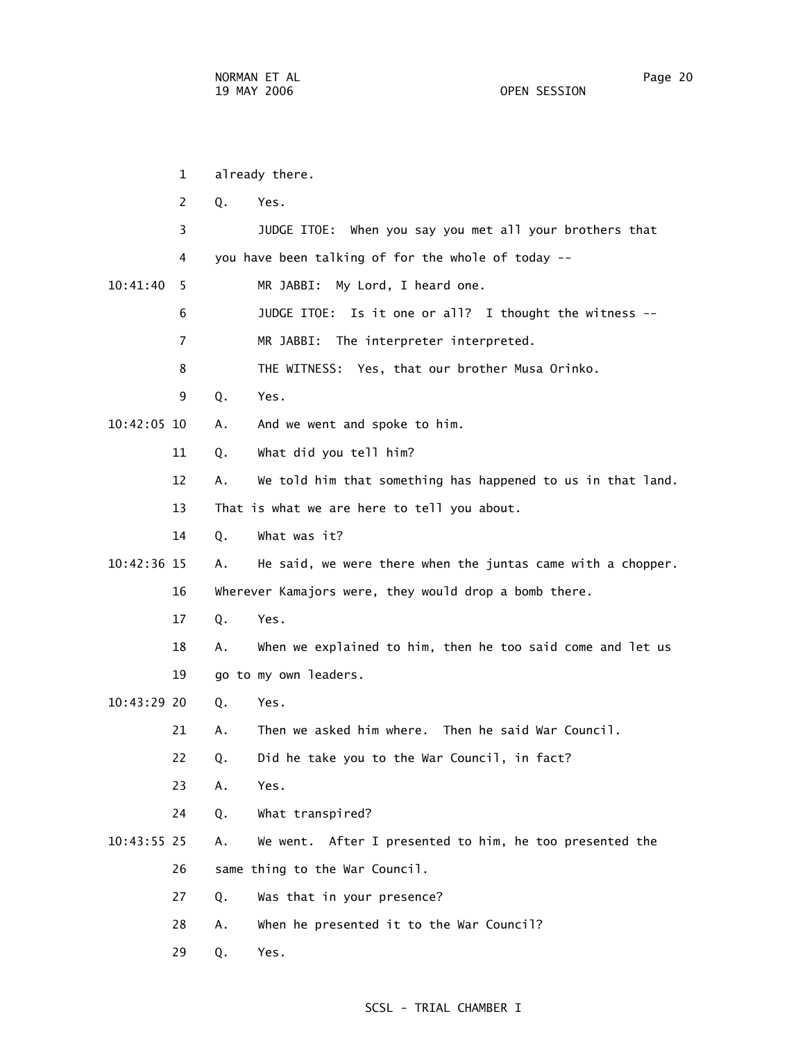|             | 1  |    | already there.                                              |
|-------------|----|----|-------------------------------------------------------------|
|             | 2  | Q. | Yes.                                                        |
|             | 3  |    | JUDGE ITOE: When you say you met all your brothers that     |
|             | 4  |    | you have been talking of for the whole of today --          |
| 10:41:40    | -5 |    | MR JABBI:<br>My Lord, I heard one.                          |
|             | 6  |    | JUDGE ITOE: Is it one or all? I thought the witness --      |
|             | 7  |    | MR JABBI: The interpreter interpreted.                      |
|             | 8  |    | THE WITNESS: Yes, that our brother Musa Orinko.             |
|             | 9  | Q. | Yes.                                                        |
| 10:42:05 10 |    | А. | And we went and spoke to him.                               |
|             | 11 | Q. | What did you tell him?                                      |
|             | 12 | А. | We told him that something has happened to us in that land. |
|             | 13 |    | That is what we are here to tell you about.                 |
|             | 14 | Q. | What was it?                                                |
| 10:42:36 15 |    | А. | He said, we were there when the juntas came with a chopper. |
|             | 16 |    | Wherever Kamajors were, they would drop a bomb there.       |
|             | 17 | Q. | Yes.                                                        |
|             | 18 | Α. | When we explained to him, then he too said come and let us  |
|             | 19 |    | go to my own leaders.                                       |
| 10:43:29 20 |    | Q. | Yes.                                                        |
|             | 21 | Α. | Then we asked him where. Then he said War Council.          |
|             | 22 | Q. | Did he take you to the War Council, in fact?                |
|             | 23 | Α. | Yes.                                                        |
|             | 24 | Q. | What transpired?                                            |
| 10:43:55 25 |    | Α. | We went. After I presented to him, he too presented the     |
|             | 26 |    | same thing to the War Council.                              |
|             | 27 | Q. | Was that in your presence?                                  |
|             | 28 | Α. | When he presented it to the War Council?                    |
|             | 29 | Q. | Yes.                                                        |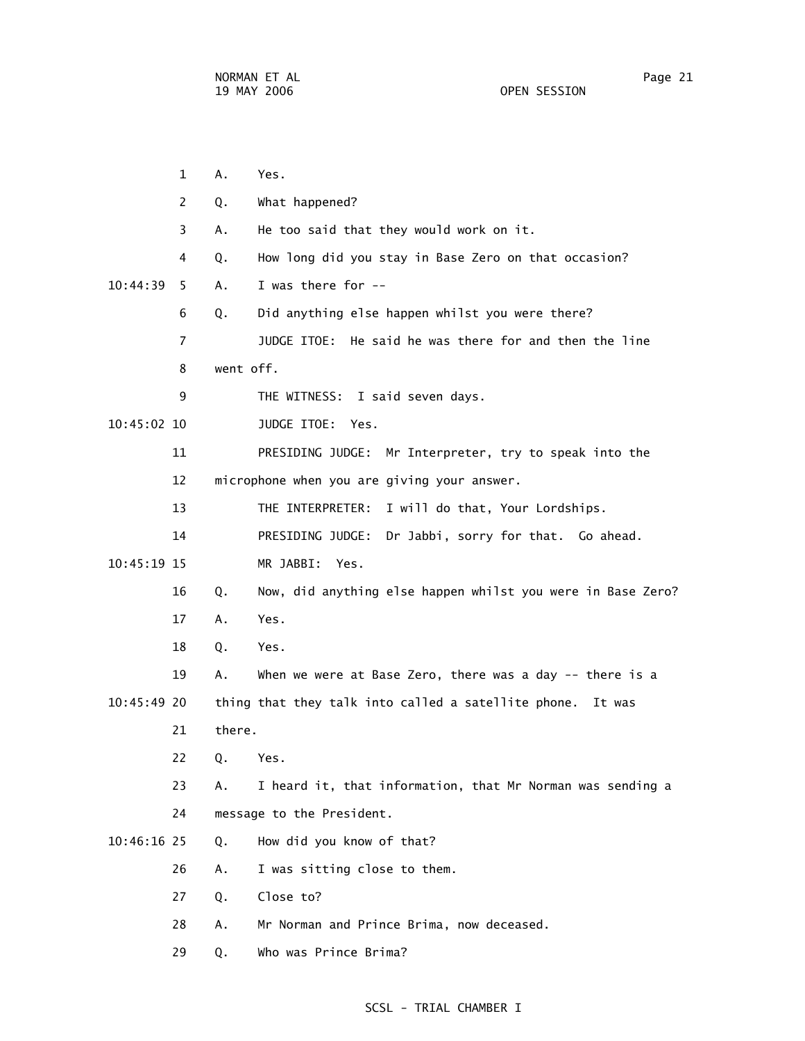|             | 1              | Α.        | Yes.                                                        |
|-------------|----------------|-----------|-------------------------------------------------------------|
|             | 2              | Q.        | What happened?                                              |
|             | 3              | А.        | He too said that they would work on it.                     |
|             | 4              | Q.        | How long did you stay in Base Zero on that occasion?        |
| 10:44:39    | 5.             | Α.        | I was there for --                                          |
|             | 6              | Q.        | Did anything else happen whilst you were there?             |
|             | $\overline{7}$ |           | JUDGE ITOE: He said he was there for and then the line      |
|             | 8              | went off. |                                                             |
|             | 9              |           | THE WITNESS: I said seven days.                             |
| 10:45:02 10 |                |           | JUDGE ITOE:<br>Yes.                                         |
|             | 11             |           | PRESIDING JUDGE: Mr Interpreter, try to speak into the      |
|             | 12             |           | microphone when you are giving your answer.                 |
|             | 13             |           | THE INTERPRETER:<br>I will do that, Your Lordships.         |
|             | 14             |           | PRESIDING JUDGE:<br>Dr Jabbi, sorry for that. Go ahead.     |
| 10:45:19 15 |                |           | MR JABBI:<br>Yes.                                           |
|             | 16             | Q.        | Now, did anything else happen whilst you were in Base Zero? |
|             | 17             | Α.        | Yes.                                                        |
|             | 18             | Q.        | Yes.                                                        |
|             | 19             | Α.        | When we were at Base Zero, there was a day -- there is a    |
| 10:45:49 20 |                |           | thing that they talk into called a satellite phone. It was  |
|             | 21             | there.    |                                                             |
|             | 22             | Q. Yes.   |                                                             |
|             | 23             | А.        | I heard it, that information, that Mr Norman was sending a  |
|             | 24             |           | message to the President.                                   |
| 10:46:16 25 |                | Q.        | How did you know of that?                                   |
|             | 26             | Α.        | I was sitting close to them.                                |
|             | 27             | Q.        | Close to?                                                   |
|             | 28             | Α.        | Mr Norman and Prince Brima, now deceased.                   |
|             | 29             | Q.        | Who was Prince Brima?                                       |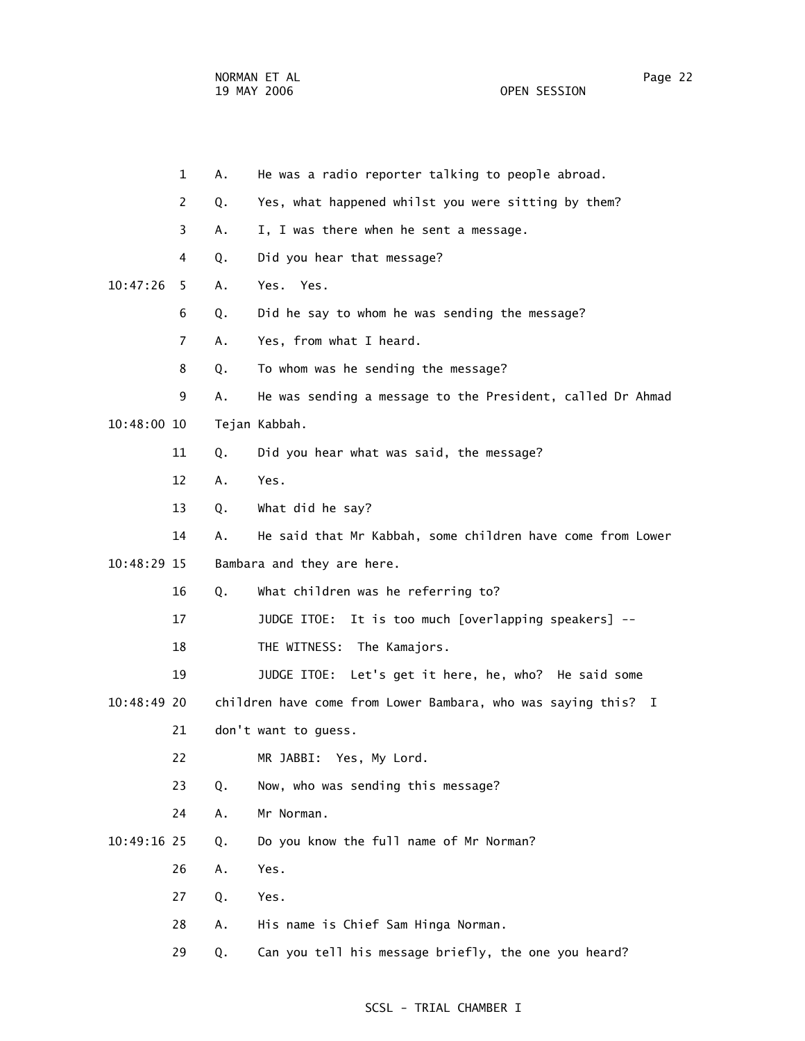|             | $\mathbf 1$           | А. | He was a radio reporter talking to people abroad.             |
|-------------|-----------------------|----|---------------------------------------------------------------|
|             | $\mathbf{2}^{\prime}$ | Q. | Yes, what happened whilst you were sitting by them?           |
|             | 3                     | Α. | I, I was there when he sent a message.                        |
|             | 4                     | Q. | Did you hear that message?                                    |
| 10:47:26    | 5.                    | Α. | Yes. Yes.                                                     |
|             | 6                     | Q. | Did he say to whom he was sending the message?                |
|             | $\overline{7}$        | Α. | Yes, from what I heard.                                       |
|             | 8                     | Q. | To whom was he sending the message?                           |
|             | 9                     | Α. | He was sending a message to the President, called Dr Ahmad    |
| 10:48:00 10 |                       |    | Tejan Kabbah.                                                 |
|             | 11                    | Q. | Did you hear what was said, the message?                      |
|             | 12                    | А. | Yes.                                                          |
|             | 13                    | Q. | What did he say?                                              |
|             | 14                    | Α. | He said that Mr Kabbah, some children have come from Lower    |
| 10:48:29 15 |                       |    | Bambara and they are here.                                    |
|             | 16                    | Q. | What children was he referring to?                            |
|             | 17                    |    | JUDGE ITOE: It is too much [overlapping speakers] --          |
|             | 18                    |    | The Kamajors.<br>THE WITNESS:                                 |
|             | 19                    |    | JUDGE ITOE: Let's get it here, he, who? He said some          |
| 10:48:49 20 |                       |    | children have come from Lower Bambara, who was saying this? I |
|             | 21                    |    | don't want to guess.                                          |
|             | 22                    |    | MR JABBI: Yes, My Lord.                                       |
|             | 23                    | Q. | Now, who was sending this message?                            |
|             | 24                    | Α. | Mr Norman.                                                    |
| 10:49:16 25 |                       | Q. | Do you know the full name of Mr Norman?                       |
|             | 26                    | Α. | Yes.                                                          |
|             | 27                    | Q. | Yes.                                                          |
|             | 28                    | Α. | His name is Chief Sam Hinga Norman.                           |
|             | 29                    | Q. | Can you tell his message briefly, the one you heard?          |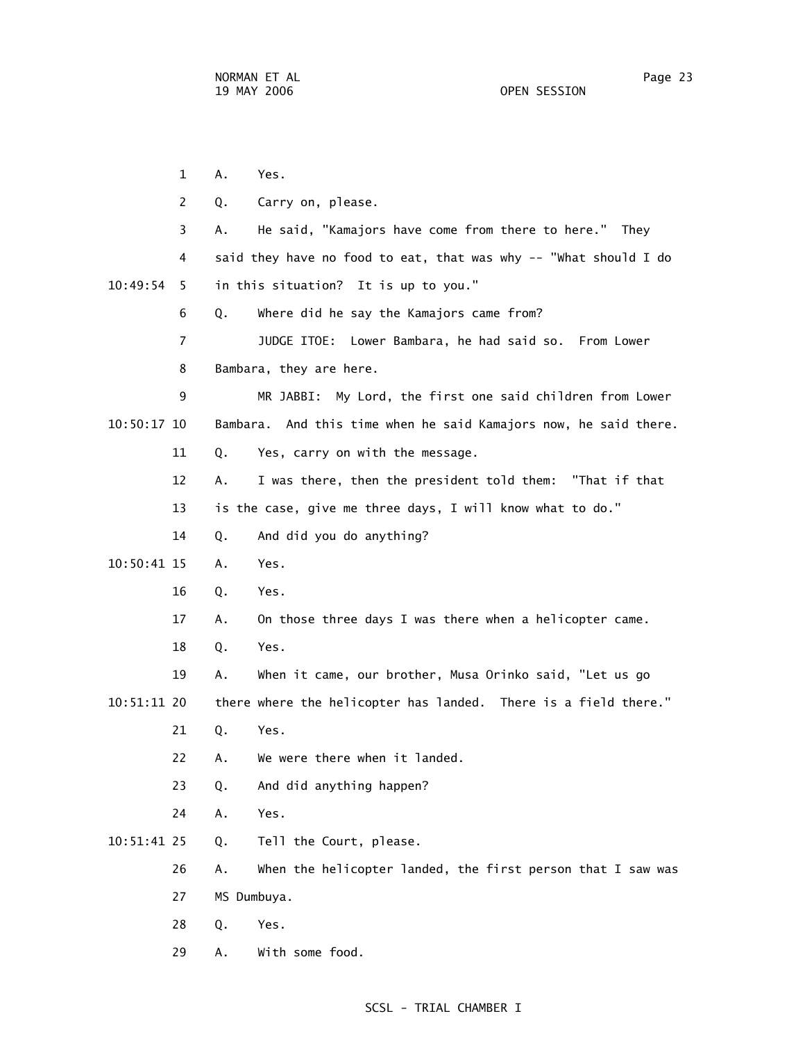1 A. Yes. 2 Q. Carry on, please. 3 A. He said, "Kamajors have come from there to here." They 4 said they have no food to eat, that was why -- "What should I do 10:49:54 5 in this situation? It is up to you." 6 Q. Where did he say the Kamajors came from? 7 JUDGE ITOE: Lower Bambara, he had said so. From Lower 8 Bambara, they are here. 9 MR JABBI: My Lord, the first one said children from Lower 10:50:17 10 Bambara. And this time when he said Kamajors now, he said there. 11 Q. Yes, carry on with the message. 12 A. I was there, then the president told them: "That if that 13 is the case, give me three days, I will know what to do." 14 Q. And did you do anything? 10:50:41 15 A. Yes. 16 Q. Yes. 17 A. On those three days I was there when a helicopter came. 18 Q. Yes. 19 A. When it came, our brother, Musa Orinko said, "Let us go 10:51:11 20 there where the helicopter has landed. There is a field there." 21 Q. Yes. 22 A. We were there when it landed. 23 Q. And did anything happen? 24 A. Yes. 10:51:41 25 Q. Tell the Court, please. 26 A. When the helicopter landed, the first person that I saw was 27 MS Dumbuya. 28 Q. Yes. 29 A. With some food.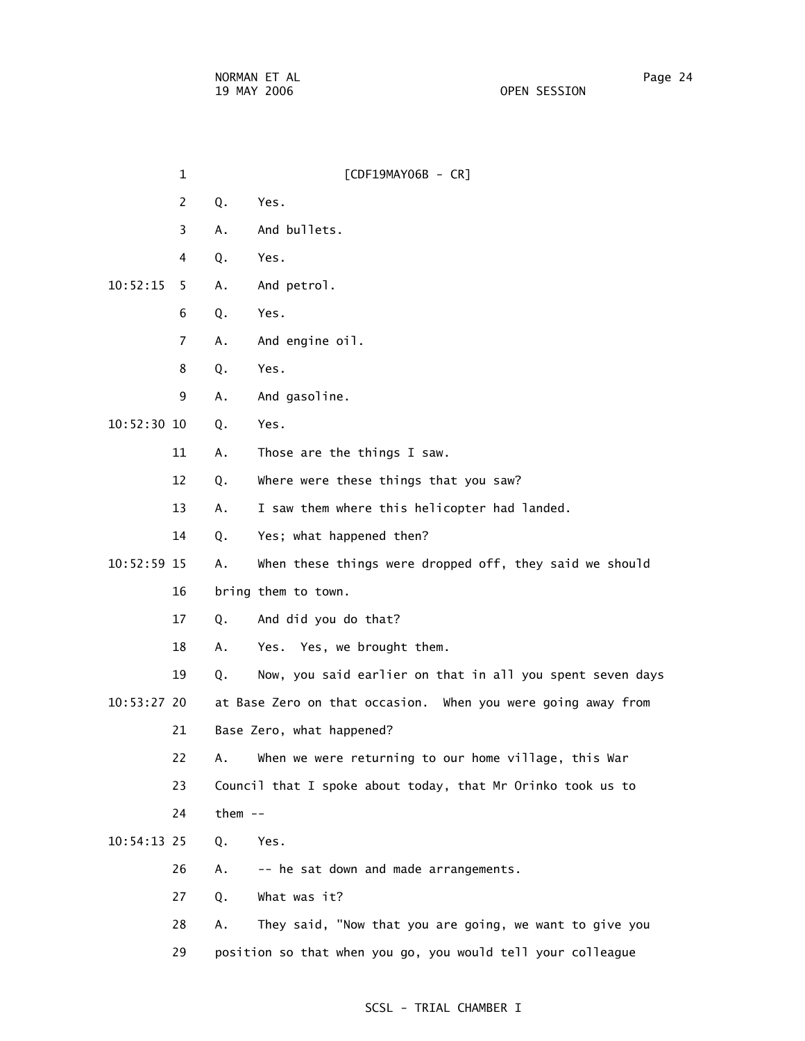1 [CDF19MAY06B - CR] 2 Q. Yes. 3 A. And bullets. 4 Q. Yes. 10:52:15 5 A. And petrol. 6 Q. Yes. 7 A. And engine oil. 8 Q. Yes. 9 A. And gasoline. 10:52:30 10 Q. Yes. 11 A. Those are the things I saw. 12 Q. Where were these things that you saw? 13 A. I saw them where this helicopter had landed. 14 Q. Yes; what happened then? 10:52:59 15 A. When these things were dropped off, they said we should 16 bring them to town. 17 Q. And did you do that? 18 A. Yes. Yes, we brought them. 19 Q. Now, you said earlier on that in all you spent seven days 10:53:27 20 at Base Zero on that occasion. When you were going away from 21 Base Zero, what happened? 22 A. When we were returning to our home village, this War 23 Council that I spoke about today, that Mr Orinko took us to 24 them -- 10:54:13 25 Q. Yes. 26 A. -- he sat down and made arrangements. 27 Q. What was it? 28 A. They said, "Now that you are going, we want to give you 29 position so that when you go, you would tell your colleague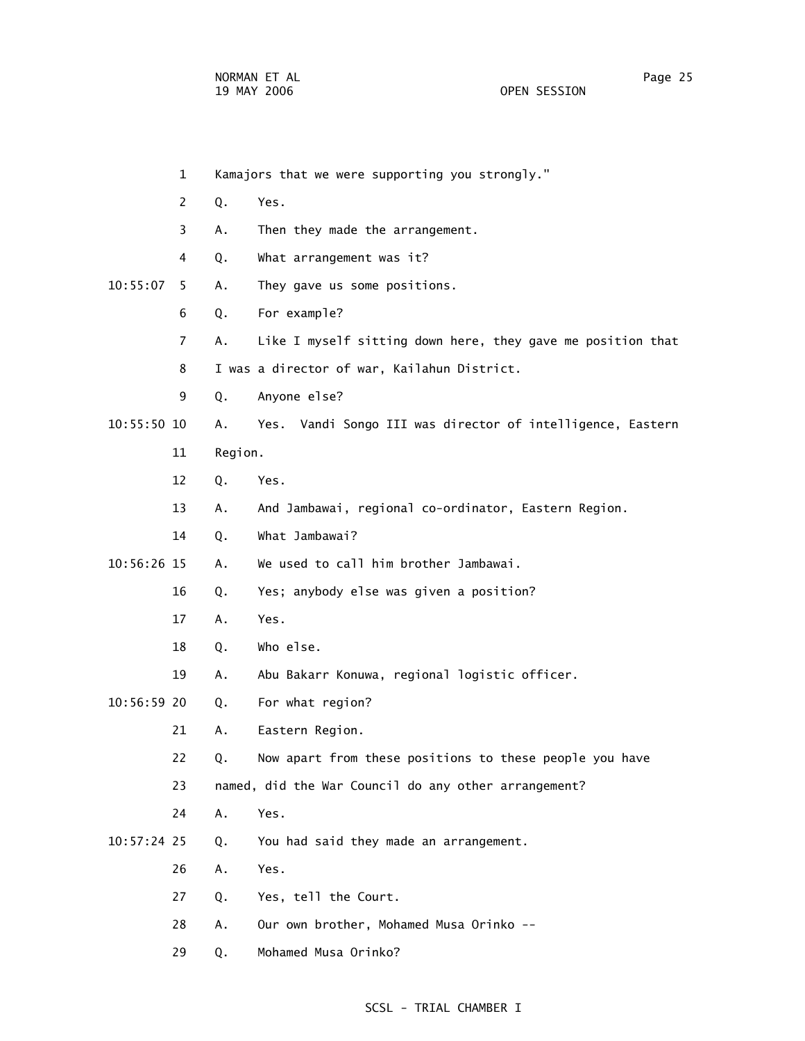|             | $\mathbf{1}$   |         | Kamajors that we were supporting you strongly."             |
|-------------|----------------|---------|-------------------------------------------------------------|
|             | 2              | Q.      | Yes.                                                        |
|             | 3              | Α.      | Then they made the arrangement.                             |
|             | 4              | Q.      | What arrangement was it?                                    |
| 10:55:07    | 5              | Α.      | They gave us some positions.                                |
|             | 6              | Q.      | For example?                                                |
|             | $\overline{7}$ | Α.      | Like I myself sitting down here, they gave me position that |
|             | 8              |         | I was a director of war, Kailahun District.                 |
|             | 9              | Q.      | Anyone else?                                                |
| 10:55:50 10 |                | Α.      | Yes. Vandi Songo III was director of intelligence, Eastern  |
|             | 11             | Region. |                                                             |
|             | 12             | Q.      | Yes.                                                        |
|             | 13             | Α.      | And Jambawai, regional co-ordinator, Eastern Region.        |
|             | 14             | Q.      | What Jambawai?                                              |
| 10:56:26 15 |                | Α.      | We used to call him brother Jambawai.                       |
|             | 16             | Q.      | Yes; anybody else was given a position?                     |
|             | 17             | Α.      | Yes.                                                        |
|             | 18             | Q.      | Who else.                                                   |
|             | 19             | Α.      | Abu Bakarr Konuwa, regional logistic officer.               |
| 10:56:59 20 |                | Q.      | For what region?                                            |
|             | 21             | Α.      | Eastern Region.                                             |
|             | 22             | Q.      | Now apart from these positions to these people you have     |
|             | 23             |         | named, did the War Council do any other arrangement?        |
|             | 24             | Α.      | Yes.                                                        |
| 10:57:24 25 |                | Q.      | You had said they made an arrangement.                      |
|             | 26             | Α.      | Yes.                                                        |
|             | 27             | Q.      | Yes, tell the Court.                                        |
|             | 28             | Α.      | Our own brother, Mohamed Musa Orinko --                     |
|             | 29             | Q.      | Mohamed Musa Orinko?                                        |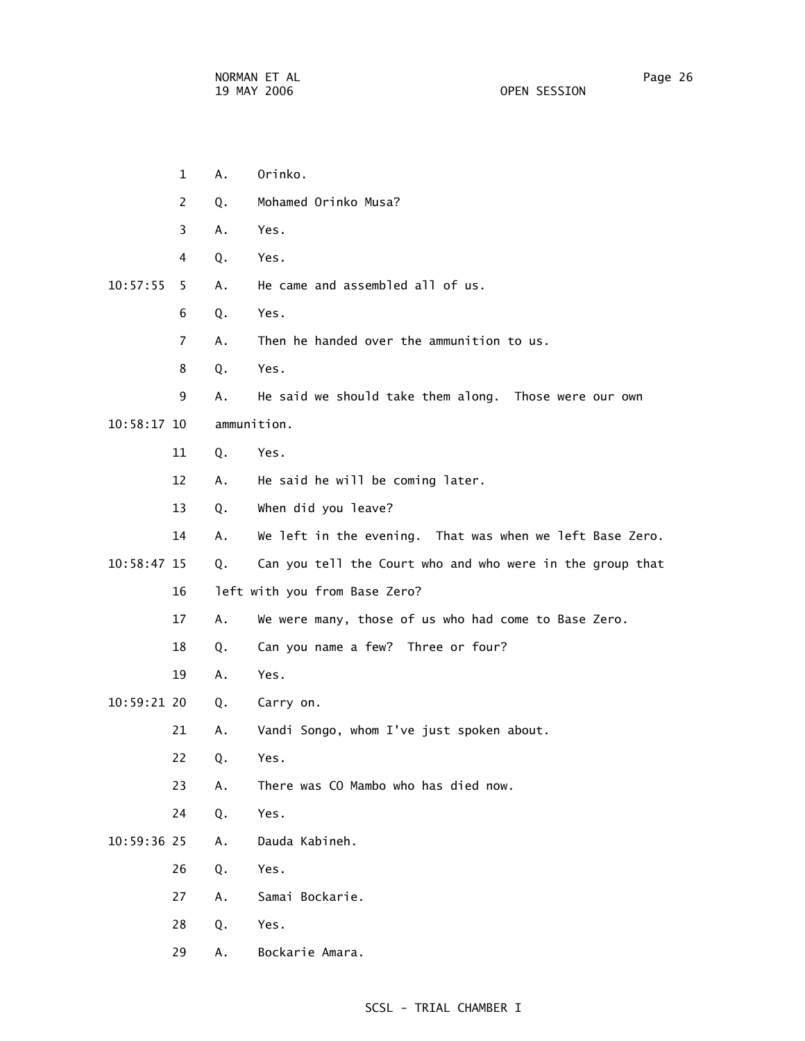1 A. Orinko. 2 Q. Mohamed Orinko Musa? 3 A. Yes. 4 Q. Yes. 10:57:55 5 A. He came and assembled all of us. 6 Q. Yes. 7 A. Then he handed over the ammunition to us. 8 Q. Yes. 9 A. He said we should take them along. Those were our own 10:58:17 10 ammunition. 11 Q. Yes. 12 A. He said he will be coming later. 13 Q. When did you leave? 14 A. We left in the evening. That was when we left Base Zero. 10:58:47 15 Q. Can you tell the Court who and who were in the group that 16 left with you from Base Zero? 17 A. We were many, those of us who had come to Base Zero. 18 Q. Can you name a few? Three or four? 19 A. Yes. 10:59:21 20 Q. Carry on. 21 A. Vandi Songo, whom I've just spoken about. 22 Q. Yes. 23 A. There was CO Mambo who has died now. 24 Q. Yes. 10:59:36 25 A. Dauda Kabineh. 26 Q. Yes. 27 A. Samai Bockarie. 28 Q. Yes. 29 A. Bockarie Amara.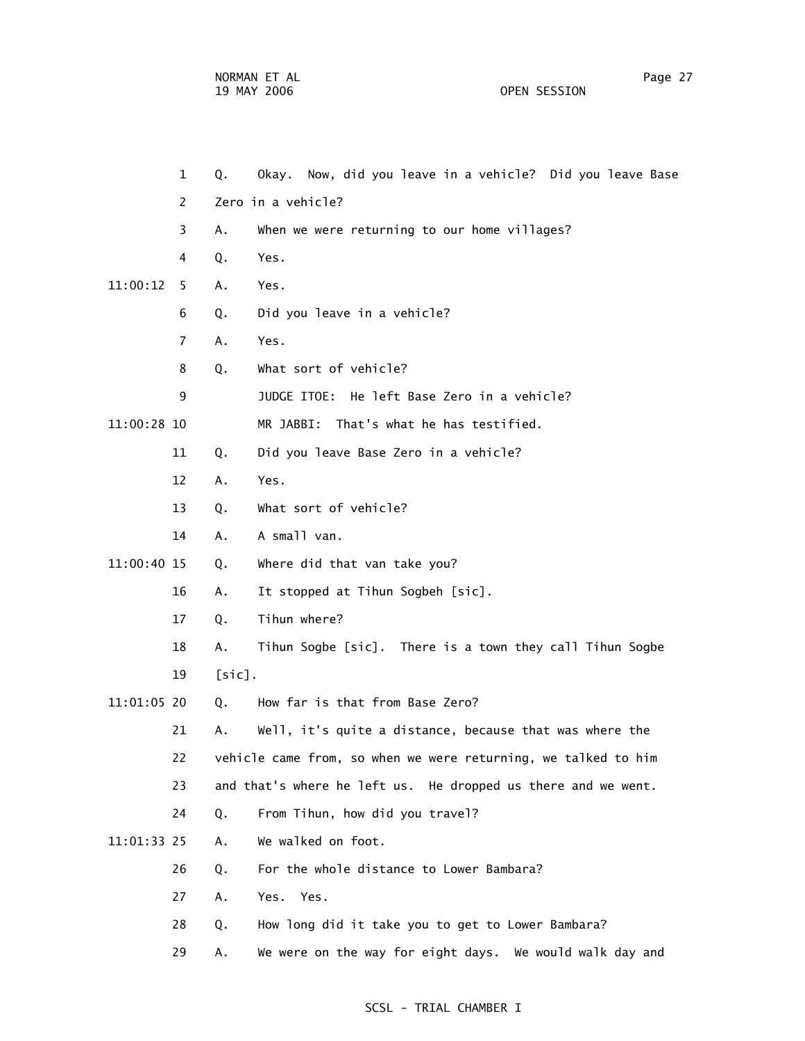- 1 Q. Okay. Now, did you leave in a vehicle? Did you leave Base 2 Zero in a vehicle? 3 A. When we were returning to our home villages? 4 Q. Yes. 11:00:12 5 A. Yes. 6 Q. Did you leave in a vehicle? 7 A. Yes. 8 Q. What sort of vehicle? 9 JUDGE ITOE: He left Base Zero in a vehicle? 11:00:28 10 MR JABBI: That's what he has testified. 11 Q. Did you leave Base Zero in a vehicle? 12 A. Yes. 13 Q. What sort of vehicle? 14 A. A small van. 11:00:40 15 Q. Where did that van take you? 16 A. It stopped at Tihun Sogbeh [sic]. 17 Q. Tihun where? 18 A. Tihun Sogbe [sic]. There is a town they call Tihun Sogbe 19 [sic]. 11:01:05 20 Q. How far is that from Base Zero? 21 A. Well, it's quite a distance, because that was where the 22 vehicle came from, so when we were returning, we talked to him 23 and that's where he left us. He dropped us there and we went. 24 Q. From Tihun, how did you travel? 11:01:33 25 A. We walked on foot. 26 Q. For the whole distance to Lower Bambara? 27 A. Yes. Yes. 28 Q. How long did it take you to get to Lower Bambara?
	- 29 A. We were on the way for eight days. We would walk day and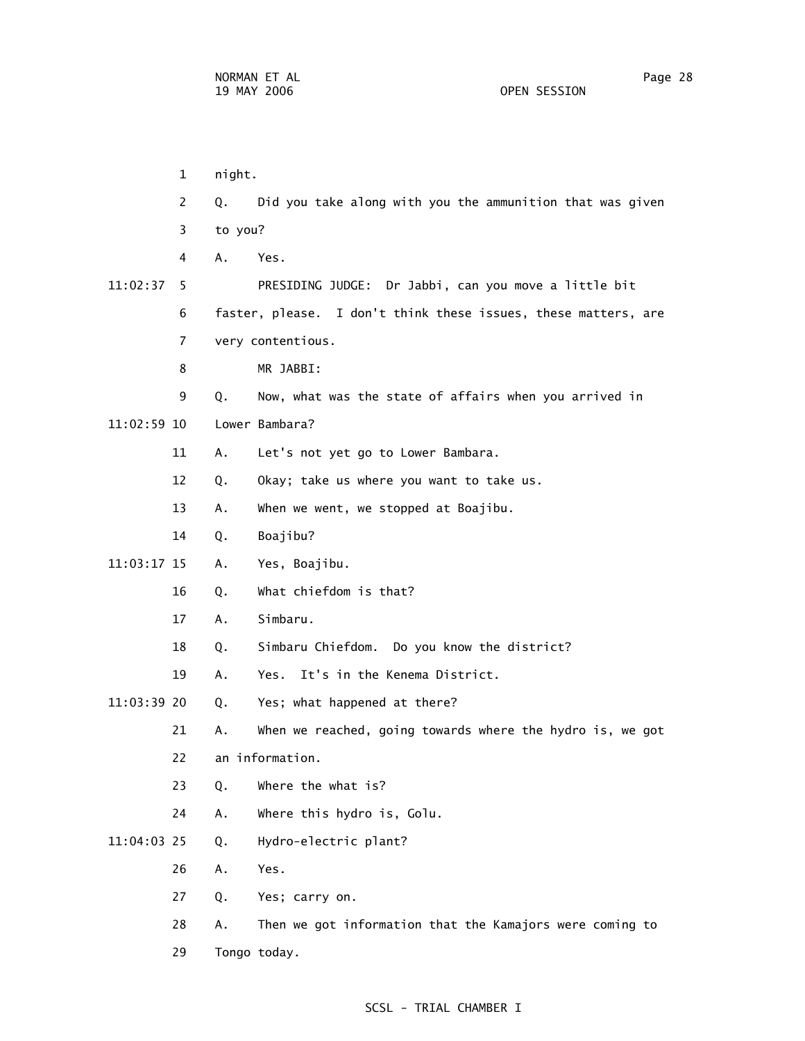1 night. 2 Q. Did you take along with you the ammunition that was given 3 to you? 4 A. Yes. 11:02:37 5 PRESIDING JUDGE: Dr Jabbi, can you move a little bit 6 faster, please. I don't think these issues, these matters, are 7 very contentious. 8 MR JABBI: 9 Q. Now, what was the state of affairs when you arrived in 11:02:59 10 Lower Bambara? 11 A. Let's not yet go to Lower Bambara. 12 Q. Okay; take us where you want to take us. 13 A. When we went, we stopped at Boajibu. 14 Q. Boajibu? 11:03:17 15 A. Yes, Boajibu. 16 Q. What chiefdom is that? 17 A. Simbaru. 18 Q. Simbaru Chiefdom. Do you know the district? 19 A. Yes. It's in the Kenema District. 11:03:39 20 Q. Yes; what happened at there? 21 A. When we reached, going towards where the hydro is, we got 22 an information. 23 Q. Where the what is? 24 A. Where this hydro is, Golu. 11:04:03 25 Q. Hydro-electric plant? 26 A. Yes. 27 Q. Yes; carry on. 28 A. Then we got information that the Kamajors were coming to 29 Tongo today.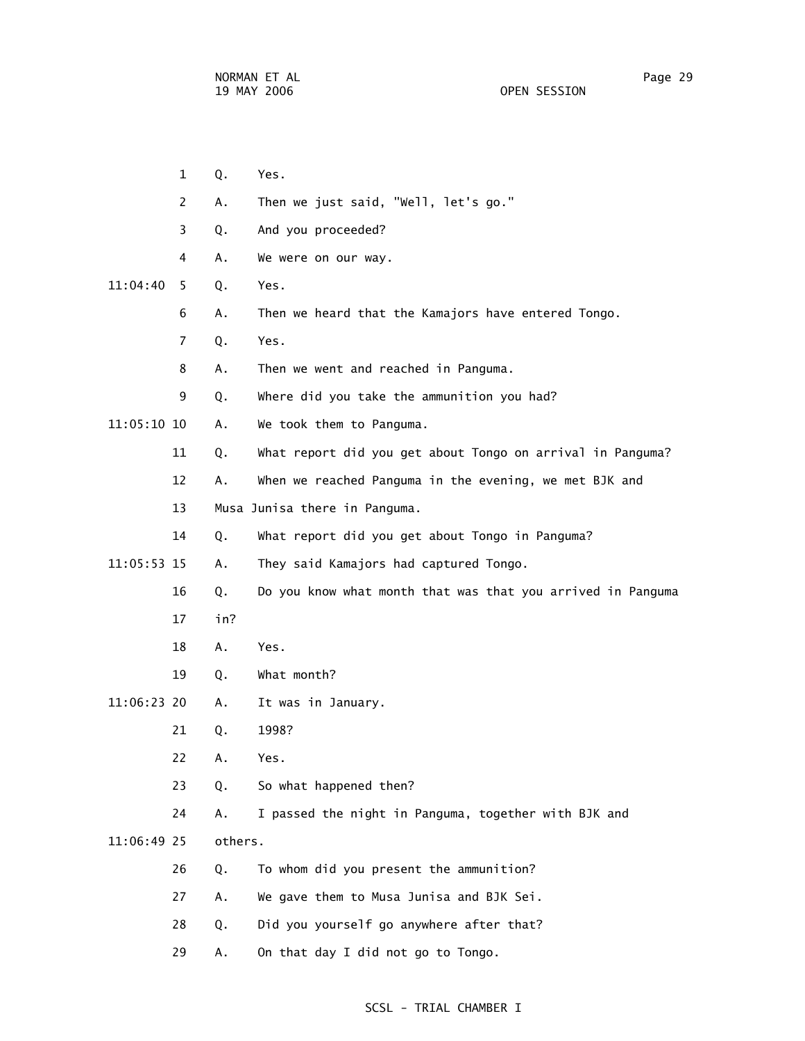1 Q. Yes. 2 A. Then we just said, "Well, let's go." 3 Q. And you proceeded? 4 A. We were on our way. 11:04:40 5 Q. Yes. 6 A. Then we heard that the Kamajors have entered Tongo. 7 Q. Yes. 8 A. Then we went and reached in Panguma. 9 Q. Where did you take the ammunition you had? 11:05:10 10 A. We took them to Panguma. 11 Q. What report did you get about Tongo on arrival in Panguma? 12 A. When we reached Panguma in the evening, we met BJK and 13 Musa Junisa there in Panguma. 14 Q. What report did you get about Tongo in Panguma? 11:05:53 15 A. They said Kamajors had captured Tongo. 16 Q. Do you know what month that was that you arrived in Panguma 17 in? 18 A. Yes. 19 Q. What month? 11:06:23 20 A. It was in January. 21 Q. 1998? 22 A. Yes. 23 Q. So what happened then? 24 A. I passed the night in Panguma, together with BJK and 11:06:49 25 others. 26 Q. To whom did you present the ammunition? 27 A. We gave them to Musa Junisa and BJK Sei. 28 Q. Did you yourself go anywhere after that? 29 A. On that day I did not go to Tongo.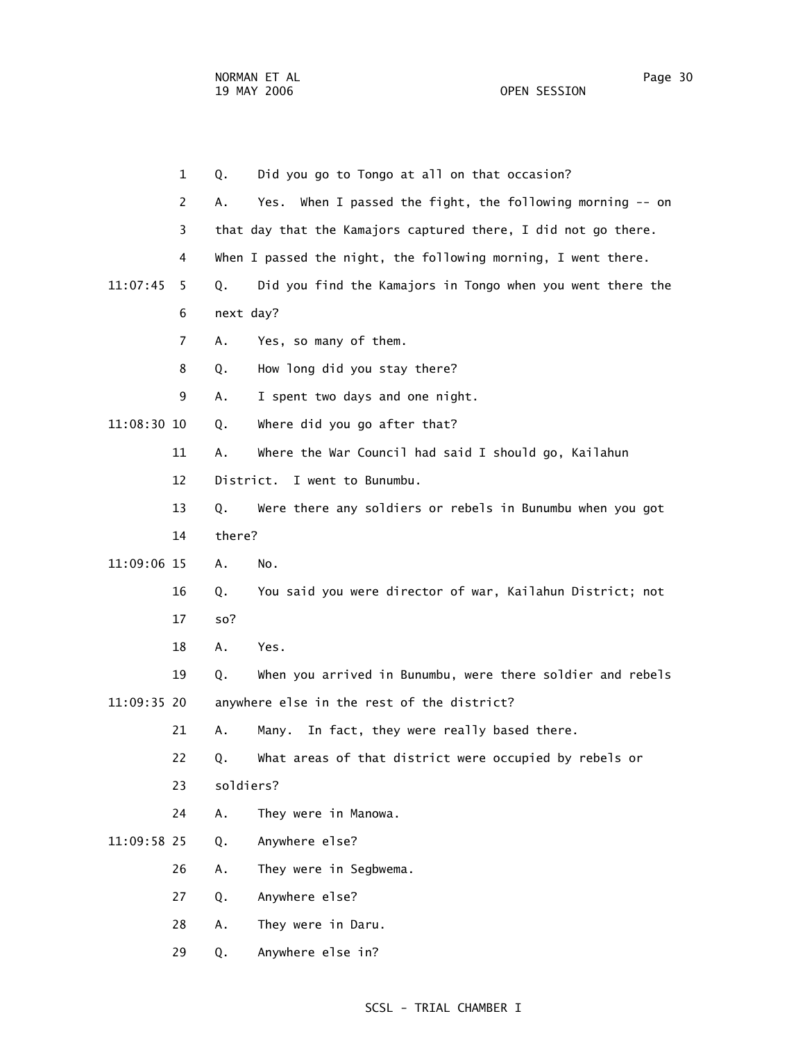|             | $\mathbf{1}$   | Q.        | Did you go to Tongo at all on that occasion?                   |
|-------------|----------------|-----------|----------------------------------------------------------------|
|             | $\mathbf{2}$   | Α.        | Yes. When I passed the fight, the following morning -- on      |
|             | 3              |           | that day that the Kamajors captured there, I did not go there. |
|             | 4              |           | When I passed the night, the following morning, I went there.  |
| 11:07:45    | 5.             | Q.        | Did you find the Kamajors in Tongo when you went there the     |
|             | 6              | next day? |                                                                |
|             | $\overline{7}$ | Α.        | Yes, so many of them.                                          |
|             | 8              | Q.        | How long did you stay there?                                   |
|             | 9              | А.        | I spent two days and one night.                                |
| 11:08:30 10 |                | Q.        | Where did you go after that?                                   |
|             | 11             | Α.        | Where the War Council had said I should go, Kailahun           |
|             | 12             |           | District. I went to Bunumbu.                                   |
|             | 13             | Q.        | Were there any soldiers or rebels in Bunumbu when you got      |
|             | 14             | there?    |                                                                |
| 11:09:06 15 |                | Α.        | No.                                                            |
|             | 16             | Q.        | You said you were director of war, Kailahun District; not      |
|             | 17             | so?       |                                                                |
|             | 18             | Α.        | Yes.                                                           |
|             | 19             | Q.        | When you arrived in Bunumbu, were there soldier and rebels     |
| 11:09:35 20 |                |           | anywhere else in the rest of the district?                     |
|             | 21             | А.        | In fact, they were really based there.<br>Many.                |
|             | 22             | Q.        | What areas of that district were occupied by rebels or         |
|             | 23             | soldiers? |                                                                |
|             | 24             | Α.        | They were in Manowa.                                           |
| 11:09:58 25 |                | Q.        | Anywhere else?                                                 |
|             | 26             | Α.        | They were in Segbwema.                                         |
|             | 27             | Q.        | Anywhere else?                                                 |
|             | 28             | Α.        | They were in Daru.                                             |
|             | 29             | Q.        | Anywhere else in?                                              |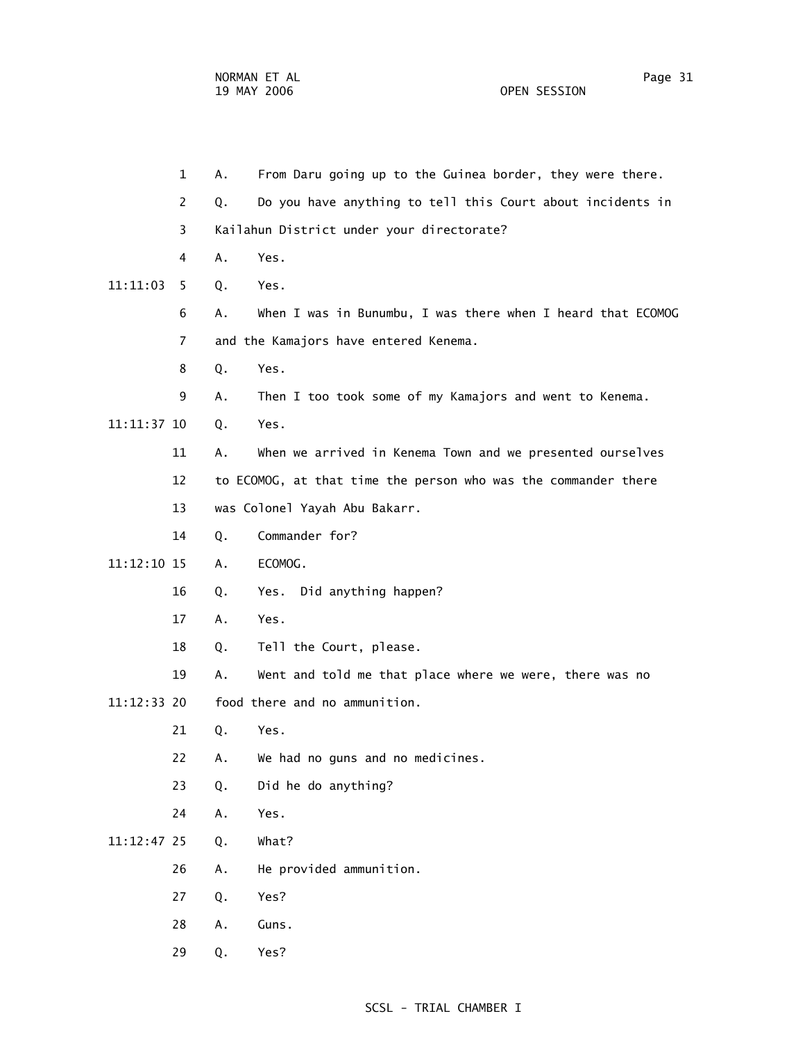1 A. From Daru going up to the Guinea border, they were there. 2 Q. Do you have anything to tell this Court about incidents in 3 Kailahun District under your directorate? 4 A. Yes. 11:11:03 5 Q. Yes. 6 A. When I was in Bunumbu, I was there when I heard that ECOMOG 7 and the Kamajors have entered Kenema. 8 Q. Yes. 9 A. Then I too took some of my Kamajors and went to Kenema. 11:11:37 10 Q. Yes. 11 A. When we arrived in Kenema Town and we presented ourselves 12 to ECOMOG, at that time the person who was the commander there 13 was Colonel Yayah Abu Bakarr. 14 Q. Commander for? 11:12:10 15 A. ECOMOG. 16 Q. Yes. Did anything happen? 17 A. Yes. 18 Q. Tell the Court, please. 19 A. Went and told me that place where we were, there was no 11:12:33 20 food there and no ammunition. 21 Q. Yes. 22 A. We had no guns and no medicines. 23 Q. Did he do anything? 24 A. Yes. 11:12:47 25 Q. What? 26 A. He provided ammunition. 27 Q. Yes? 28 A. Guns. 29 Q. Yes?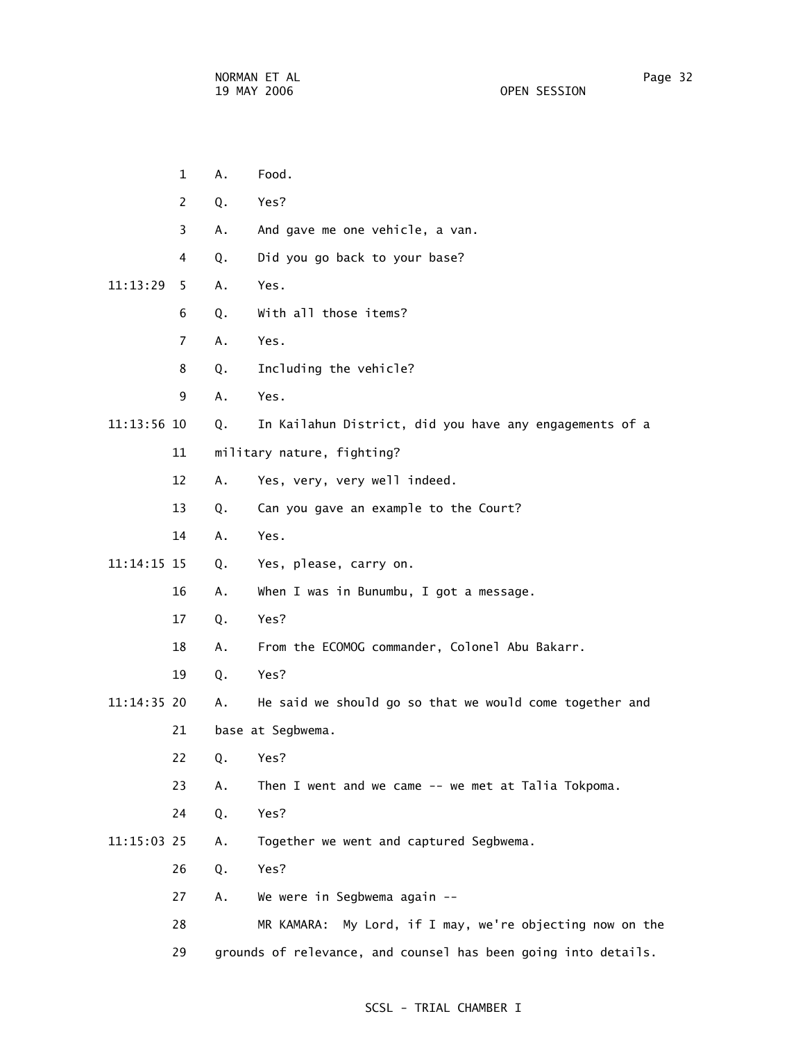1 A. Food. 2 Q. Yes? 3 A. And gave me one vehicle, a van. 4 Q. Did you go back to your base? 11:13:29 5 A. Yes. 6 Q. With all those items? 7 A. Yes. 8 Q. Including the vehicle? 9 A. Yes. 11:13:56 10 Q. In Kailahun District, did you have any engagements of a 11 military nature, fighting? 12 A. Yes, very, very well indeed. 13 Q. Can you gave an example to the Court? 14 A. Yes. 11:14:15 15 Q. Yes, please, carry on. 16 A. When I was in Bunumbu, I got a message. 17 Q. Yes? 18 A. From the ECOMOG commander, Colonel Abu Bakarr. 19 Q. Yes? 11:14:35 20 A. He said we should go so that we would come together and 21 base at Segbwema. 22 Q. Yes? 23 A. Then I went and we came -- we met at Talia Tokpoma. 24 Q. Yes? 11:15:03 25 A. Together we went and captured Segbwema. 26 Q. Yes? 27 A. We were in Segbwema again -- 28 MR KAMARA: My Lord, if I may, we're objecting now on the 29 grounds of relevance, and counsel has been going into details.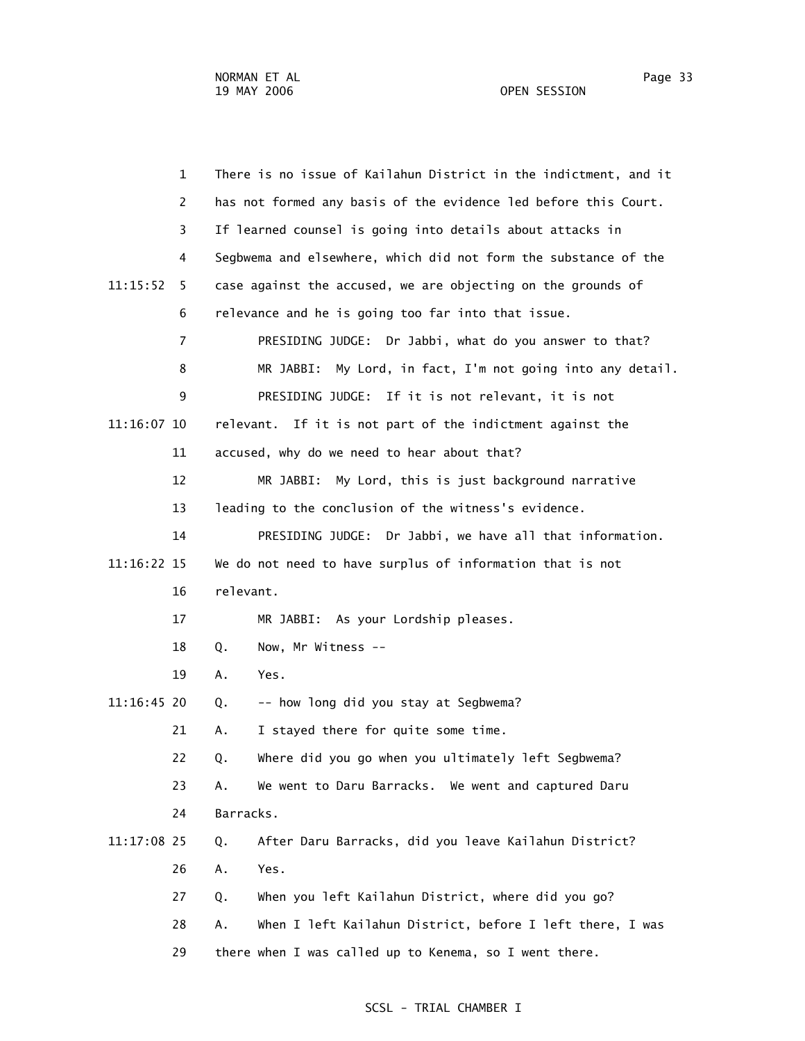1 There is no issue of Kailahun District in the indictment, and it 2 has not formed any basis of the evidence led before this Court. 3 If learned counsel is going into details about attacks in 4 Segbwema and elsewhere, which did not form the substance of the 11:15:52 5 case against the accused, we are objecting on the grounds of 6 relevance and he is going too far into that issue. 7 PRESIDING JUDGE: Dr Jabbi, what do you answer to that? 8 MR JABBI: My Lord, in fact, I'm not going into any detail. 9 PRESIDING JUDGE: If it is not relevant, it is not 11:16:07 10 relevant. If it is not part of the indictment against the 11 accused, why do we need to hear about that? 12 MR JABBI: My Lord, this is just background narrative 13 leading to the conclusion of the witness's evidence. 14 PRESIDING JUDGE: Dr Jabbi, we have all that information. 11:16:22 15 We do not need to have surplus of information that is not 16 relevant. 17 MR JABBI: As your Lordship pleases. 18 Q. Now, Mr Witness -- 19 A. Yes.  $11:16:45$  20  $Q.$  -- how long did you stay at Segbwema? 21 A. I stayed there for quite some time. 22 Q. Where did you go when you ultimately left Segbwema? 23 A. We went to Daru Barracks. We went and captured Daru 24 Barracks. 11:17:08 25 Q. After Daru Barracks, did you leave Kailahun District? 26 A. Yes. 27 Q. When you left Kailahun District, where did you go? 28 A. When I left Kailahun District, before I left there, I was 29 there when I was called up to Kenema, so I went there.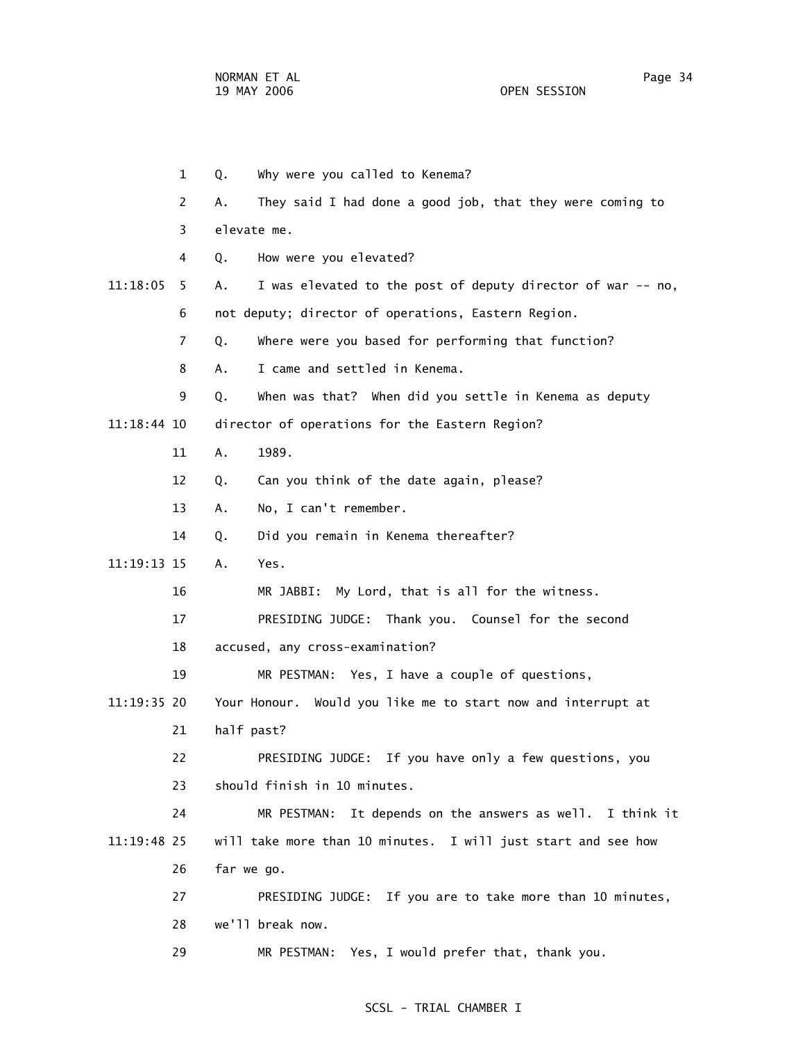1 Q. Why were you called to Kenema? 2 A. They said I had done a good job, that they were coming to 3 elevate me. 4 Q. How were you elevated? 11:18:05 5 A. I was elevated to the post of deputy director of war -- no, 6 not deputy; director of operations, Eastern Region. 7 Q. Where were you based for performing that function? 8 A. I came and settled in Kenema. 9 Q. When was that? When did you settle in Kenema as deputy 11:18:44 10 director of operations for the Eastern Region? 11 A. 1989. 12 Q. Can you think of the date again, please? 13 A. No, I can't remember. 14 Q. Did you remain in Kenema thereafter? 11:19:13 15 A. Yes. 16 MR JABBI: My Lord, that is all for the witness. 17 PRESIDING JUDGE: Thank you. Counsel for the second 18 accused, any cross-examination? 19 MR PESTMAN: Yes, I have a couple of questions, 11:19:35 20 Your Honour. Would you like me to start now and interrupt at 21 half past? 22 PRESIDING JUDGE: If you have only a few questions, you 23 should finish in 10 minutes. 24 MR PESTMAN: It depends on the answers as well. I think it 11:19:48 25 will take more than 10 minutes. I will just start and see how 26 far we go. 27 PRESIDING JUDGE: If you are to take more than 10 minutes, 28 we'll break now. 29 MR PESTMAN: Yes, I would prefer that, thank you.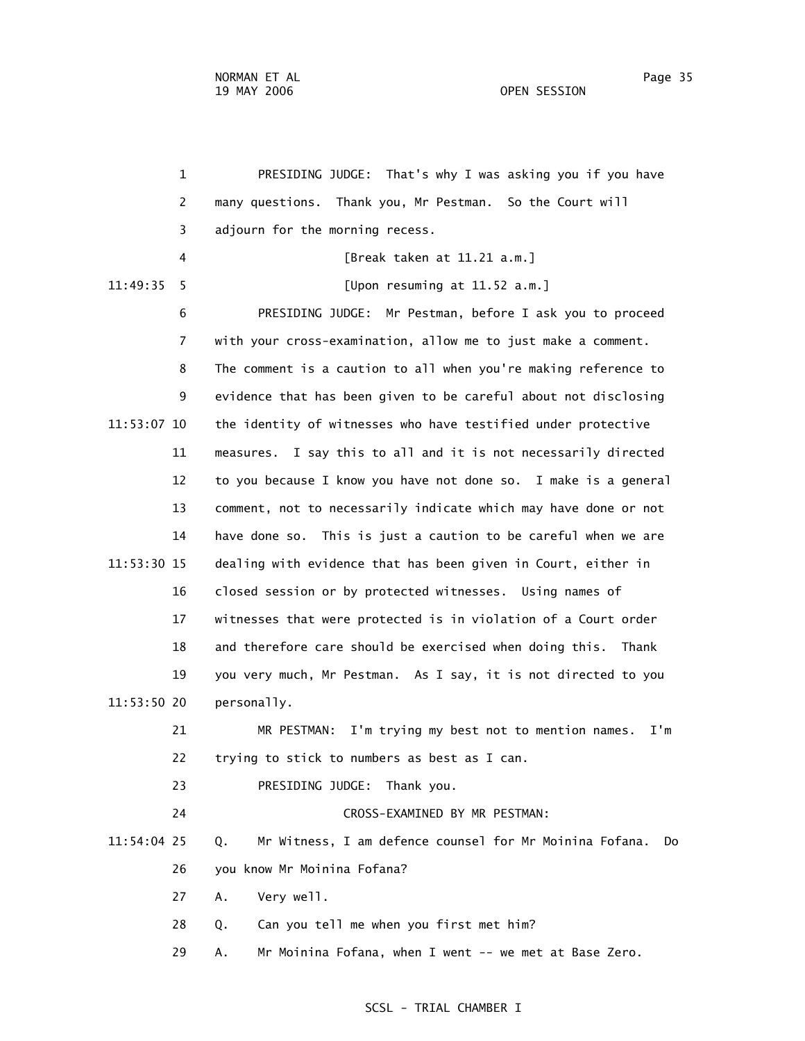1 PRESIDING JUDGE: That's why I was asking you if you have 2 many questions. Thank you, Mr Pestman. So the Court will 3 adjourn for the morning recess. 4 [Break taken at 11.21 a.m.] 11:49:35 5 [Upon resuming at 11.52 a.m.] 6 PRESIDING JUDGE: Mr Pestman, before I ask you to proceed 7 with your cross-examination, allow me to just make a comment. 8 The comment is a caution to all when you're making reference to 9 evidence that has been given to be careful about not disclosing 11:53:07 10 the identity of witnesses who have testified under protective 11 measures. I say this to all and it is not necessarily directed 12 to you because I know you have not done so. I make is a general 13 comment, not to necessarily indicate which may have done or not 14 have done so. This is just a caution to be careful when we are 11:53:30 15 dealing with evidence that has been given in Court, either in 16 closed session or by protected witnesses. Using names of 17 witnesses that were protected is in violation of a Court order 18 and therefore care should be exercised when doing this. Thank 19 you very much, Mr Pestman. As I say, it is not directed to you 11:53:50 20 personally. 21 MR PESTMAN: I'm trying my best not to mention names. I'm 22 trying to stick to numbers as best as I can. 23 PRESIDING JUDGE: Thank you. 24 CROSS-EXAMINED BY MR PESTMAN: 11:54:04 25 Q. Mr Witness, I am defence counsel for Mr Moinina Fofana. Do 26 you know Mr Moinina Fofana? 27 A. Very well. 28 Q. Can you tell me when you first met him? 29 A. Mr Moinina Fofana, when I went -- we met at Base Zero.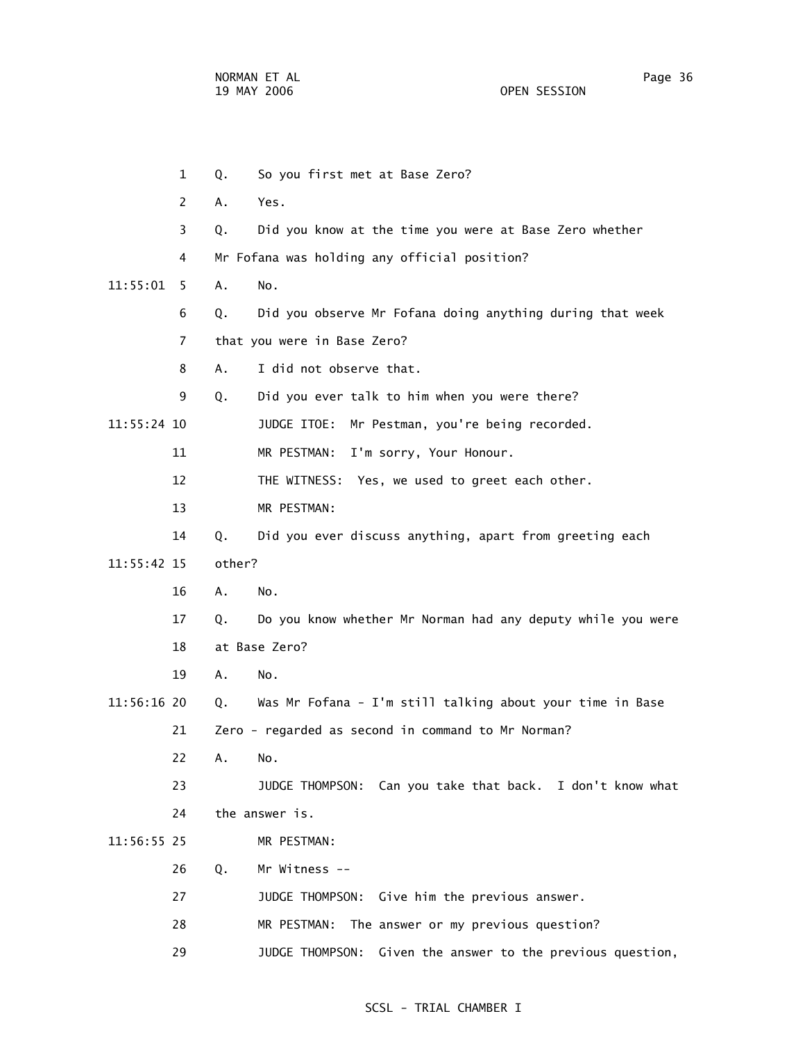1 Q. So you first met at Base Zero? 2 A. Yes. 3 Q. Did you know at the time you were at Base Zero whether 4 Mr Fofana was holding any official position? 11:55:01 5 A. No. 6 Q. Did you observe Mr Fofana doing anything during that week 7 that you were in Base Zero? 8 A. I did not observe that. 9 Q. Did you ever talk to him when you were there? 11:55:24 10 JUDGE ITOE: Mr Pestman, you're being recorded. 11 MR PESTMAN: I'm sorry, Your Honour. 12 THE WITNESS: Yes, we used to greet each other. 13 MR PESTMAN: 14 Q. Did you ever discuss anything, apart from greeting each 11:55:42 15 other? 16 A. No. 17 Q. Do you know whether Mr Norman had any deputy while you were 18 at Base Zero? 19 A. No. 11:56:16 20 Q. Was Mr Fofana - I'm still talking about your time in Base 21 Zero - regarded as second in command to Mr Norman? 22 A. No. 23 JUDGE THOMPSON: Can you take that back. I don't know what 24 the answer is. 11:56:55 25 MR PESTMAN: 26 Q. Mr Witness -- 27 JUDGE THOMPSON: Give him the previous answer. 28 MR PESTMAN: The answer or my previous question? 29 JUDGE THOMPSON: Given the answer to the previous question,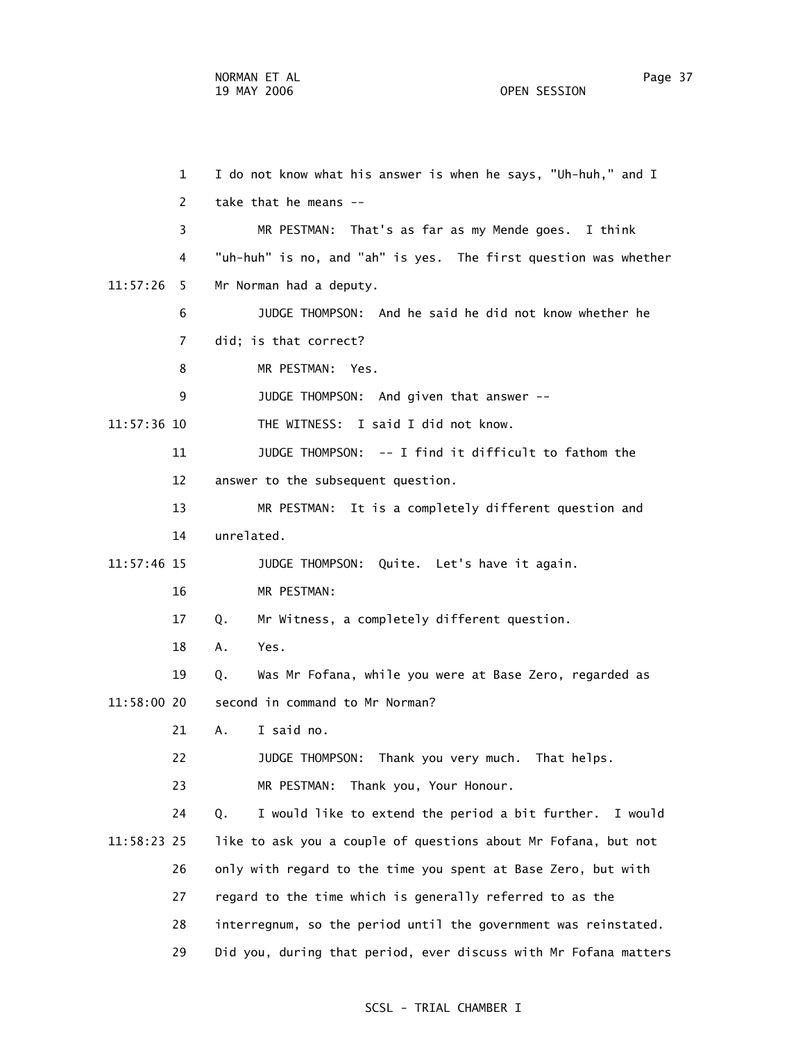1 I do not know what his answer is when he says, "Uh-huh," and I 2 take that he means -- 3 MR PESTMAN: That's as far as my Mende goes. I think 4 "uh-huh" is no, and "ah" is yes. The first question was whether 11:57:26 5 Mr Norman had a deputy. 6 JUDGE THOMPSON: And he said he did not know whether he 7 did; is that correct? 8 MR PESTMAN: Yes. 9 JUDGE THOMPSON: And given that answer -- 11:57:36 10 THE WITNESS: I said I did not know. 11 JUDGE THOMPSON: -- I find it difficult to fathom the 12 answer to the subsequent question. 13 MR PESTMAN: It is a completely different question and 14 unrelated. 11:57:46 15 JUDGE THOMPSON: Quite. Let's have it again. 16 MR PESTMAN: 17 Q. Mr Witness, a completely different question. 18 A. Yes. 19 Q. Was Mr Fofana, while you were at Base Zero, regarded as 11:58:00 20 second in command to Mr Norman? 21 A. I said no. 22 JUDGE THOMPSON: Thank you very much. That helps. 23 MR PESTMAN: Thank you, Your Honour. 24 Q. I would like to extend the period a bit further. I would 11:58:23 25 like to ask you a couple of questions about Mr Fofana, but not 26 only with regard to the time you spent at Base Zero, but with 27 regard to the time which is generally referred to as the 28 interregnum, so the period until the government was reinstated. 29 Did you, during that period, ever discuss with Mr Fofana matters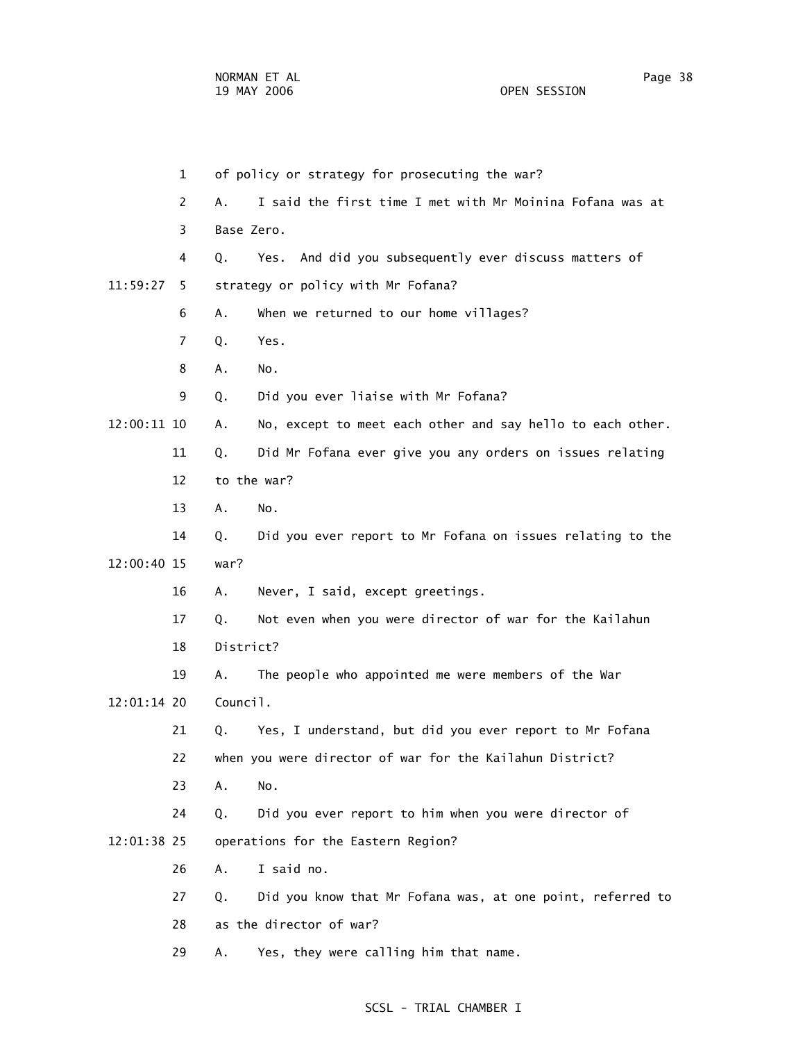1 of policy or strategy for prosecuting the war? 2 A. I said the first time I met with Mr Moinina Fofana was at 3 Base Zero. 4 Q. Yes. And did you subsequently ever discuss matters of 11:59:27 5 strategy or policy with Mr Fofana? 6 A. When we returned to our home villages? 7 Q. Yes. 8 A. No. 9 Q. Did you ever liaise with Mr Fofana? 12:00:11 10 A. No, except to meet each other and say hello to each other. 11 Q. Did Mr Fofana ever give you any orders on issues relating 12 to the war? 13 A. No. 14 Q. Did you ever report to Mr Fofana on issues relating to the 12:00:40 15 war? 16 A. Never, I said, except greetings. 17 Q. Not even when you were director of war for the Kailahun 18 District? 19 A. The people who appointed me were members of the War 12:01:14 20 Council. 21 Q. Yes, I understand, but did you ever report to Mr Fofana 22 when you were director of war for the Kailahun District? 23 A. No. 24 Q. Did you ever report to him when you were director of 12:01:38 25 operations for the Eastern Region? 26 A. I said no. 27 Q. Did you know that Mr Fofana was, at one point, referred to 28 as the director of war? 29 A. Yes, they were calling him that name.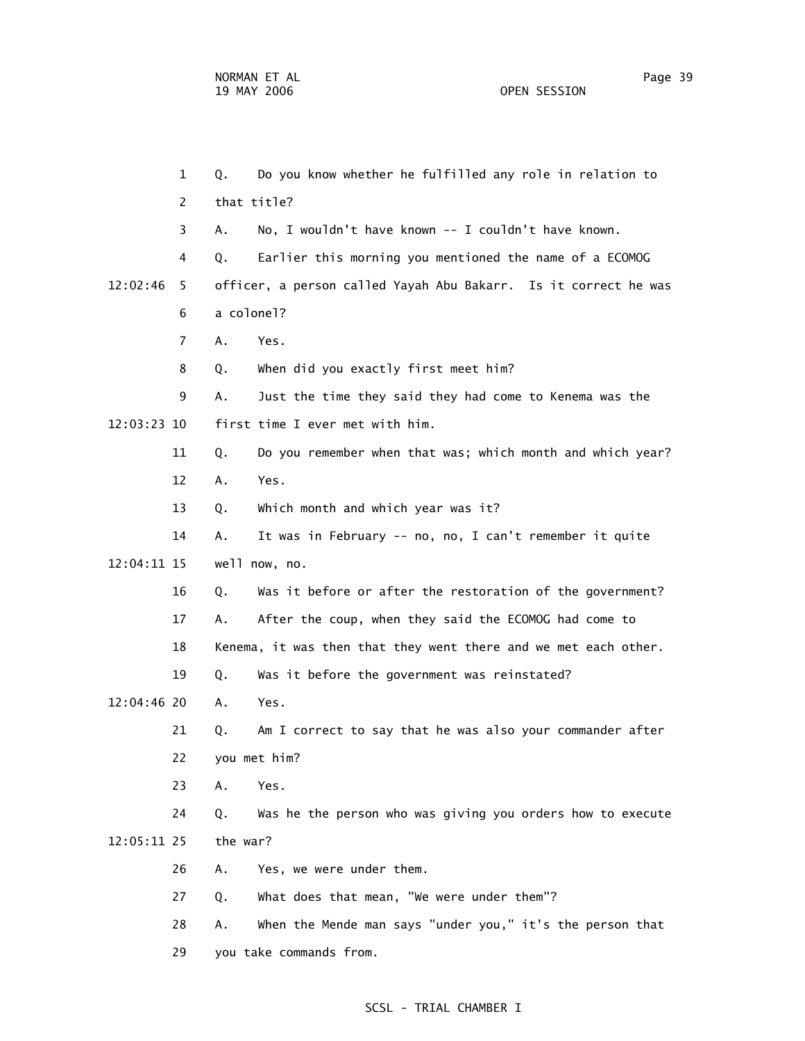1 Q. Do you know whether he fulfilled any role in relation to 2 that title? 3 A. No, I wouldn't have known -- I couldn't have known. 4 Q. Earlier this morning you mentioned the name of a ECOMOG 12:02:46 5 officer, a person called Yayah Abu Bakarr. Is it correct he was 6 a colonel? 7 A. Yes. 8 Q. When did you exactly first meet him? 9 A. Just the time they said they had come to Kenema was the 12:03:23 10 first time I ever met with him. 11 Q. Do you remember when that was; which month and which year? 12 A. Yes. 13 Q. Which month and which year was it? 14 A. It was in February -- no, no, I can't remember it quite 12:04:11 15 well now, no. 16 Q. Was it before or after the restoration of the government? 17 A. After the coup, when they said the ECOMOG had come to 18 Kenema, it was then that they went there and we met each other. 19 Q. Was it before the government was reinstated? 12:04:46 20 A. Yes. 21 Q. Am I correct to say that he was also your commander after 22 you met him? 23 A. Yes. 24 Q. Was he the person who was giving you orders how to execute 12:05:11 25 the war? 26 A. Yes, we were under them. 27 Q. What does that mean, "We were under them"? 28 A. When the Mende man says "under you," it's the person that 29 you take commands from.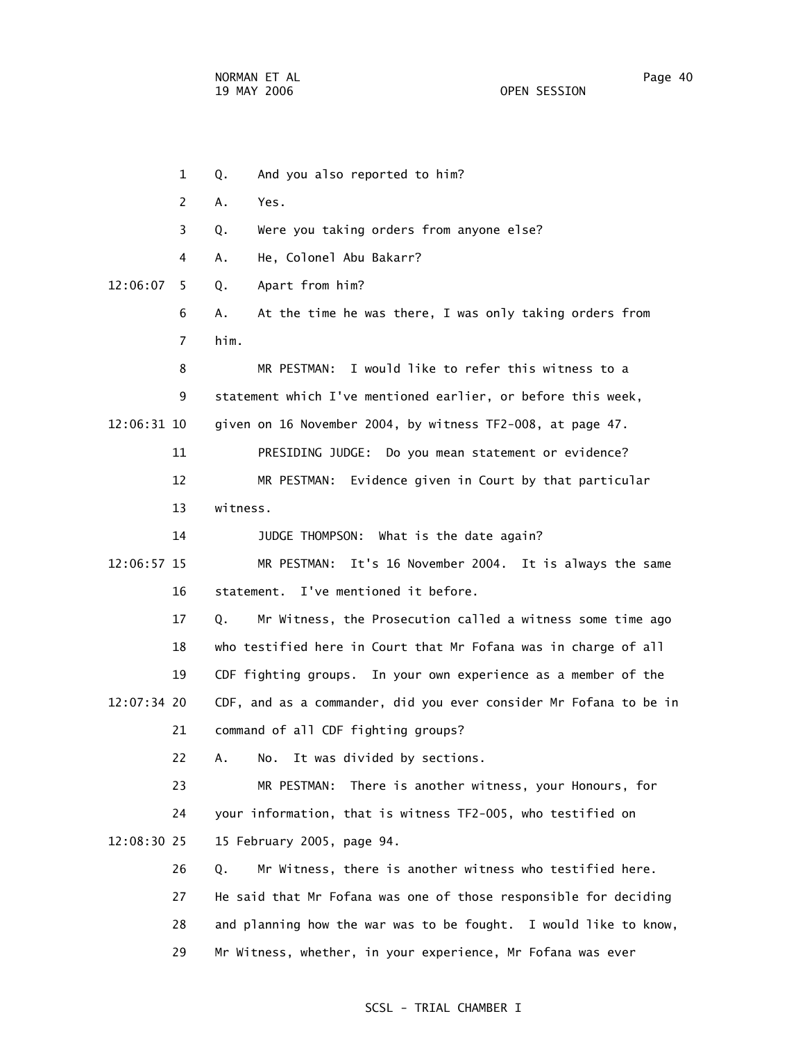1 Q. And you also reported to him? 2 A. Yes. 3 Q. Were you taking orders from anyone else? 4 A. He, Colonel Abu Bakarr? 12:06:07 5 Q. Apart from him? 6 A. At the time he was there, I was only taking orders from 7 him. 8 MR PESTMAN: I would like to refer this witness to a 9 statement which I've mentioned earlier, or before this week, 12:06:31 10 given on 16 November 2004, by witness TF2-008, at page 47. 11 PRESIDING JUDGE: Do you mean statement or evidence? 12 MR PESTMAN: Evidence given in Court by that particular 13 witness. 14 JUDGE THOMPSON: What is the date again? 12:06:57 15 MR PESTMAN: It's 16 November 2004. It is always the same 16 statement. I've mentioned it before. 17 Q. Mr Witness, the Prosecution called a witness some time ago 18 who testified here in Court that Mr Fofana was in charge of all 19 CDF fighting groups. In your own experience as a member of the 12:07:34 20 CDF, and as a commander, did you ever consider Mr Fofana to be in 21 command of all CDF fighting groups? 22 A. No. It was divided by sections. 23 MR PESTMAN: There is another witness, your Honours, for 24 your information, that is witness TF2-005, who testified on 12:08:30 25 15 February 2005, page 94. 26 Q. Mr Witness, there is another witness who testified here. 27 He said that Mr Fofana was one of those responsible for deciding 28 and planning how the war was to be fought. I would like to know, 29 Mr Witness, whether, in your experience, Mr Fofana was ever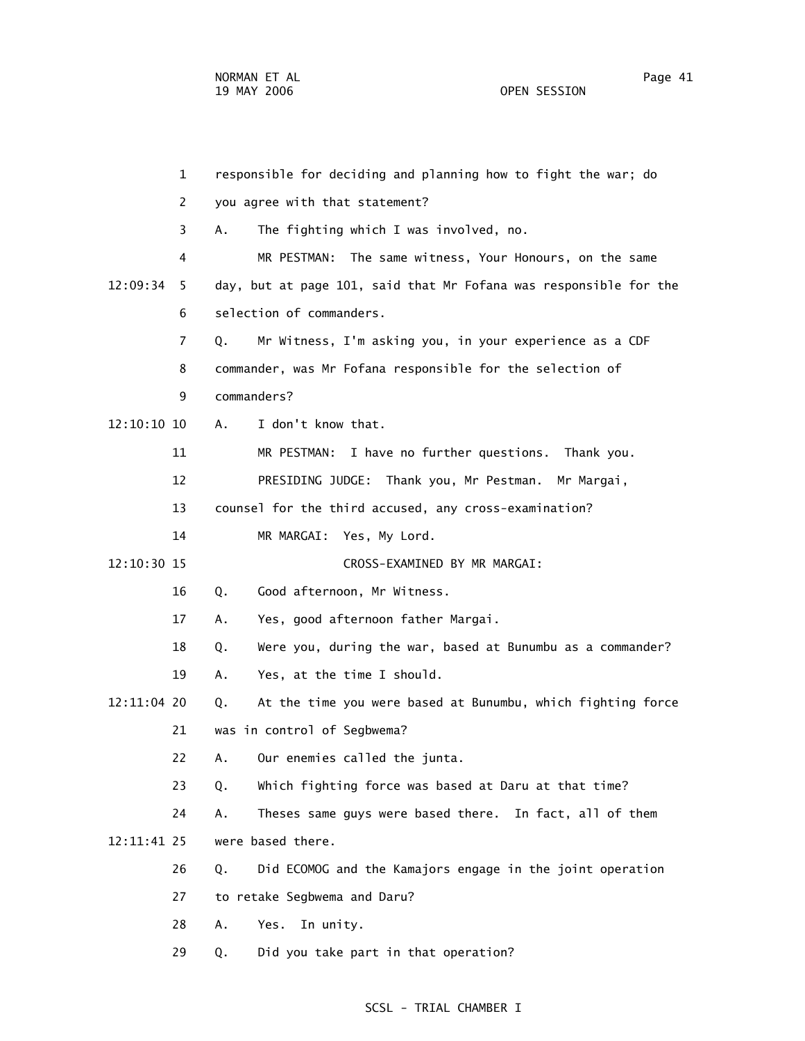1 responsible for deciding and planning how to fight the war; do 2 you agree with that statement? 3 A. The fighting which I was involved, no. 4 MR PESTMAN: The same witness, Your Honours, on the same 12:09:34 5 day, but at page 101, said that Mr Fofana was responsible for the 6 selection of commanders. 7 Q. Mr Witness, I'm asking you, in your experience as a CDF 8 commander, was Mr Fofana responsible for the selection of 9 commanders? 12:10:10 10 A. I don't know that. 11 MR PESTMAN: I have no further questions. Thank you. 12 PRESIDING JUDGE: Thank you, Mr Pestman. Mr Margai, 13 counsel for the third accused, any cross-examination? 14 MR MARGAI: Yes, My Lord. 12:10:30 15 CROSS-EXAMINED BY MR MARGAI: 16 Q. Good afternoon, Mr Witness. 17 A. Yes, good afternoon father Margai. 18 Q. Were you, during the war, based at Bunumbu as a commander? 19 A. Yes, at the time I should. 12:11:04 20 Q. At the time you were based at Bunumbu, which fighting force 21 was in control of Segbwema? 22 A. Our enemies called the junta. 23 Q. Which fighting force was based at Daru at that time? 24 A. Theses same guys were based there. In fact, all of them 12:11:41 25 were based there. 26 Q. Did ECOMOG and the Kamajors engage in the joint operation 27 to retake Segbwema and Daru? 28 A. Yes. In unity. 29 Q. Did you take part in that operation?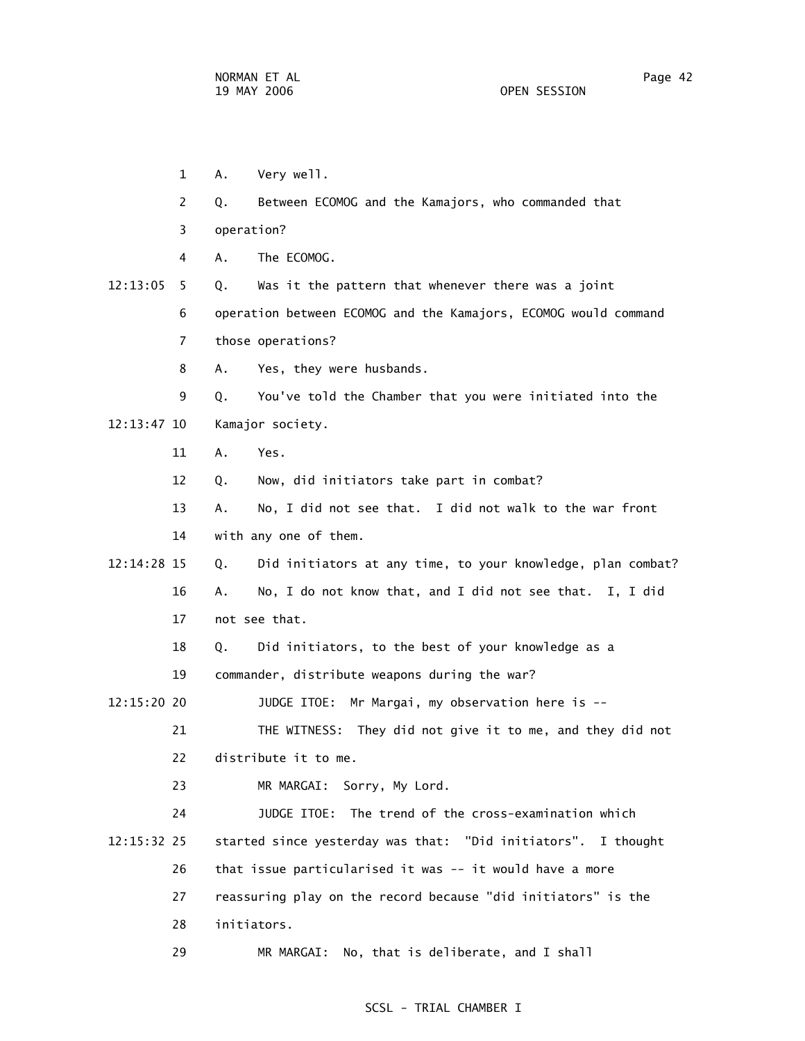- 1 A. Very well.
- 2 Q. Between ECOMOG and the Kamajors, who commanded that
- 3 operation?
- 4 A. The ECOMOG.
- 12:13:05 5 Q. Was it the pattern that whenever there was a joint 6 operation between ECOMOG and the Kamajors, ECOMOG would command 7 those operations?
	-
	- 8 A. Yes, they were husbands.
- 9 Q. You've told the Chamber that you were initiated into the 12:13:47 10 Kamajor society.
	- 11 A. Yes.
	- 12 Q. Now, did initiators take part in combat?
	- 13 A. No, I did not see that. I did not walk to the war front 14 with any one of them.
- 12:14:28 15 Q. Did initiators at any time, to your knowledge, plan combat? 16 A. No, I do not know that, and I did not see that. I, I did 17 not see that.
	- 18 Q. Did initiators, to the best of your knowledge as a
	- 19 commander, distribute weapons during the war?

12:15:20 20 JUDGE ITOE: Mr Margai, my observation here is --

 21 THE WITNESS: They did not give it to me, and they did not 22 distribute it to me.

- 23 MR MARGAI: Sorry, My Lord.
- 24 JUDGE ITOE: The trend of the cross-examination which 12:15:32 25 started since yesterday was that: "Did initiators". I thought 26 that issue particularised it was -- it would have a more 27 reassuring play on the record because "did initiators" is the 28 initiators.
	- 29 MR MARGAI: No, that is deliberate, and I shall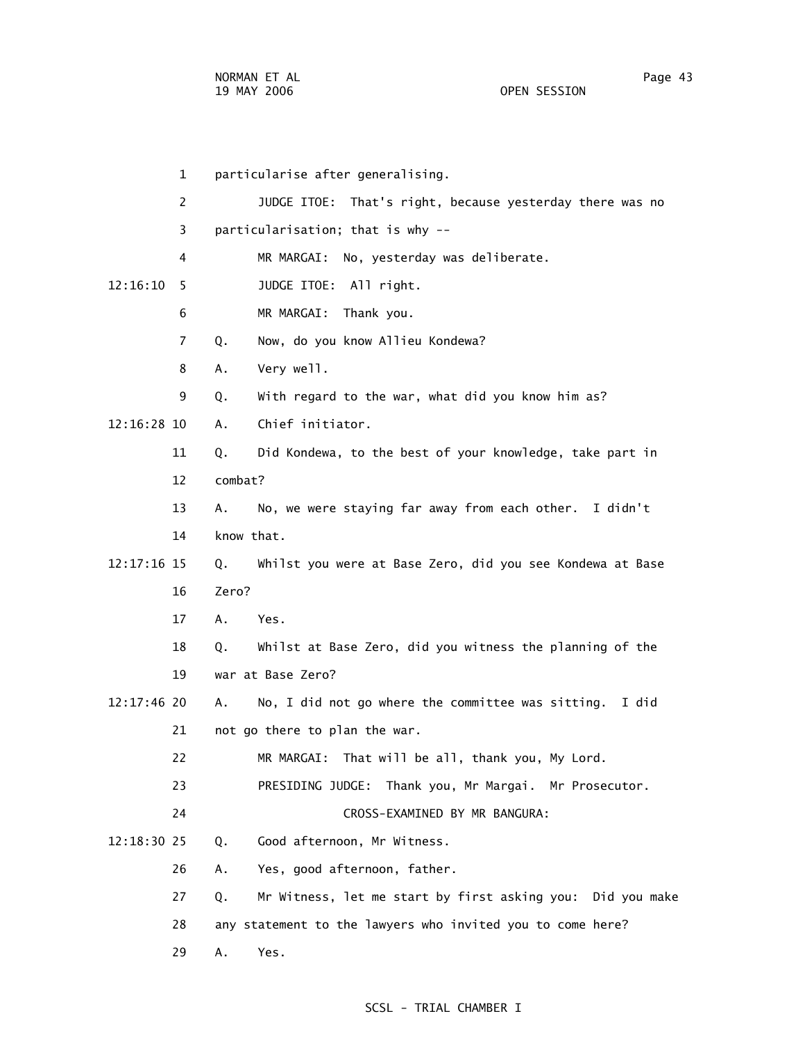1 particularise after generalising. 2 JUDGE ITOE: That's right, because yesterday there was no 3 particularisation; that is why -- 4 MR MARGAI: No, yesterday was deliberate. 12:16:10 5 JUDGE ITOE: All right. 6 MR MARGAI: Thank you. 7 Q. Now, do you know Allieu Kondewa? 8 A. Very well. 9 Q. With regard to the war, what did you know him as? 12:16:28 10 A. Chief initiator. 11 Q. Did Kondewa, to the best of your knowledge, take part in 12 combat? 13 A. No, we were staying far away from each other. I didn't 14 know that. 12:17:16 15 Q. Whilst you were at Base Zero, did you see Kondewa at Base 16 Zero? 17 A. Yes. 18 Q. Whilst at Base Zero, did you witness the planning of the 19 war at Base Zero? 12:17:46 20 A. No, I did not go where the committee was sitting. I did 21 not go there to plan the war. 22 MR MARGAI: That will be all, thank you, My Lord. 23 PRESIDING JUDGE: Thank you, Mr Margai. Mr Prosecutor. 24 CROSS-EXAMINED BY MR BANGURA: 12:18:30 25 Q. Good afternoon, Mr Witness. 26 A. Yes, good afternoon, father. 27 Q. Mr Witness, let me start by first asking you: Did you make 28 any statement to the lawyers who invited you to come here? 29 A. Yes.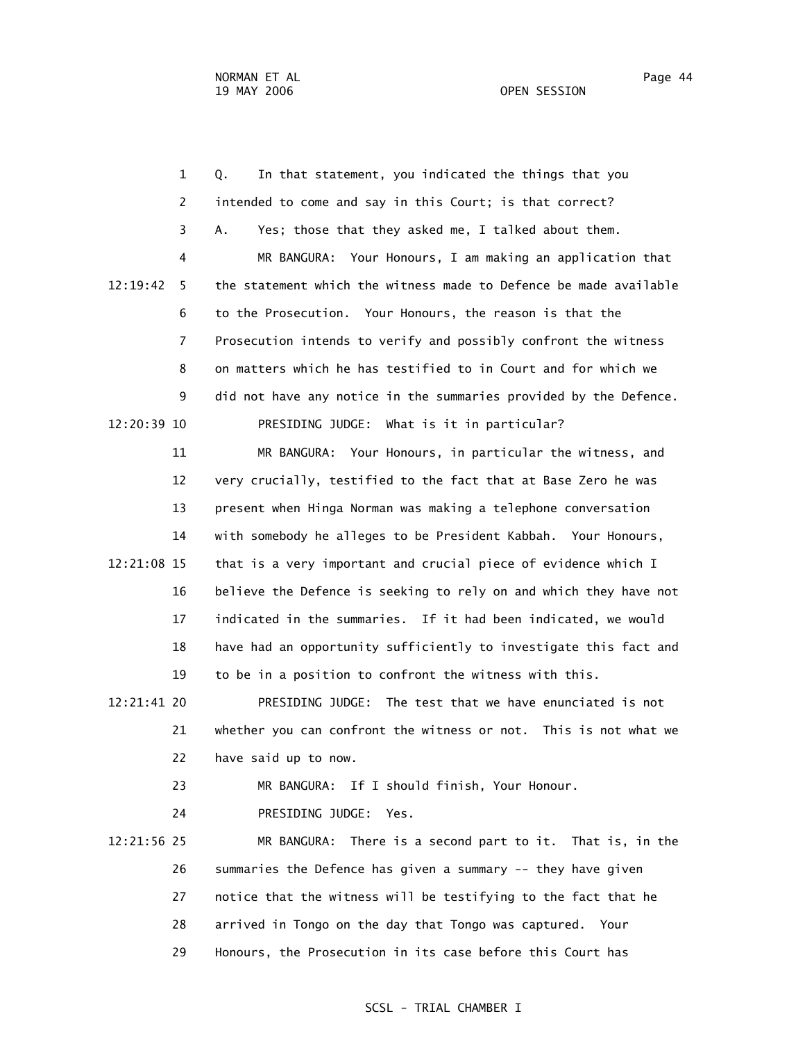1 Q. In that statement, you indicated the things that you 2 intended to come and say in this Court; is that correct? 3 A. Yes; those that they asked me, I talked about them. 4 MR BANGURA: Your Honours, I am making an application that 12:19:42 5 the statement which the witness made to Defence be made available 6 to the Prosecution. Your Honours, the reason is that the 7 Prosecution intends to verify and possibly confront the witness 8 on matters which he has testified to in Court and for which we 9 did not have any notice in the summaries provided by the Defence. 12:20:39 10 PRESIDING JUDGE: What is it in particular? 11 MR BANGURA: Your Honours, in particular the witness, and 12 very crucially, testified to the fact that at Base Zero he was 13 present when Hinga Norman was making a telephone conversation 14 with somebody he alleges to be President Kabbah. Your Honours, 12:21:08 15 that is a very important and crucial piece of evidence which I 16 believe the Defence is seeking to rely on and which they have not 17 indicated in the summaries. If it had been indicated, we would 18 have had an opportunity sufficiently to investigate this fact and 19 to be in a position to confront the witness with this. 12:21:41 20 PRESIDING JUDGE: The test that we have enunciated is not 21 whether you can confront the witness or not. This is not what we 22 have said up to now. 23 MR BANGURA: If I should finish, Your Honour. 24 PRESIDING JUDGE: Yes.

 12:21:56 25 MR BANGURA: There is a second part to it. That is, in the 26 summaries the Defence has given a summary -- they have given 27 notice that the witness will be testifying to the fact that he 28 arrived in Tongo on the day that Tongo was captured. Your 29 Honours, the Prosecution in its case before this Court has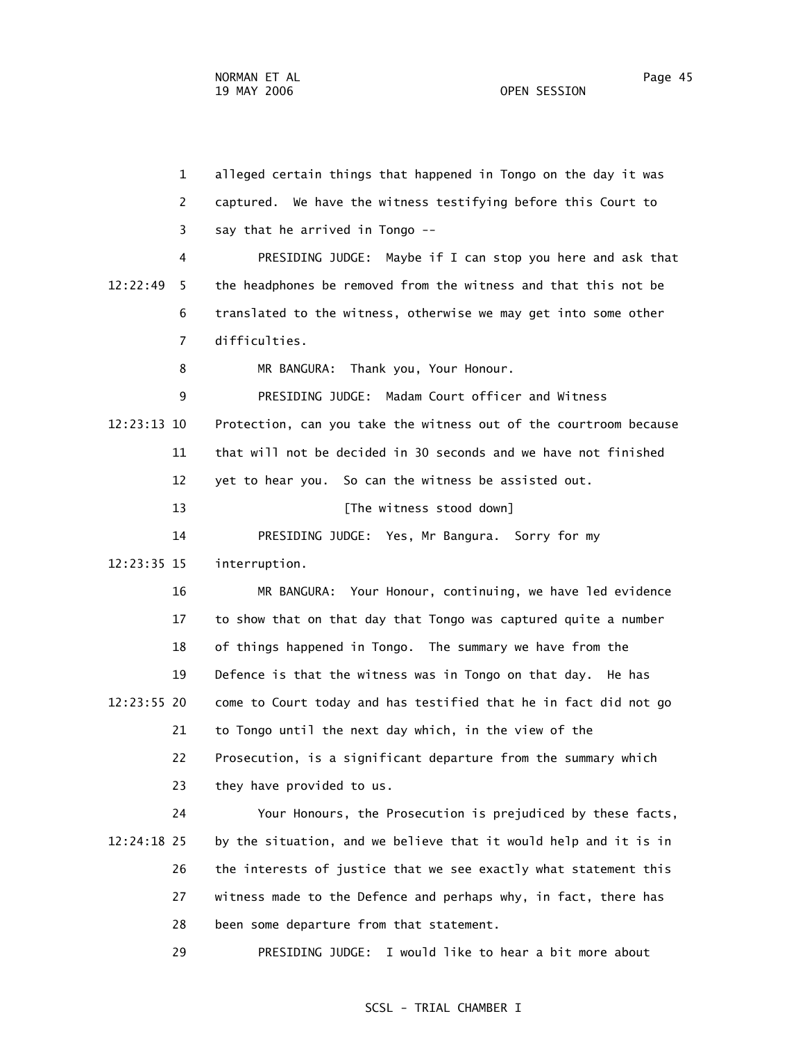1 alleged certain things that happened in Tongo on the day it was 2 captured. We have the witness testifying before this Court to 3 say that he arrived in Tongo -- 4 PRESIDING JUDGE: Maybe if I can stop you here and ask that 12:22:49 5 the headphones be removed from the witness and that this not be 6 translated to the witness, otherwise we may get into some other 7 difficulties. 8 MR BANGURA: Thank you, Your Honour. 9 PRESIDING JUDGE: Madam Court officer and Witness 12:23:13 10 Protection, can you take the witness out of the courtroom because 11 that will not be decided in 30 seconds and we have not finished 12 yet to hear you. So can the witness be assisted out. 13 **Example 13** [The witness stood down] 14 PRESIDING JUDGE: Yes, Mr Bangura. Sorry for my 12:23:35 15 interruption. 16 MR BANGURA: Your Honour, continuing, we have led evidence 17 to show that on that day that Tongo was captured quite a number 18 of things happened in Tongo. The summary we have from the 19 Defence is that the witness was in Tongo on that day. He has 12:23:55 20 come to Court today and has testified that he in fact did not go 21 to Tongo until the next day which, in the view of the 22 Prosecution, is a significant departure from the summary which 23 they have provided to us. 24 Your Honours, the Prosecution is prejudiced by these facts,

 12:24:18 25 by the situation, and we believe that it would help and it is in 26 the interests of justice that we see exactly what statement this 27 witness made to the Defence and perhaps why, in fact, there has 28 been some departure from that statement.

29 PRESIDING JUDGE: I would like to hear a bit more about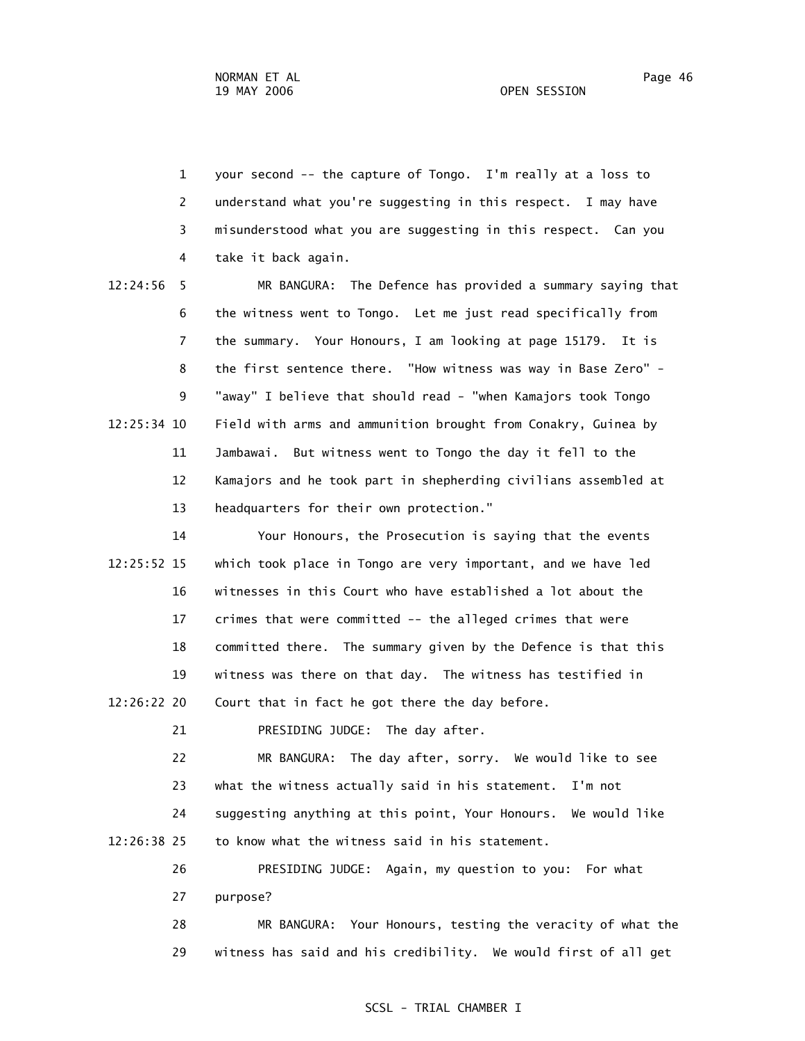1 your second -- the capture of Tongo. I'm really at a loss to 2 understand what you're suggesting in this respect. I may have 3 misunderstood what you are suggesting in this respect. Can you 4 take it back again.

 12:24:56 5 MR BANGURA: The Defence has provided a summary saying that 6 the witness went to Tongo. Let me just read specifically from 7 the summary. Your Honours, I am looking at page 15179. It is 8 the first sentence there. "How witness was way in Base Zero" - 9 "away" I believe that should read - "when Kamajors took Tongo 12:25:34 10 Field with arms and ammunition brought from Conakry, Guinea by 11 Jambawai. But witness went to Tongo the day it fell to the 12 Kamajors and he took part in shepherding civilians assembled at 13 headquarters for their own protection."

 14 Your Honours, the Prosecution is saying that the events 12:25:52 15 which took place in Tongo are very important, and we have led 16 witnesses in this Court who have established a lot about the 17 crimes that were committed -- the alleged crimes that were 18 committed there. The summary given by the Defence is that this 19 witness was there on that day. The witness has testified in 12:26:22 20 Court that in fact he got there the day before.

21 PRESIDING JUDGE: The day after.

 22 MR BANGURA: The day after, sorry. We would like to see 23 what the witness actually said in his statement. I'm not 24 suggesting anything at this point, Your Honours. We would like 12:26:38 25 to know what the witness said in his statement.

> 26 PRESIDING JUDGE: Again, my question to you: For what 27 purpose?

 28 MR BANGURA: Your Honours, testing the veracity of what the 29 witness has said and his credibility. We would first of all get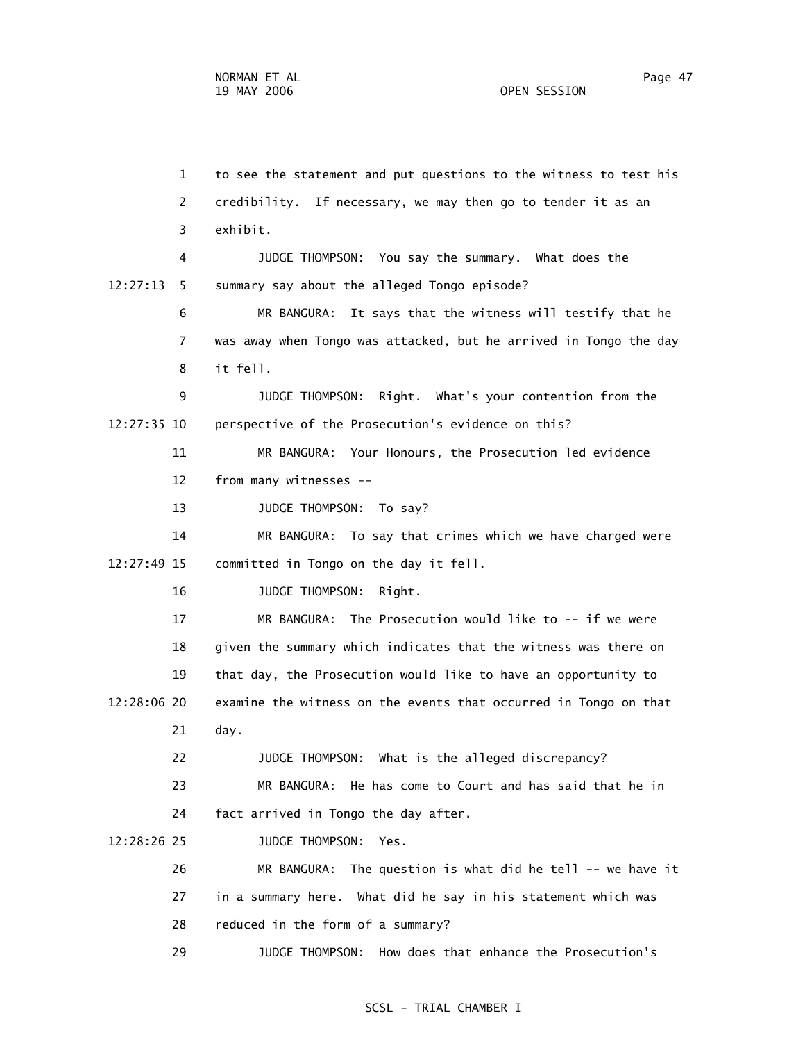1 to see the statement and put questions to the witness to test his 2 credibility. If necessary, we may then go to tender it as an 3 exhibit. 4 JUDGE THOMPSON: You say the summary. What does the 12:27:13 5 summary say about the alleged Tongo episode? 6 MR BANGURA: It says that the witness will testify that he 7 was away when Tongo was attacked, but he arrived in Tongo the day 8 it fell. 9 JUDGE THOMPSON: Right. What's your contention from the 12:27:35 10 perspective of the Prosecution's evidence on this? 11 MR BANGURA: Your Honours, the Prosecution led evidence 12 from many witnesses -- 13 JUDGE THOMPSON: To say? 14 MR BANGURA: To say that crimes which we have charged were 12:27:49 15 committed in Tongo on the day it fell. 16 JUDGE THOMPSON: Right. 17 MR BANGURA: The Prosecution would like to -- if we were 18 given the summary which indicates that the witness was there on 19 that day, the Prosecution would like to have an opportunity to 12:28:06 20 examine the witness on the events that occurred in Tongo on that 21 day. 22 JUDGE THOMPSON: What is the alleged discrepancy? 23 MR BANGURA: He has come to Court and has said that he in 24 fact arrived in Tongo the day after. 12:28:26 25 JUDGE THOMPSON: Yes. 26 MR BANGURA: The question is what did he tell -- we have it 27 in a summary here. What did he say in his statement which was 28 reduced in the form of a summary? 29 JUDGE THOMPSON: How does that enhance the Prosecution's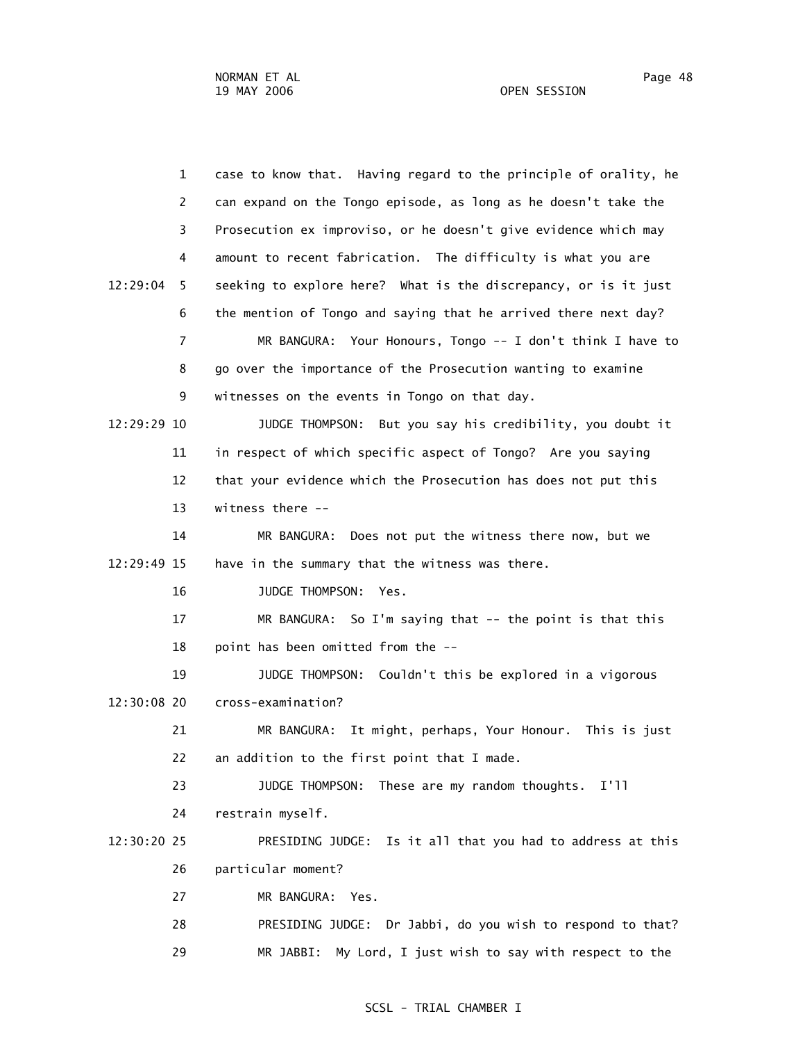1 case to know that. Having regard to the principle of orality, he 2 can expand on the Tongo episode, as long as he doesn't take the 3 Prosecution ex improviso, or he doesn't give evidence which may 4 amount to recent fabrication. The difficulty is what you are 12:29:04 5 seeking to explore here? What is the discrepancy, or is it just 6 the mention of Tongo and saying that he arrived there next day? 7 MR BANGURA: Your Honours, Tongo -- I don't think I have to 8 go over the importance of the Prosecution wanting to examine 9 witnesses on the events in Tongo on that day. 12:29:29 10 JUDGE THOMPSON: But you say his credibility, you doubt it 11 in respect of which specific aspect of Tongo? Are you saying 12 that your evidence which the Prosecution has does not put this 13 witness there -- 14 MR BANGURA: Does not put the witness there now, but we 12:29:49 15 have in the summary that the witness was there. 16 JUDGE THOMPSON: Yes. 17 MR BANGURA: So I'm saying that -- the point is that this 18 point has been omitted from the -- 19 JUDGE THOMPSON: Couldn't this be explored in a vigorous 12:30:08 20 cross-examination? 21 MR BANGURA: It might, perhaps, Your Honour. This is just 22 an addition to the first point that I made. 23 JUDGE THOMPSON: These are my random thoughts. I'll 24 restrain myself. 12:30:20 25 PRESIDING JUDGE: Is it all that you had to address at this 26 particular moment? 27 MR BANGURA: Yes. 28 PRESIDING JUDGE: Dr Jabbi, do you wish to respond to that? 29 MR JABBI: My Lord, I just wish to say with respect to the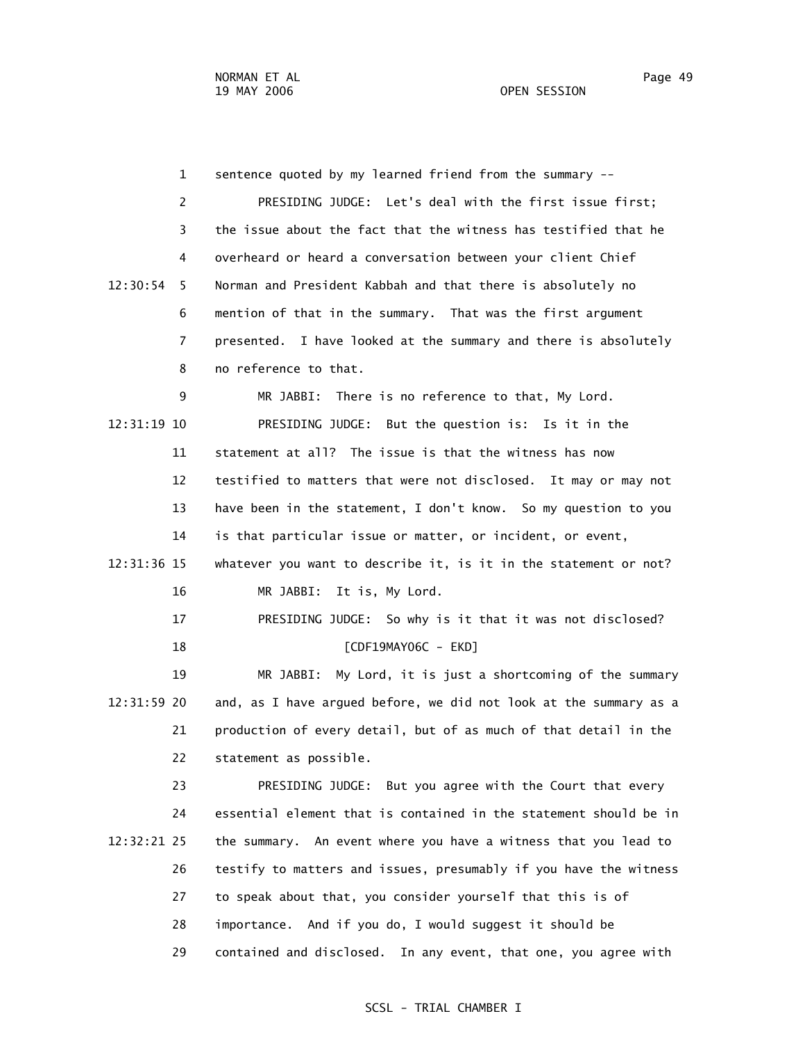1 sentence quoted by my learned friend from the summary -- 2 PRESIDING JUDGE: Let's deal with the first issue first; 3 the issue about the fact that the witness has testified that he 4 overheard or heard a conversation between your client Chief 12:30:54 5 Norman and President Kabbah and that there is absolutely no 6 mention of that in the summary. That was the first argument 7 presented. I have looked at the summary and there is absolutely 8 no reference to that. 9 MR JABBI: There is no reference to that, My Lord. 12:31:19 10 PRESIDING JUDGE: But the question is: Is it in the 11 statement at all? The issue is that the witness has now 12 testified to matters that were not disclosed. It may or may not 13 have been in the statement, I don't know. So my question to you 14 is that particular issue or matter, or incident, or event, 12:31:36 15 whatever you want to describe it, is it in the statement or not? 16 MR JABBI: It is, My Lord. 17 PRESIDING JUDGE: So why is it that it was not disclosed? 18 [CDF19MAY06C - EKD] 19 MR JABBI: My Lord, it is just a shortcoming of the summary 12:31:59 20 and, as I have argued before, we did not look at the summary as a 21 production of every detail, but of as much of that detail in the 22 statement as possible. 23 PRESIDING JUDGE: But you agree with the Court that every 24 essential element that is contained in the statement should be in 12:32:21 25 the summary. An event where you have a witness that you lead to 26 testify to matters and issues, presumably if you have the witness 27 to speak about that, you consider yourself that this is of 28 importance. And if you do, I would suggest it should be

29 contained and disclosed. In any event, that one, you agree with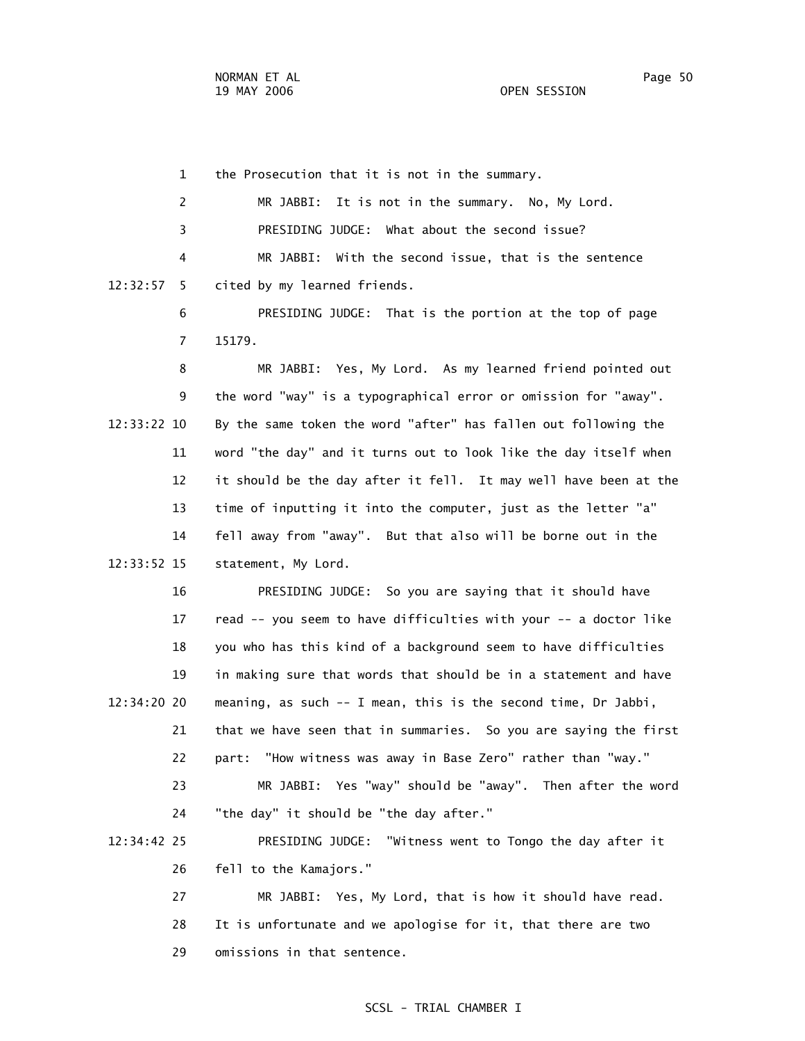1 the Prosecution that it is not in the summary. 2 MR JABBI: It is not in the summary. No, My Lord. 3 PRESIDING JUDGE: What about the second issue? 4 MR JABBI: With the second issue, that is the sentence 12:32:57 5 cited by my learned friends. 6 PRESIDING JUDGE: That is the portion at the top of page 7 15179.

 8 MR JABBI: Yes, My Lord. As my learned friend pointed out 9 the word "way" is a typographical error or omission for "away". 12:33:22 10 By the same token the word "after" has fallen out following the 11 word "the day" and it turns out to look like the day itself when 12 it should be the day after it fell. It may well have been at the 13 time of inputting it into the computer, just as the letter "a" 14 fell away from "away". But that also will be borne out in the 12:33:52 15 statement, My Lord.

 16 PRESIDING JUDGE: So you are saying that it should have 17 read -- you seem to have difficulties with your -- a doctor like 18 you who has this kind of a background seem to have difficulties 19 in making sure that words that should be in a statement and have 12:34:20 20 meaning, as such -- I mean, this is the second time, Dr Jabbi, 21 that we have seen that in summaries. So you are saying the first 22 part: "How witness was away in Base Zero" rather than "way." 23 MR JABBI: Yes "way" should be "away". Then after the word 24 "the day" it should be "the day after." 12:34:42 25 PRESIDING JUDGE: "Witness went to Tongo the day after it 26 fell to the Kamajors."

> 27 MR JABBI: Yes, My Lord, that is how it should have read. 28 It is unfortunate and we apologise for it, that there are two 29 omissions in that sentence.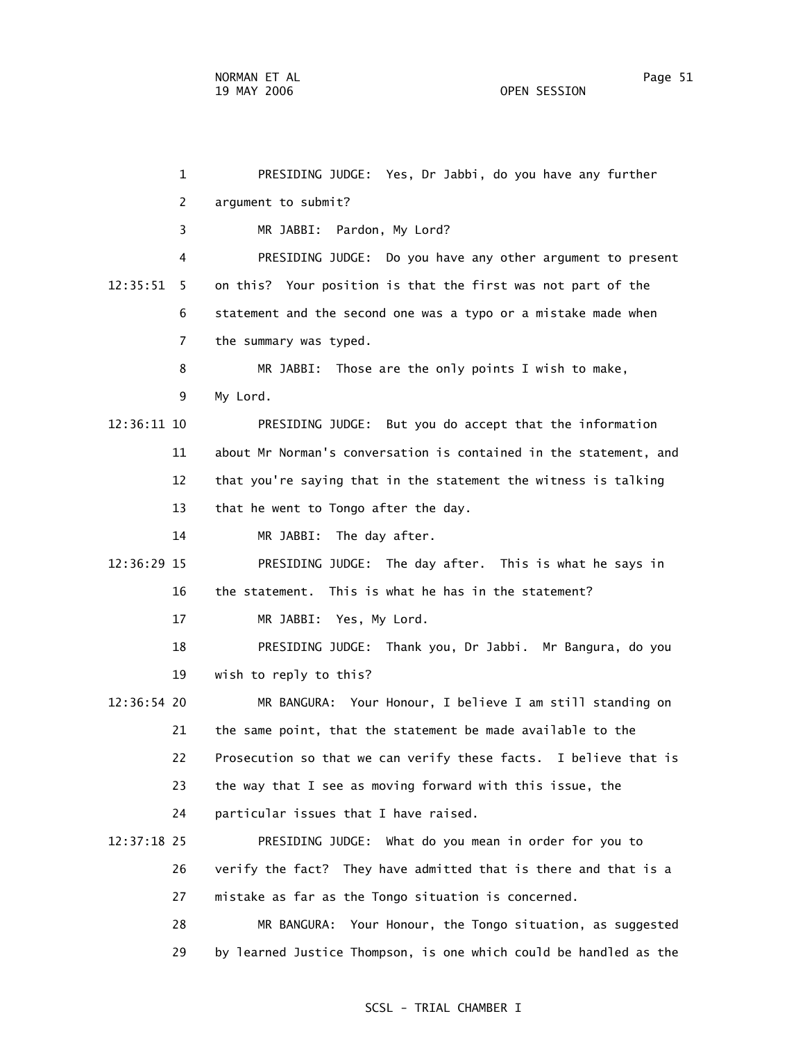| 1             | PRESIDING JUDGE: Yes, Dr Jabbi, do you have any further           |
|---------------|-------------------------------------------------------------------|
| 2             | argument to submit?                                               |
| 3             | MR JABBI: Pardon, My Lord?                                        |
| 4             | PRESIDING JUDGE: Do you have any other argument to present        |
| 12:35:51<br>5 | on this? Your position is that the first was not part of the      |
| 6             | statement and the second one was a typo or a mistake made when    |
| 7             | the summary was typed.                                            |
| 8             | MR JABBI: Those are the only points I wish to make,               |
| 9             | My Lord.                                                          |
| 12:36:11 10   | PRESIDING JUDGE: But you do accept that the information           |
| 11            | about Mr Norman's conversation is contained in the statement, and |
| 12            | that you're saying that in the statement the witness is talking   |
| 13            | that he went to Tongo after the day.                              |
| 14            | MR JABBI: The day after.                                          |
| 12:36:29 15   | PRESIDING JUDGE: The day after. This is what he says in           |
| 16            | the statement. This is what he has in the statement?              |
| 17            | MR JABBI: Yes, My Lord.                                           |
| 18            | PRESIDING JUDGE: Thank you, Dr Jabbi. Mr Bangura, do you          |
| 19            | wish to reply to this?                                            |
| $12:36:54$ 20 | MR BANGURA: Your Honour, I believe I am still standing on         |
| 21            | the same point, that the statement be made available to the       |
| 22            | Prosecution so that we can verify these facts. I believe that is  |
| 23            | the way that I see as moving forward with this issue, the         |
| 24            | particular issues that I have raised.                             |
| 12:37:18 25   | PRESIDING JUDGE: What do you mean in order for you to             |
| 26            | verify the fact? They have admitted that is there and that is a   |
| 27            | mistake as far as the Tongo situation is concerned.               |
| 28            | Your Honour, the Tongo situation, as suggested<br>MR BANGURA:     |
| 29            | by learned Justice Thompson, is one which could be handled as the |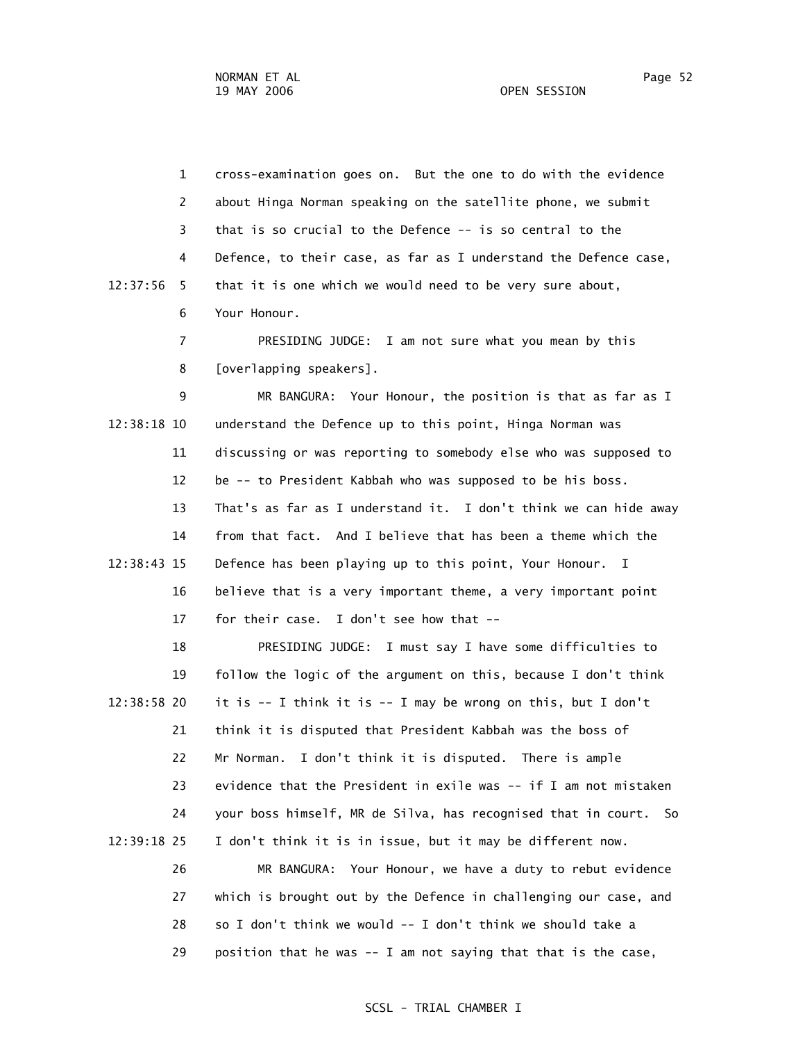1 cross-examination goes on. But the one to do with the evidence 2 about Hinga Norman speaking on the satellite phone, we submit 3 that is so crucial to the Defence -- is so central to the 4 Defence, to their case, as far as I understand the Defence case, 12:37:56 5 that it is one which we would need to be very sure about, 6 Your Honour.

> 7 PRESIDING JUDGE: I am not sure what you mean by this 8 [overlapping speakers].

 9 MR BANGURA: Your Honour, the position is that as far as I 12:38:18 10 understand the Defence up to this point, Hinga Norman was 11 discussing or was reporting to somebody else who was supposed to 12 be -- to President Kabbah who was supposed to be his boss. 13 That's as far as I understand it. I don't think we can hide away 14 from that fact. And I believe that has been a theme which the 12:38:43 15 Defence has been playing up to this point, Your Honour. I 16 believe that is a very important theme, a very important point 17 for their case. I don't see how that --

 18 PRESIDING JUDGE: I must say I have some difficulties to 19 follow the logic of the argument on this, because I don't think 12:38:58 20 it is  $-$  I think it is  $-$  I may be wrong on this, but I don't 21 think it is disputed that President Kabbah was the boss of 22 Mr Norman. I don't think it is disputed. There is ample 23 evidence that the President in exile was -- if I am not mistaken 24 your boss himself, MR de Silva, has recognised that in court. So 12:39:18 25 I don't think it is in issue, but it may be different now. 26 MR BANGURA: Your Honour, we have a duty to rebut evidence 27 which is brought out by the Defence in challenging our case, and

> 28 so I don't think we would -- I don't think we should take a 29 position that he was -- I am not saying that that is the case,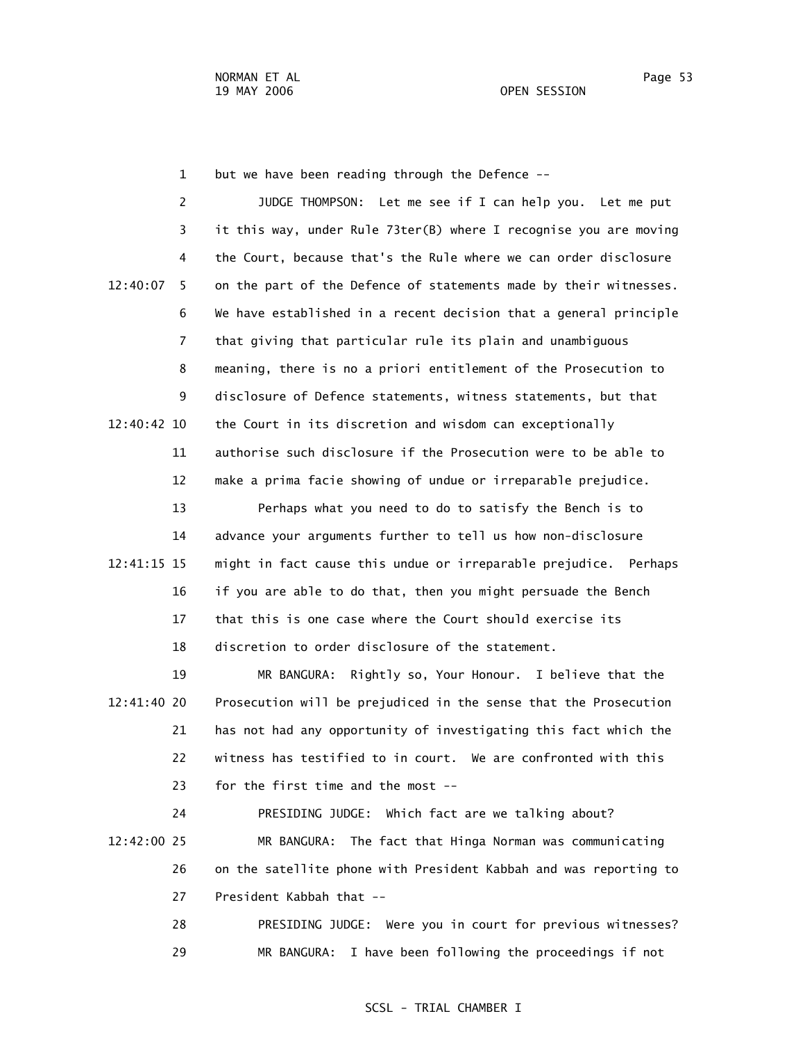1 but we have been reading through the Defence --

 2 JUDGE THOMPSON: Let me see if I can help you. Let me put 3 it this way, under Rule 73ter(B) where I recognise you are moving 4 the Court, because that's the Rule where we can order disclosure 12:40:07 5 on the part of the Defence of statements made by their witnesses. 6 We have established in a recent decision that a general principle 7 that giving that particular rule its plain and unambiguous 8 meaning, there is no a priori entitlement of the Prosecution to 9 disclosure of Defence statements, witness statements, but that 12:40:42 10 the Court in its discretion and wisdom can exceptionally 11 authorise such disclosure if the Prosecution were to be able to 12 make a prima facie showing of undue or irreparable prejudice.

 13 Perhaps what you need to do to satisfy the Bench is to 14 advance your arguments further to tell us how non-disclosure 12:41:15 15 might in fact cause this undue or irreparable prejudice. Perhaps 16 if you are able to do that, then you might persuade the Bench 17 that this is one case where the Court should exercise its 18 discretion to order disclosure of the statement.

 19 MR BANGURA: Rightly so, Your Honour. I believe that the 12:41:40 20 Prosecution will be prejudiced in the sense that the Prosecution 21 has not had any opportunity of investigating this fact which the 22 witness has testified to in court. We are confronted with this 23 for the first time and the most --

 24 PRESIDING JUDGE: Which fact are we talking about? 12:42:00 25 MR BANGURA: The fact that Hinga Norman was communicating 26 on the satellite phone with President Kabbah and was reporting to 27 President Kabbah that --

> 28 PRESIDING JUDGE: Were you in court for previous witnesses? 29 MR BANGURA: I have been following the proceedings if not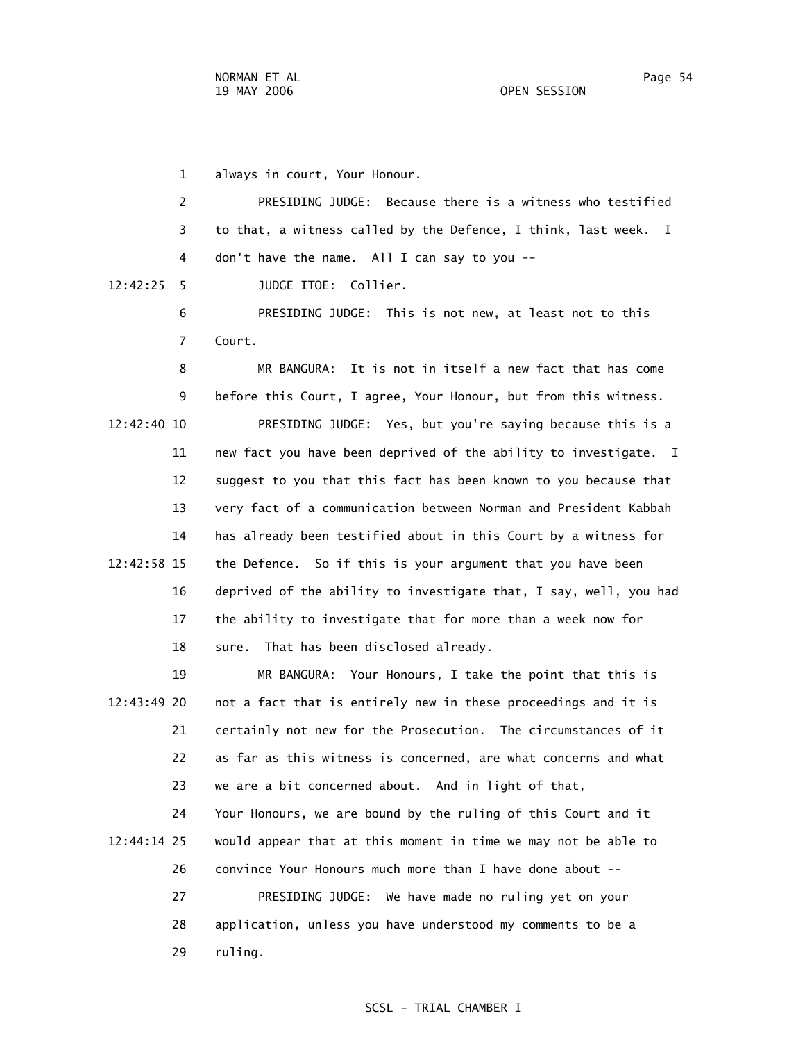1 always in court, Your Honour.

 2 PRESIDING JUDGE: Because there is a witness who testified 3 to that, a witness called by the Defence, I think, last week. I 4 don't have the name. All I can say to you --

12:42:25 5 JUDGE ITOE: Collier.

 6 PRESIDING JUDGE: This is not new, at least not to this 7 Court.

 8 MR BANGURA: It is not in itself a new fact that has come 9 before this Court, I agree, Your Honour, but from this witness. 12:42:40 10 PRESIDING JUDGE: Yes, but you're saying because this is a 11 new fact you have been deprived of the ability to investigate. I 12 suggest to you that this fact has been known to you because that 13 very fact of a communication between Norman and President Kabbah 14 has already been testified about in this Court by a witness for 12:42:58 15 the Defence. So if this is your argument that you have been 16 deprived of the ability to investigate that, I say, well, you had 17 the ability to investigate that for more than a week now for 18 sure. That has been disclosed already.

 19 MR BANGURA: Your Honours, I take the point that this is 12:43:49 20 not a fact that is entirely new in these proceedings and it is 21 certainly not new for the Prosecution. The circumstances of it 22 as far as this witness is concerned, are what concerns and what 23 we are a bit concerned about. And in light of that,

 24 Your Honours, we are bound by the ruling of this Court and it 12:44:14 25 would appear that at this moment in time we may not be able to 26 convince Your Honours much more than I have done about -- 27 PRESIDING JUDGE: We have made no ruling yet on your

> 28 application, unless you have understood my comments to be a 29 ruling.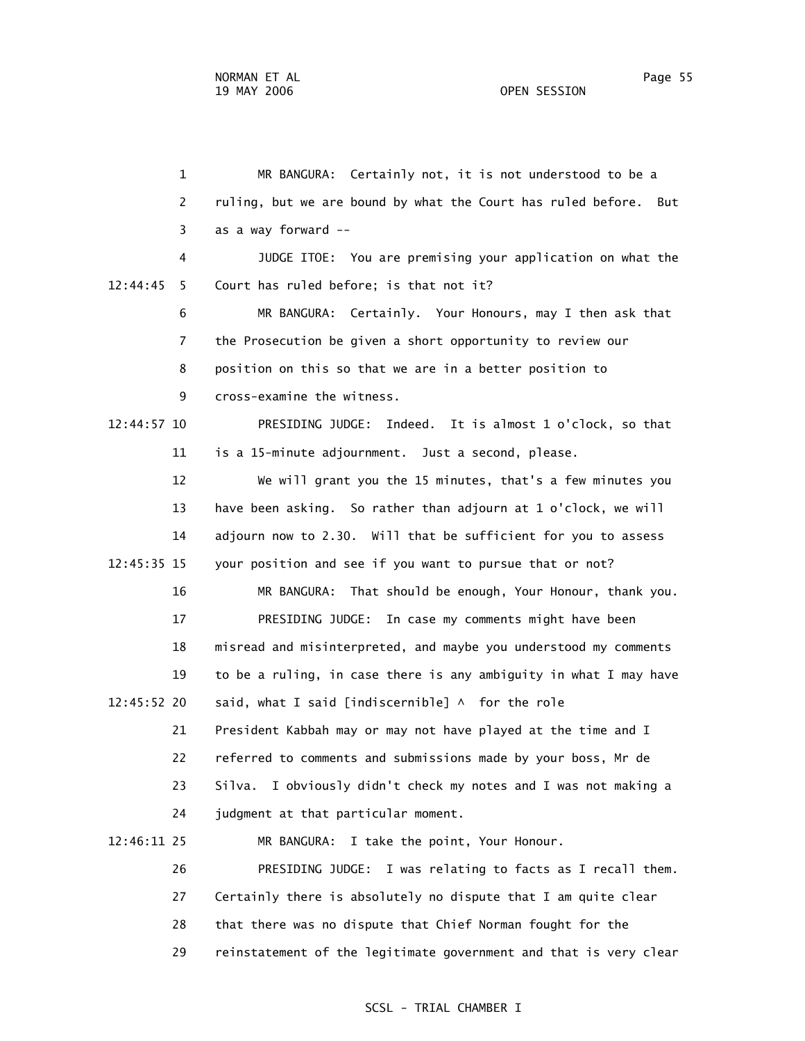1 MR BANGURA: Certainly not, it is not understood to be a 2 ruling, but we are bound by what the Court has ruled before. But 3 as a way forward -- 4 JUDGE ITOE: You are premising your application on what the 12:44:45 5 Court has ruled before; is that not it? 6 MR BANGURA: Certainly. Your Honours, may I then ask that 7 the Prosecution be given a short opportunity to review our 8 position on this so that we are in a better position to 9 cross-examine the witness. 12:44:57 10 PRESIDING JUDGE: Indeed. It is almost 1 o'clock, so that 11 is a 15-minute adjournment. Just a second, please. 12 We will grant you the 15 minutes, that's a few minutes you 13 have been asking. So rather than adjourn at 1 o'clock, we will 14 adjourn now to 2.30. Will that be sufficient for you to assess 12:45:35 15 your position and see if you want to pursue that or not? 16 MR BANGURA: That should be enough, Your Honour, thank you. 17 PRESIDING JUDGE: In case my comments might have been 18 misread and misinterpreted, and maybe you understood my comments 19 to be a ruling, in case there is any ambiguity in what I may have 12:45:52 20 said, what I said [indiscernible] ^ for the role 21 President Kabbah may or may not have played at the time and I 22 referred to comments and submissions made by your boss, Mr de 23 Silva. I obviously didn't check my notes and I was not making a 24 judgment at that particular moment. 12:46:11 25 MR BANGURA: I take the point, Your Honour. 26 PRESIDING JUDGE: I was relating to facts as I recall them. 27 Certainly there is absolutely no dispute that I am quite clear 28 that there was no dispute that Chief Norman fought for the

29 reinstatement of the legitimate government and that is very clear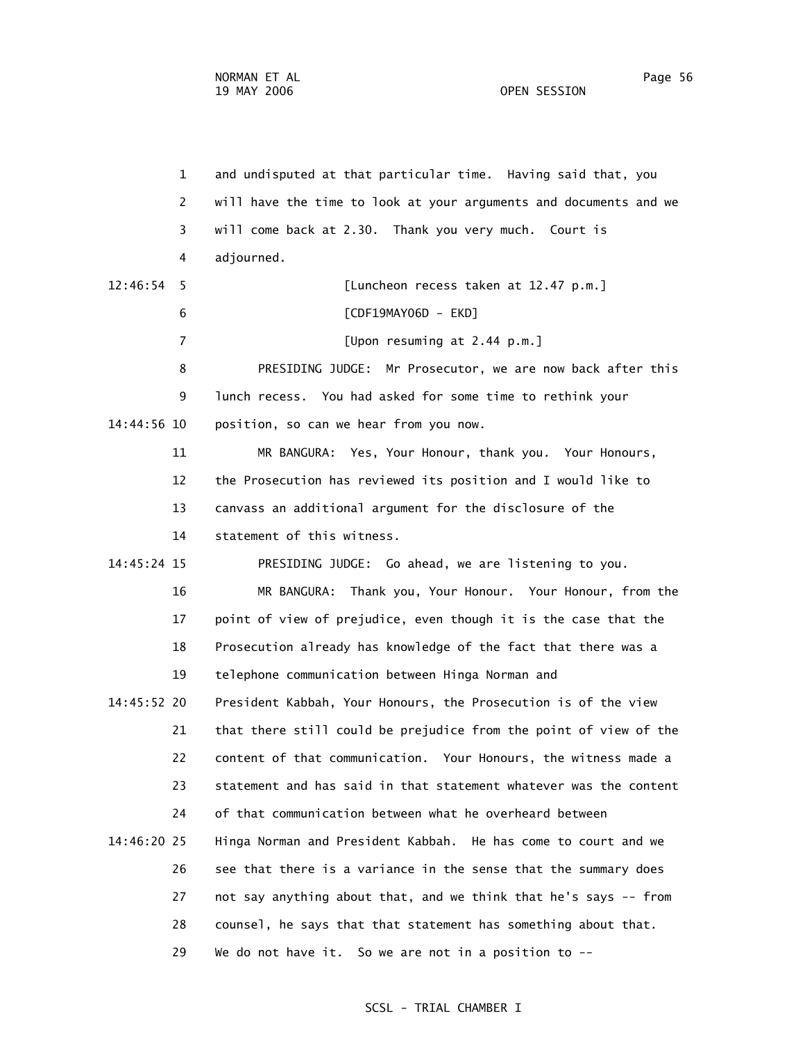1 and undisputed at that particular time. Having said that, you 2 will have the time to look at your arguments and documents and we 3 will come back at 2.30. Thank you very much. Court is 4 adjourned. 12:46:54 5 [Luncheon recess taken at 12.47 p.m.] 6 [CDF19MAY06D - EKD] 7 [Upon resuming at 2.44 p.m.] 8 PRESIDING JUDGE: Mr Prosecutor, we are now back after this 9 lunch recess. You had asked for some time to rethink your 14:44:56 10 position, so can we hear from you now. 11 MR BANGURA: Yes, Your Honour, thank you. Your Honours, 12 the Prosecution has reviewed its position and I would like to 13 canvass an additional argument for the disclosure of the 14 statement of this witness. 14:45:24 15 PRESIDING JUDGE: Go ahead, we are listening to you. 16 MR BANGURA: Thank you, Your Honour. Your Honour, from the 17 point of view of prejudice, even though it is the case that the 18 Prosecution already has knowledge of the fact that there was a 19 telephone communication between Hinga Norman and 14:45:52 20 President Kabbah, Your Honours, the Prosecution is of the view 21 that there still could be prejudice from the point of view of the 22 content of that communication. Your Honours, the witness made a 23 statement and has said in that statement whatever was the content 24 of that communication between what he overheard between 14:46:20 25 Hinga Norman and President Kabbah. He has come to court and we 26 see that there is a variance in the sense that the summary does 27 not say anything about that, and we think that he's says -- from 28 counsel, he says that that statement has something about that. 29 We do not have it. So we are not in a position to --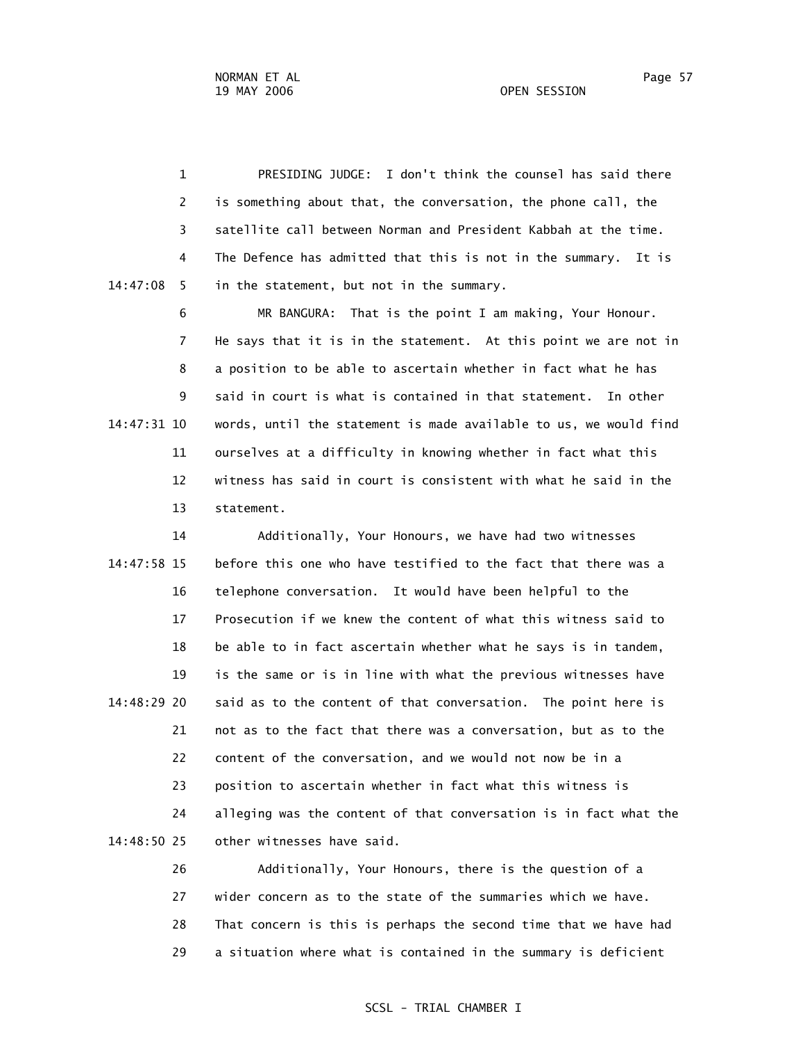1 PRESIDING JUDGE: I don't think the counsel has said there 2 is something about that, the conversation, the phone call, the 3 satellite call between Norman and President Kabbah at the time. 4 The Defence has admitted that this is not in the summary. It is 14:47:08 5 in the statement, but not in the summary.

 6 MR BANGURA: That is the point I am making, Your Honour. 7 He says that it is in the statement. At this point we are not in 8 a position to be able to ascertain whether in fact what he has 9 said in court is what is contained in that statement. In other 14:47:31 10 words, until the statement is made available to us, we would find 11 ourselves at a difficulty in knowing whether in fact what this 12 witness has said in court is consistent with what he said in the 13 statement.

 14 Additionally, Your Honours, we have had two witnesses 14:47:58 15 before this one who have testified to the fact that there was a 16 telephone conversation. It would have been helpful to the 17 Prosecution if we knew the content of what this witness said to 18 be able to in fact ascertain whether what he says is in tandem, 19 is the same or is in line with what the previous witnesses have 14:48:29 20 said as to the content of that conversation. The point here is 21 not as to the fact that there was a conversation, but as to the 22 content of the conversation, and we would not now be in a 23 position to ascertain whether in fact what this witness is 24 alleging was the content of that conversation is in fact what the 14:48:50 25 other witnesses have said.

> 26 Additionally, Your Honours, there is the question of a 27 wider concern as to the state of the summaries which we have. 28 That concern is this is perhaps the second time that we have had 29 a situation where what is contained in the summary is deficient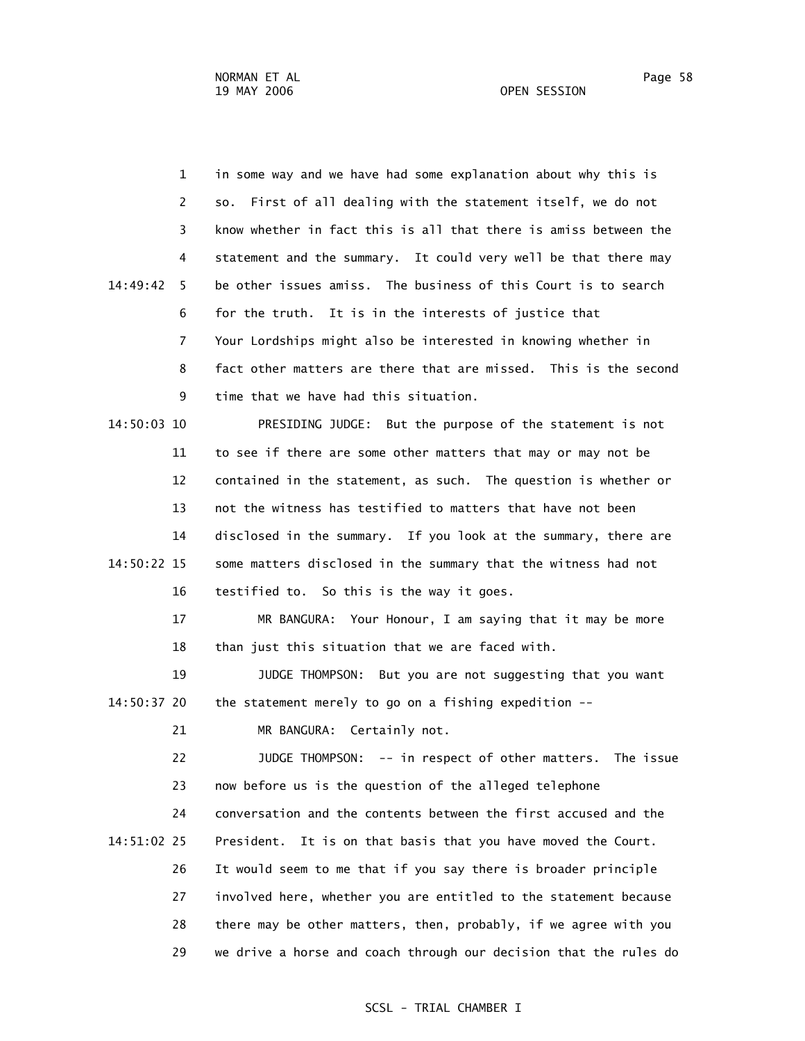1 in some way and we have had some explanation about why this is 2 so. First of all dealing with the statement itself, we do not 3 know whether in fact this is all that there is amiss between the 4 statement and the summary. It could very well be that there may 14:49:42 5 be other issues amiss. The business of this Court is to search 6 for the truth. It is in the interests of justice that 7 Your Lordships might also be interested in knowing whether in 8 fact other matters are there that are missed. This is the second 9 time that we have had this situation. 14:50:03 10 PRESIDING JUDGE: But the purpose of the statement is not 11 to see if there are some other matters that may or may not be 12 contained in the statement, as such. The question is whether or 13 not the witness has testified to matters that have not been 14 disclosed in the summary. If you look at the summary, there are 14:50:22 15 some matters disclosed in the summary that the witness had not 16 testified to. So this is the way it goes. 17 MR BANGURA: Your Honour, I am saying that it may be more 18 than just this situation that we are faced with. 19 JUDGE THOMPSON: But you are not suggesting that you want 14:50:37 20 the statement merely to go on a fishing expedition -- 21 MR BANGURA: Certainly not. 22 JUDGE THOMPSON: -- in respect of other matters. The issue 23 now before us is the question of the alleged telephone 24 conversation and the contents between the first accused and the

 14:51:02 25 President. It is on that basis that you have moved the Court. 26 It would seem to me that if you say there is broader principle 27 involved here, whether you are entitled to the statement because 28 there may be other matters, then, probably, if we agree with you 29 we drive a horse and coach through our decision that the rules do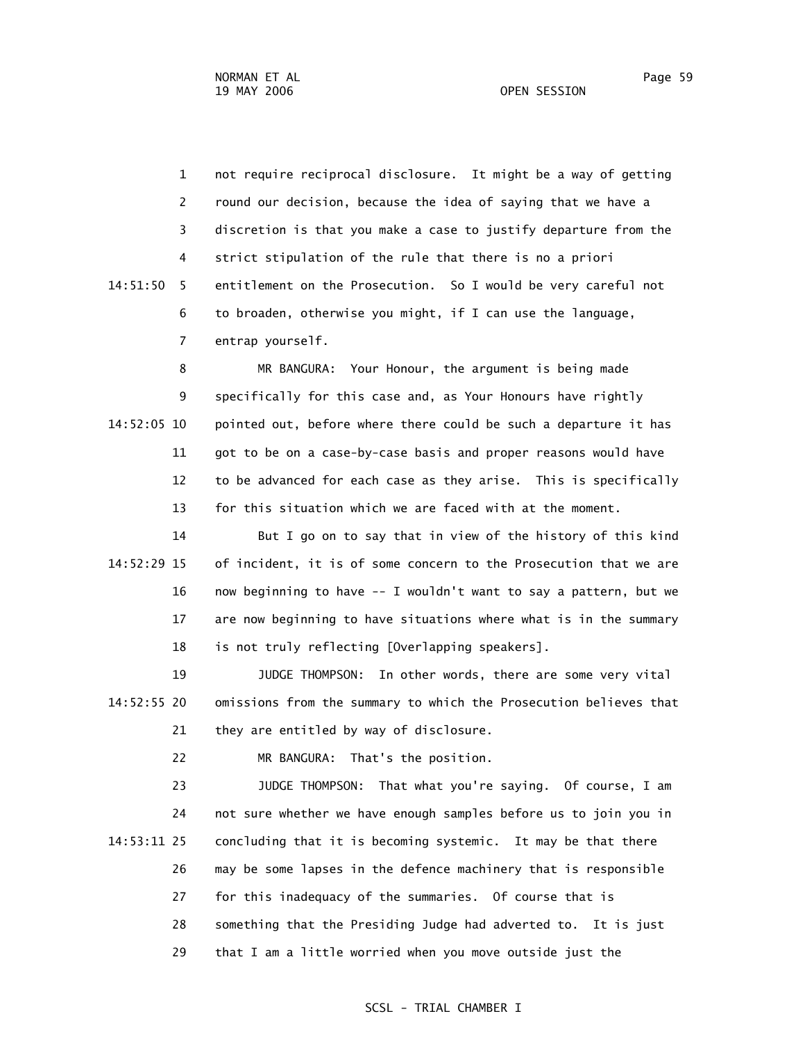1 not require reciprocal disclosure. It might be a way of getting 2 round our decision, because the idea of saying that we have a 3 discretion is that you make a case to justify departure from the

 4 strict stipulation of the rule that there is no a priori 14:51:50 5 entitlement on the Prosecution. So I would be very careful not 6 to broaden, otherwise you might, if I can use the language, 7 entrap yourself.

 8 MR BANGURA: Your Honour, the argument is being made 9 specifically for this case and, as Your Honours have rightly 14:52:05 10 pointed out, before where there could be such a departure it has 11 got to be on a case-by-case basis and proper reasons would have 12 to be advanced for each case as they arise. This is specifically 13 for this situation which we are faced with at the moment.

 14 But I go on to say that in view of the history of this kind 14:52:29 15 of incident, it is of some concern to the Prosecution that we are 16 now beginning to have -- I wouldn't want to say a pattern, but we 17 are now beginning to have situations where what is in the summary 18 is not truly reflecting [Overlapping speakers].

 19 JUDGE THOMPSON: In other words, there are some very vital 14:52:55 20 omissions from the summary to which the Prosecution believes that 21 they are entitled by way of disclosure.

22 MR BANGURA: That's the position.

 23 JUDGE THOMPSON: That what you're saying. Of course, I am 24 not sure whether we have enough samples before us to join you in 14:53:11 25 concluding that it is becoming systemic. It may be that there 26 may be some lapses in the defence machinery that is responsible 27 for this inadequacy of the summaries. Of course that is 28 something that the Presiding Judge had adverted to. It is just 29 that I am a little worried when you move outside just the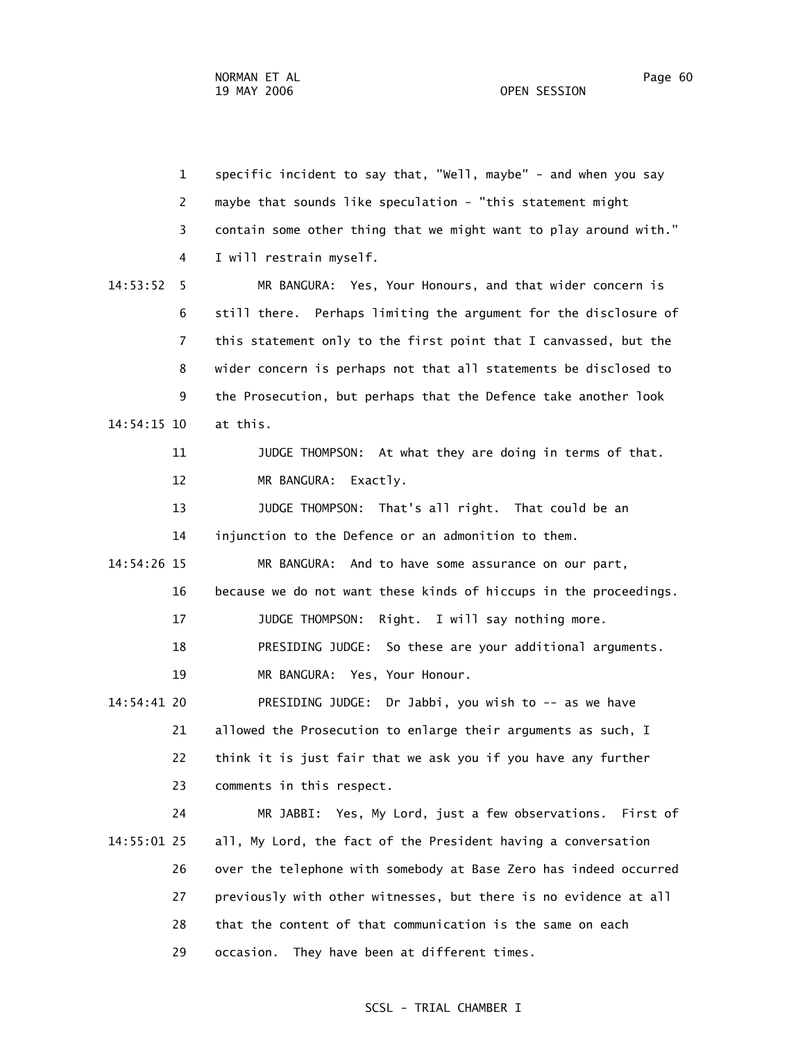| $\mathbf{1}$   | specific incident to say that, "Well, maybe" - and when you say   |  |  |  |
|----------------|-------------------------------------------------------------------|--|--|--|
| 2              | maybe that sounds like speculation - "this statement might        |  |  |  |
| 3              | contain some other thing that we might want to play around with." |  |  |  |
| 4              | I will restrain myself.                                           |  |  |  |
| 14:53:52<br>5  | MR BANGURA: Yes, Your Honours, and that wider concern is          |  |  |  |
| 6              | still there. Perhaps limiting the argument for the disclosure of  |  |  |  |
| $\overline{7}$ | this statement only to the first point that I canvassed, but the  |  |  |  |
| 8              | wider concern is perhaps not that all statements be disclosed to  |  |  |  |
| 9              | the Prosecution, but perhaps that the Defence take another look   |  |  |  |
| 14:54:15 10    | at this.                                                          |  |  |  |
| 11             | JUDGE THOMPSON: At what they are doing in terms of that.          |  |  |  |
| 12             | MR BANGURA:<br>Exactly.                                           |  |  |  |
| 13             | JUDGE THOMPSON: That's all right. That could be an                |  |  |  |
| 14             | injunction to the Defence or an admonition to them.               |  |  |  |
| 14:54:26 15    | MR BANGURA:<br>And to have some assurance on our part,            |  |  |  |
| 16             | because we do not want these kinds of hiccups in the proceedings. |  |  |  |
| 17             | JUDGE THOMPSON:<br>Right. I will say nothing more.                |  |  |  |
| 18             | PRESIDING JUDGE: So these are your additional arguments.          |  |  |  |
| 19             | MR BANGURA: Yes, Your Honour.                                     |  |  |  |
| 14:54:41 20    | PRESIDING JUDGE: Dr Jabbi, you wish to -- as we have              |  |  |  |
| 21             | allowed the Prosecution to enlarge their arguments as such, I     |  |  |  |
| 22             | think it is just fair that we ask you if you have any further     |  |  |  |
| 23             | comments in this respect.                                         |  |  |  |
| 24             | MR JABBI: Yes, My Lord, just a few observations. First of         |  |  |  |
| 14:55:01 25    | all, My Lord, the fact of the President having a conversation     |  |  |  |
| 26             | over the telephone with somebody at Base Zero has indeed occurred |  |  |  |
| 27             | previously with other witnesses, but there is no evidence at all  |  |  |  |
| 28             | that the content of that communication is the same on each        |  |  |  |
| 29             | They have been at different times.<br>occasion.                   |  |  |  |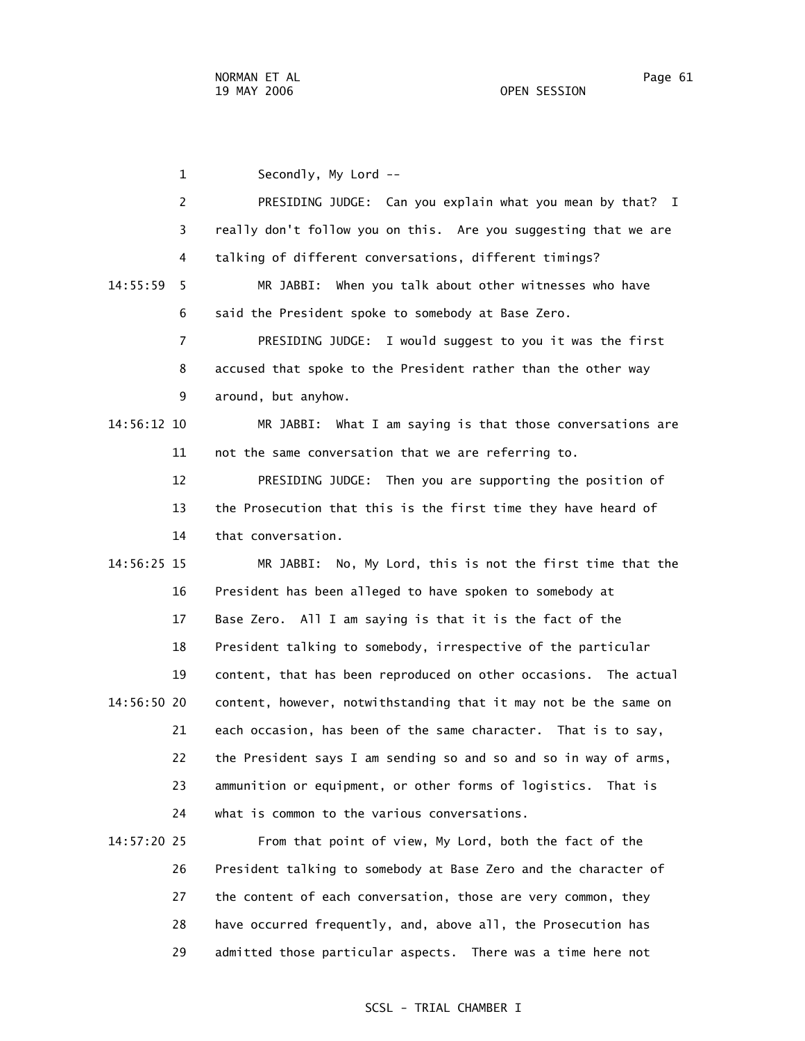1 Secondly, My Lord -- 2 PRESIDING JUDGE: Can you explain what you mean by that? I 3 really don't follow you on this. Are you suggesting that we are 4 talking of different conversations, different timings? 14:55:59 5 MR JABBI: When you talk about other witnesses who have 6 said the President spoke to somebody at Base Zero. 7 PRESIDING JUDGE: I would suggest to you it was the first 8 accused that spoke to the President rather than the other way 9 around, but anyhow. 14:56:12 10 MR JABBI: What I am saying is that those conversations are 11 not the same conversation that we are referring to. 12 PRESIDING JUDGE: Then you are supporting the position of 13 the Prosecution that this is the first time they have heard of 14 that conversation. 14:56:25 15 MR JABBI: No, My Lord, this is not the first time that the 16 President has been alleged to have spoken to somebody at 17 Base Zero. All I am saying is that it is the fact of the 18 President talking to somebody, irrespective of the particular 19 content, that has been reproduced on other occasions. The actual 14:56:50 20 content, however, notwithstanding that it may not be the same on 21 each occasion, has been of the same character. That is to say, 22 the President says I am sending so and so and so in way of arms, 23 ammunition or equipment, or other forms of logistics. That is 24 what is common to the various conversations. 14:57:20 25 From that point of view, My Lord, both the fact of the

 26 President talking to somebody at Base Zero and the character of 27 the content of each conversation, those are very common, they 28 have occurred frequently, and, above all, the Prosecution has 29 admitted those particular aspects. There was a time here not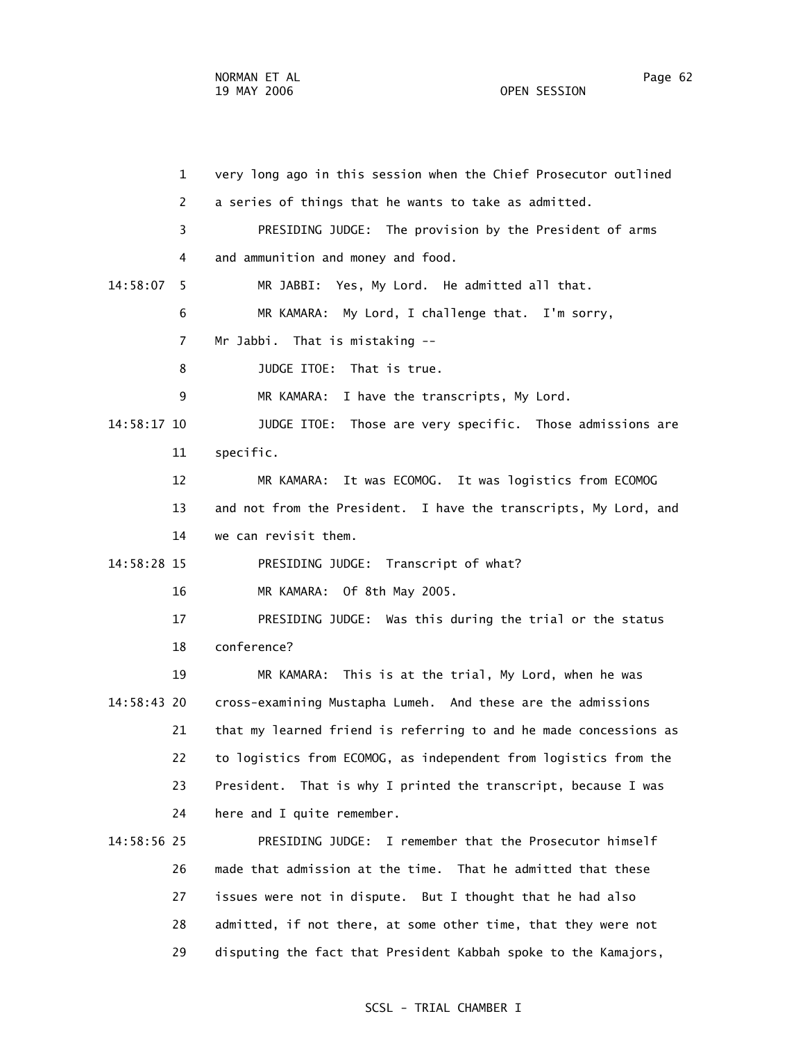1 very long ago in this session when the Chief Prosecutor outlined 2 a series of things that he wants to take as admitted. 3 PRESIDING JUDGE: The provision by the President of arms 4 and ammunition and money and food. 14:58:07 5 MR JABBI: Yes, My Lord. He admitted all that. 6 MR KAMARA: My Lord, I challenge that. I'm sorry, 7 Mr Jabbi. That is mistaking -- 8 JUDGE ITOE: That is true. 9 MR KAMARA: I have the transcripts, My Lord. 14:58:17 10 JUDGE ITOE: Those are very specific. Those admissions are 11 specific. 12 MR KAMARA: It was ECOMOG. It was logistics from ECOMOG 13 and not from the President. I have the transcripts, My Lord, and 14 we can revisit them. 14:58:28 15 PRESIDING JUDGE: Transcript of what? 16 MR KAMARA: Of 8th May 2005. 17 PRESIDING JUDGE: Was this during the trial or the status 18 conference? 19 MR KAMARA: This is at the trial, My Lord, when he was 14:58:43 20 cross-examining Mustapha Lumeh. And these are the admissions 21 that my learned friend is referring to and he made concessions as 22 to logistics from ECOMOG, as independent from logistics from the 23 President. That is why I printed the transcript, because I was 24 here and I quite remember. 14:58:56 25 PRESIDING JUDGE: I remember that the Prosecutor himself 26 made that admission at the time. That he admitted that these 27 issues were not in dispute. But I thought that he had also 28 admitted, if not there, at some other time, that they were not

## SCSL - TRIAL CHAMBER I

29 disputing the fact that President Kabbah spoke to the Kamajors,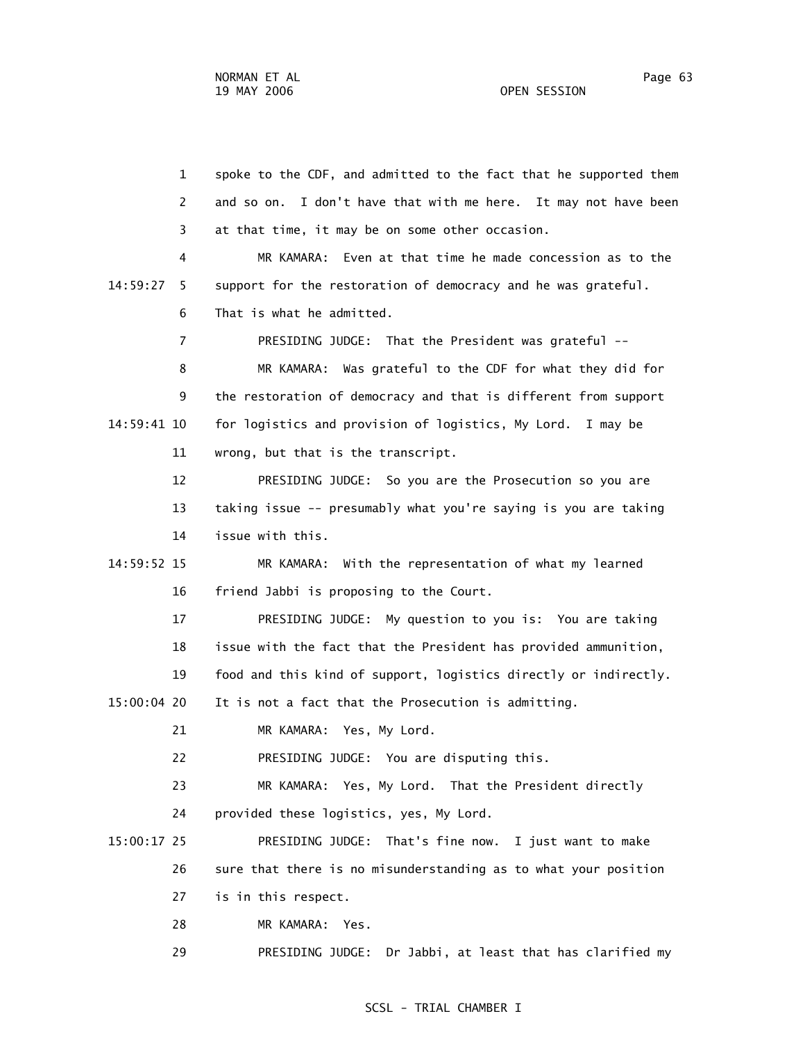1 spoke to the CDF, and admitted to the fact that he supported them 2 and so on. I don't have that with me here. It may not have been 3 at that time, it may be on some other occasion. 4 MR KAMARA: Even at that time he made concession as to the 14:59:27 5 support for the restoration of democracy and he was grateful. 6 That is what he admitted. 7 PRESIDING JUDGE: That the President was grateful -- 8 MR KAMARA: Was grateful to the CDF for what they did for 9 the restoration of democracy and that is different from support 14:59:41 10 for logistics and provision of logistics, My Lord. I may be 11 wrong, but that is the transcript. 12 PRESIDING JUDGE: So you are the Prosecution so you are 13 taking issue -- presumably what you're saying is you are taking 14 issue with this. 14:59:52 15 MR KAMARA: With the representation of what my learned 16 friend Jabbi is proposing to the Court. 17 PRESIDING JUDGE: My question to you is: You are taking 18 issue with the fact that the President has provided ammunition, 19 food and this kind of support, logistics directly or indirectly. 15:00:04 20 It is not a fact that the Prosecution is admitting. 21 MR KAMARA: Yes, My Lord. 22 PRESIDING JUDGE: You are disputing this. 23 MR KAMARA: Yes, My Lord. That the President directly 24 provided these logistics, yes, My Lord. 15:00:17 25 PRESIDING JUDGE: That's fine now. I just want to make 26 sure that there is no misunderstanding as to what your position 27 is in this respect. 28 MR KAMARA: Yes. 29 PRESIDING JUDGE: Dr Jabbi, at least that has clarified my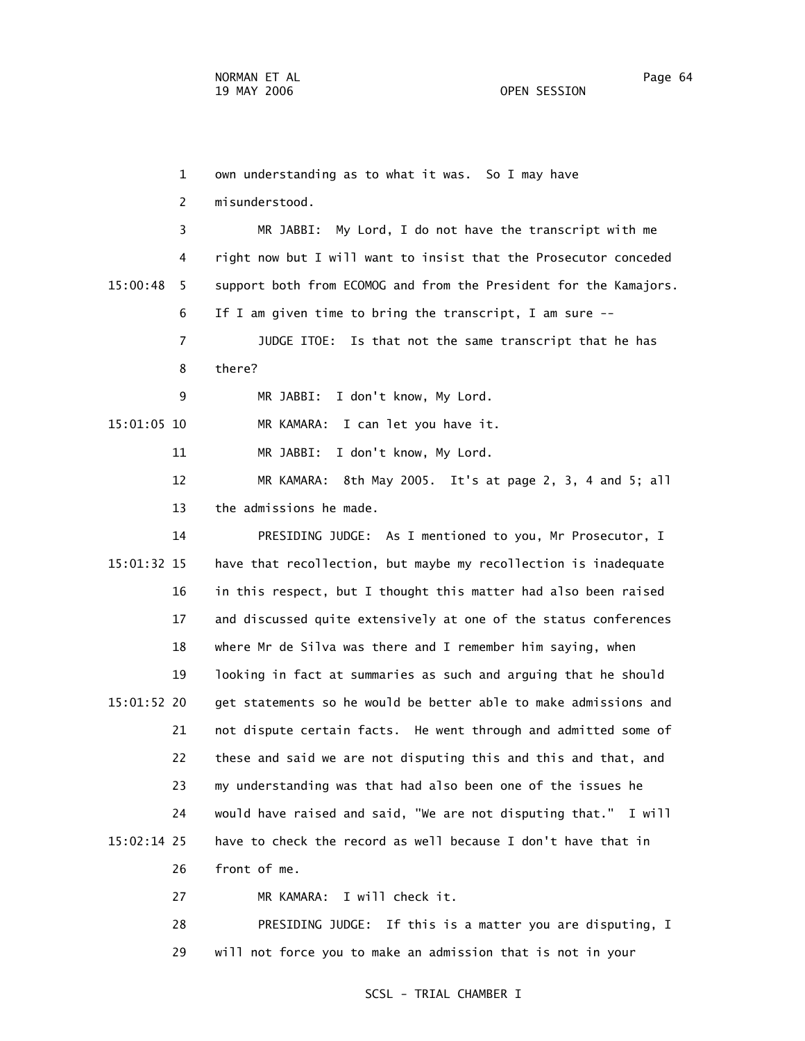1 own understanding as to what it was. So I may have 2 misunderstood. 3 MR JABBI: My Lord, I do not have the transcript with me 4 right now but I will want to insist that the Prosecutor conceded 15:00:48 5 support both from ECOMOG and from the President for the Kamajors. 6 If I am given time to bring the transcript, I am sure -- 7 JUDGE ITOE: Is that not the same transcript that he has 8 there? 9 MR JABBI: I don't know, My Lord. 15:01:05 10 MR KAMARA: I can let you have it. 11 MR JABBI: I don't know, My Lord. 12 MR KAMARA: 8th May 2005. It's at page 2, 3, 4 and 5; all 13 the admissions he made. 14 PRESIDING JUDGE: As I mentioned to you, Mr Prosecutor, I 15:01:32 15 have that recollection, but maybe my recollection is inadequate 16 in this respect, but I thought this matter had also been raised 17 and discussed quite extensively at one of the status conferences 18 where Mr de Silva was there and I remember him saying, when 19 looking in fact at summaries as such and arguing that he should 15:01:52 20 get statements so he would be better able to make admissions and 21 not dispute certain facts. He went through and admitted some of 22 these and said we are not disputing this and this and that, and 23 my understanding was that had also been one of the issues he 24 would have raised and said, "We are not disputing that." I will 15:02:14 25 have to check the record as well because I don't have that in 26 front of me. 27 MR KAMARA: I will check it.

> 28 PRESIDING JUDGE: If this is a matter you are disputing, I 29 will not force you to make an admission that is not in your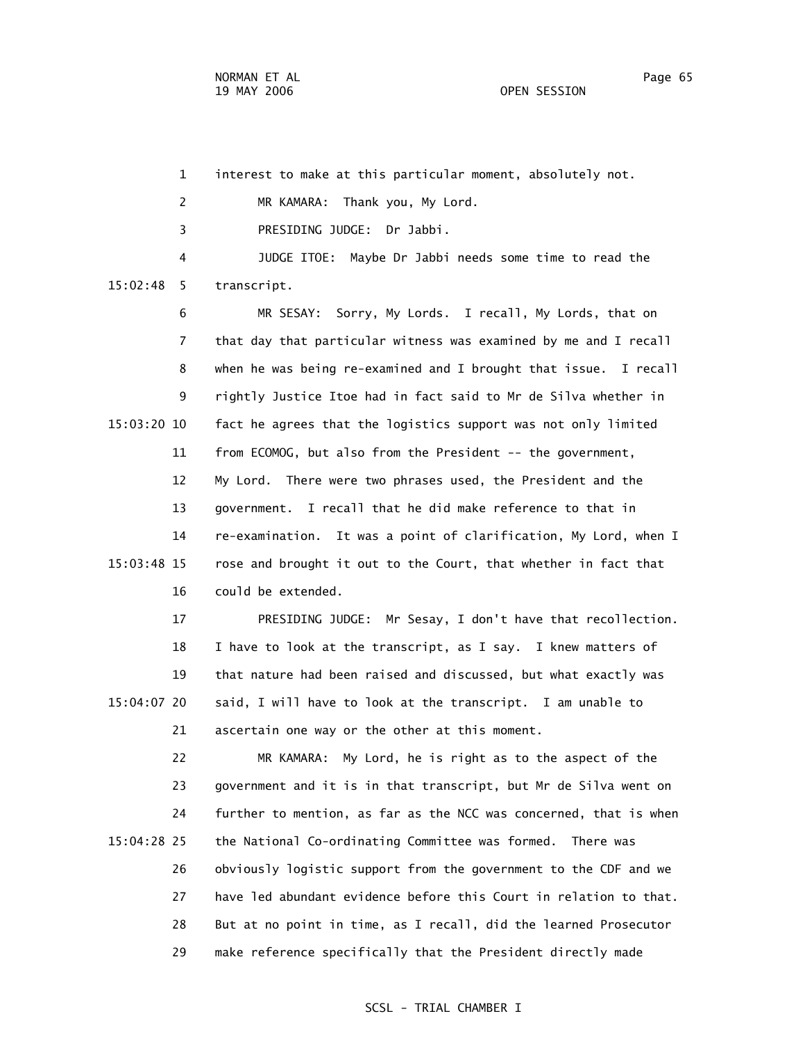1 interest to make at this particular moment, absolutely not. 2 MR KAMARA: Thank you, My Lord. 3 PRESIDING JUDGE: Dr Jabbi. 4 JUDGE ITOE: Maybe Dr Jabbi needs some time to read the 15:02:48 5 transcript. 6 MR SESAY: Sorry, My Lords. I recall, My Lords, that on 7 that day that particular witness was examined by me and I recall 8 when he was being re-examined and I brought that issue. I recall 9 rightly Justice Itoe had in fact said to Mr de Silva whether in 15:03:20 10 fact he agrees that the logistics support was not only limited 11 from ECOMOG, but also from the President -- the government, 12 My Lord. There were two phrases used, the President and the 13 government. I recall that he did make reference to that in 14 re-examination. It was a point of clarification, My Lord, when I 15:03:48 15 rose and brought it out to the Court, that whether in fact that 16 could be extended. 17 PRESIDING JUDGE: Mr Sesay, I don't have that recollection. 18 I have to look at the transcript, as I say. I knew matters of 19 that nature had been raised and discussed, but what exactly was 15:04:07 20 said, I will have to look at the transcript. I am unable to 21 ascertain one way or the other at this moment. 22 MR KAMARA: My Lord, he is right as to the aspect of the 23 government and it is in that transcript, but Mr de Silva went on 24 further to mention, as far as the NCC was concerned, that is when

 15:04:28 25 the National Co-ordinating Committee was formed. There was 26 obviously logistic support from the government to the CDF and we 27 have led abundant evidence before this Court in relation to that. 28 But at no point in time, as I recall, did the learned Prosecutor 29 make reference specifically that the President directly made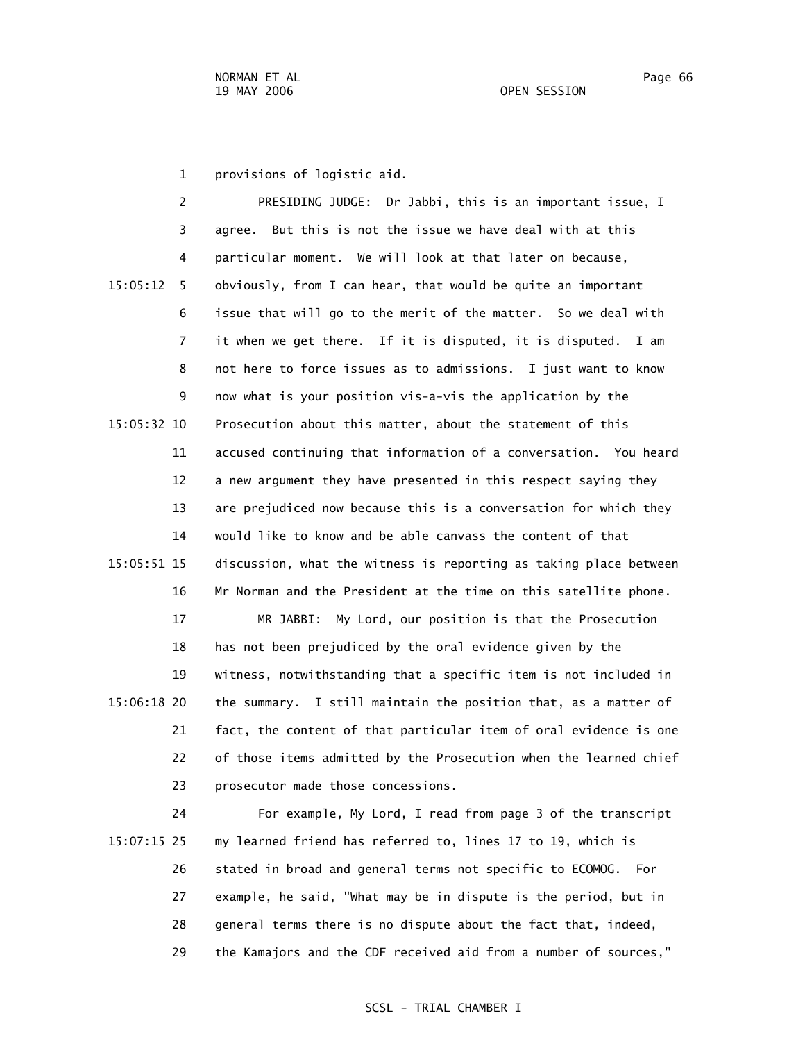1 provisions of logistic aid.

|             | 2  | PRESIDING JUDGE: Dr Jabbi, this is an important issue, I          |
|-------------|----|-------------------------------------------------------------------|
|             | 3  | But this is not the issue we have deal with at this<br>agree.     |
|             | 4  | particular moment. We will look at that later on because,         |
| 15:05:12    | 5  | obviously, from I can hear, that would be quite an important      |
|             | 6  | issue that will go to the merit of the matter. So we deal with    |
|             | 7  | it when we get there. If it is disputed, it is disputed.<br>I am  |
|             | 8  | not here to force issues as to admissions. I just want to know    |
|             | 9  | now what is your position vis-a-vis the application by the        |
| 15:05:32 10 |    | Prosecution about this matter, about the statement of this        |
|             | 11 | accused continuing that information of a conversation. You heard  |
|             | 12 | a new argument they have presented in this respect saying they    |
|             | 13 | are prejudiced now because this is a conversation for which they  |
|             | 14 | would like to know and be able canvass the content of that        |
| 15:05:51 15 |    | discussion, what the witness is reporting as taking place between |
|             | 16 | Mr Norman and the President at the time on this satellite phone.  |
|             | 17 | MR JABBI: My Lord, our position is that the Prosecution           |
|             | 18 | has not been prejudiced by the oral evidence given by the         |
|             | 19 | witness, notwithstanding that a specific item is not included in  |
| 15:06:18 20 |    | the summary. I still maintain the position that, as a matter of   |
|             | 21 | fact, the content of that particular item of oral evidence is one |
|             | 22 | of those items admitted by the Prosecution when the learned chief |
|             | 23 | prosecutor made those concessions.                                |
|             | 24 | For example, My Lord, I read from page 3 of the transcript        |

 15:07:15 25 my learned friend has referred to, lines 17 to 19, which is 26 stated in broad and general terms not specific to ECOMOG. For 27 example, he said, "What may be in dispute is the period, but in 28 general terms there is no dispute about the fact that, indeed, 29 the Kamajors and the CDF received aid from a number of sources,"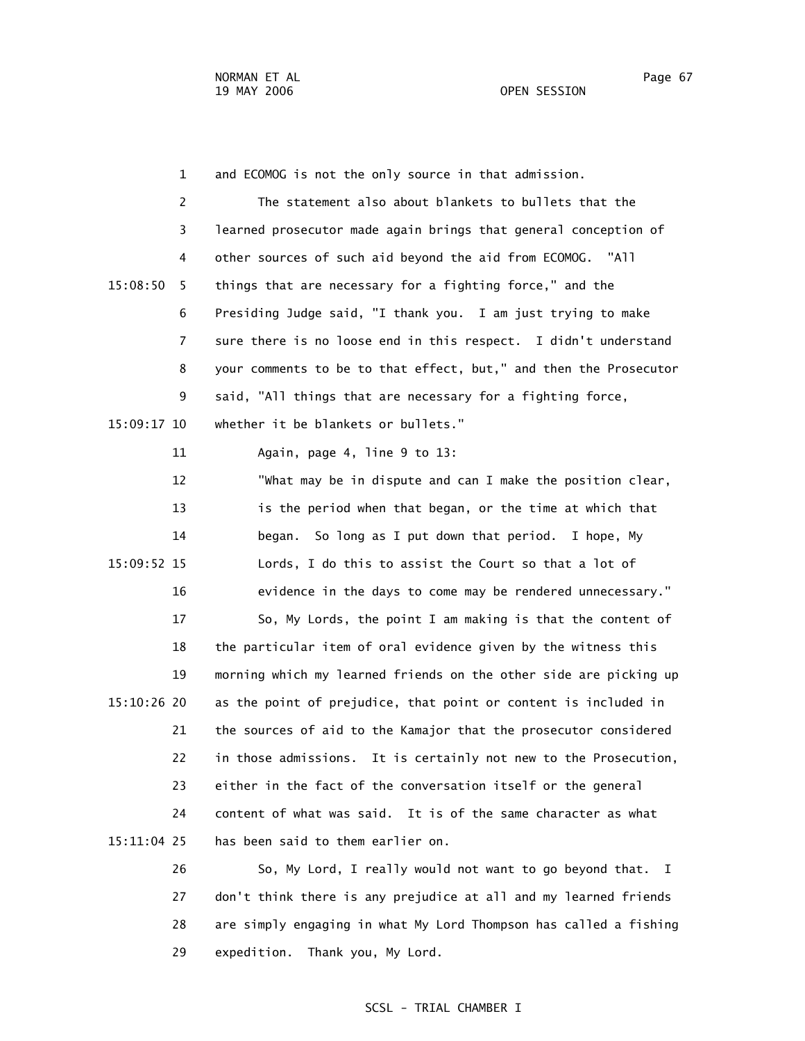1 and ECOMOG is not the only source in that admission. 2 The statement also about blankets to bullets that the 3 learned prosecutor made again brings that general conception of 4 other sources of such aid beyond the aid from ECOMOG. "All 15:08:50 5 things that are necessary for a fighting force," and the 6 Presiding Judge said, "I thank you. I am just trying to make 7 sure there is no loose end in this respect. I didn't understand 8 your comments to be to that effect, but," and then the Prosecutor 9 said, "All things that are necessary for a fighting force, 15:09:17 10 whether it be blankets or bullets." 11 Again, page 4, line 9 to 13: 12 "What may be in dispute and can I make the position clear, 13 is the period when that began, or the time at which that 14 began. So long as I put down that period. I hope, My 15:09:52 15 Lords, I do this to assist the Court so that a lot of 16 evidence in the days to come may be rendered unnecessary." 17 So, My Lords, the point I am making is that the content of 18 the particular item of oral evidence given by the witness this 19 morning which my learned friends on the other side are picking up 15:10:26 20 as the point of prejudice, that point or content is included in 21 the sources of aid to the Kamajor that the prosecutor considered 22 in those admissions. It is certainly not new to the Prosecution, 23 either in the fact of the conversation itself or the general 24 content of what was said. It is of the same character as what 15:11:04 25 has been said to them earlier on. 26 So, My Lord, I really would not want to go beyond that. I

 27 don't think there is any prejudice at all and my learned friends 28 are simply engaging in what My Lord Thompson has called a fishing 29 expedition. Thank you, My Lord.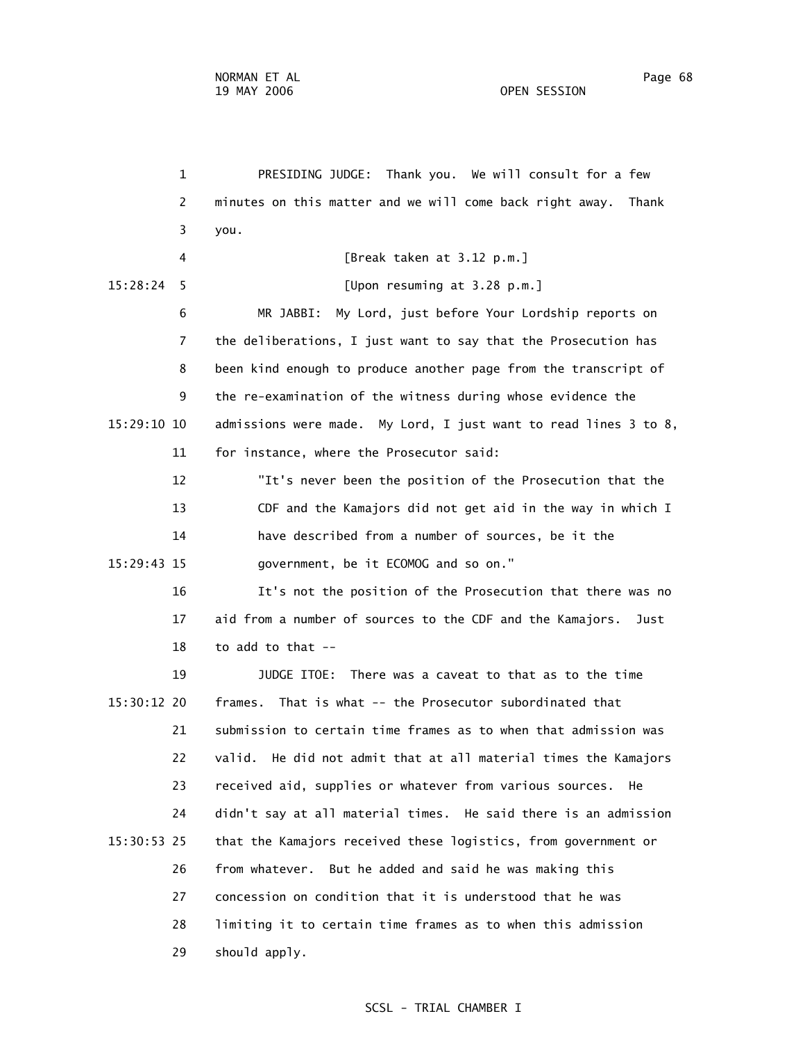1 PRESIDING JUDGE: Thank you. We will consult for a few 2 minutes on this matter and we will come back right away. Thank 3 you. 4 [Break taken at 3.12 p.m.] 15:28:24 5 [Upon resuming at 3.28 p.m.] 6 MR JABBI: My Lord, just before Your Lordship reports on 7 the deliberations, I just want to say that the Prosecution has 8 been kind enough to produce another page from the transcript of 9 the re-examination of the witness during whose evidence the 15:29:10 10 admissions were made. My Lord, I just want to read lines 3 to 8, 11 for instance, where the Prosecutor said: 12 "It's never been the position of the Prosecution that the 13 CDF and the Kamajors did not get aid in the way in which I 14 have described from a number of sources, be it the 15:29:43 15 government, be it ECOMOG and so on." 16 It's not the position of the Prosecution that there was no 17 aid from a number of sources to the CDF and the Kamajors. Just 18 to add to that -- 19 JUDGE ITOE: There was a caveat to that as to the time 15:30:12 20 frames. That is what -- the Prosecutor subordinated that 21 submission to certain time frames as to when that admission was 22 valid. He did not admit that at all material times the Kamajors 23 received aid, supplies or whatever from various sources. He 24 didn't say at all material times. He said there is an admission 15:30:53 25 that the Kamajors received these logistics, from government or 26 from whatever. But he added and said he was making this 27 concession on condition that it is understood that he was 28 limiting it to certain time frames as to when this admission 29 should apply.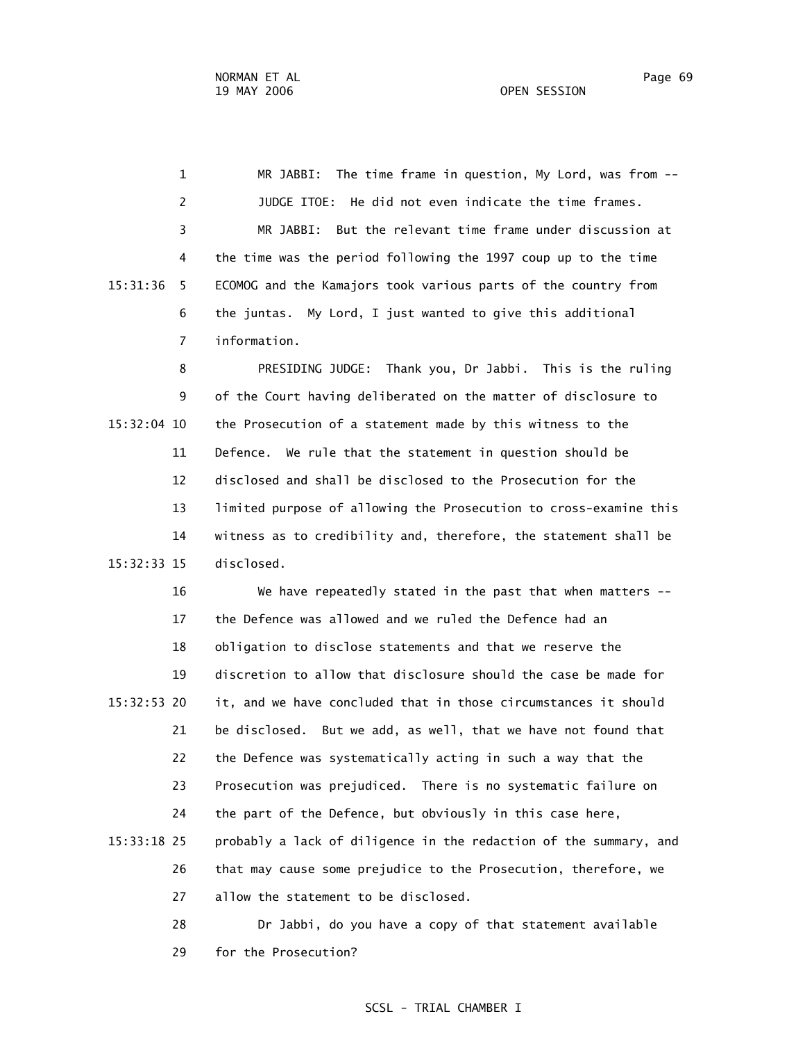1 MR JABBI: The time frame in question, My Lord, was from -- 2 JUDGE ITOE: He did not even indicate the time frames. 3 MR JABBI: But the relevant time frame under discussion at 4 the time was the period following the 1997 coup up to the time 15:31:36 5 ECOMOG and the Kamajors took various parts of the country from 6 the juntas. My Lord, I just wanted to give this additional 7 information.

 8 PRESIDING JUDGE: Thank you, Dr Jabbi. This is the ruling 9 of the Court having deliberated on the matter of disclosure to 15:32:04 10 the Prosecution of a statement made by this witness to the 11 Defence. We rule that the statement in question should be 12 disclosed and shall be disclosed to the Prosecution for the 13 limited purpose of allowing the Prosecution to cross-examine this 14 witness as to credibility and, therefore, the statement shall be 15:32:33 15 disclosed.

 16 We have repeatedly stated in the past that when matters -- 17 the Defence was allowed and we ruled the Defence had an 18 obligation to disclose statements and that we reserve the 19 discretion to allow that disclosure should the case be made for 15:32:53 20 it, and we have concluded that in those circumstances it should 21 be disclosed. But we add, as well, that we have not found that 22 the Defence was systematically acting in such a way that the 23 Prosecution was prejudiced. There is no systematic failure on 24 the part of the Defence, but obviously in this case here, 15:33:18 25 probably a lack of diligence in the redaction of the summary, and 26 that may cause some prejudice to the Prosecution, therefore, we 27 allow the statement to be disclosed.

 28 Dr Jabbi, do you have a copy of that statement available 29 for the Prosecution?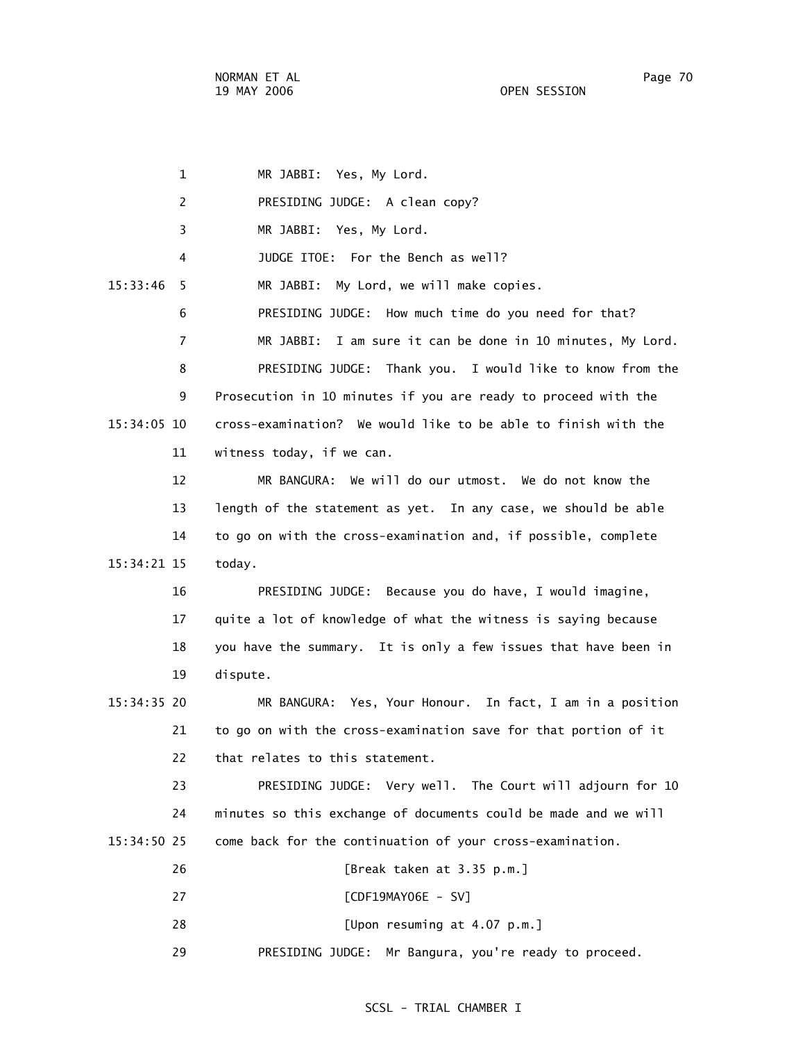| $\mathbf{1}$   | MR JABBI: Yes, My Lord.                                         |
|----------------|-----------------------------------------------------------------|
| 2              | PRESIDING JUDGE: A clean copy?                                  |
| 3              | MR JABBI: Yes, My Lord.                                         |
| 4              | JUDGE ITOE: For the Bench as well?                              |
| 15:33:46<br>5  | My Lord, we will make copies.<br>MR JABBI:                      |
| 6              | PRESIDING JUDGE: How much time do you need for that?            |
| $\overline{7}$ | I am sure it can be done in 10 minutes, My Lord.<br>MR JABBI:   |
| 8              | PRESIDING JUDGE: Thank you. I would like to know from the       |
| 9              | Prosecution in 10 minutes if you are ready to proceed with the  |
| 15:34:05 10    | cross-examination? We would like to be able to finish with the  |
| 11             | witness today, if we can.                                       |
| 12             | MR BANGURA: We will do our utmost. We do not know the           |
| 13             | length of the statement as yet. In any case, we should be able  |
| 14             | to go on with the cross-examination and, if possible, complete  |
| 15:34:21 15    | today.                                                          |
| 16             | PRESIDING JUDGE: Because you do have, I would imagine,          |
| 17             | quite a lot of knowledge of what the witness is saying because  |
| 18             | you have the summary. It is only a few issues that have been in |
| 19             | dispute.                                                        |
| $15:34:35$ 20  | MR BANGURA: Yes, Your Honour. In fact, I am in a position       |
| 21             | to go on with the cross-examination save for that portion of it |
| 22             | that relates to this statement.                                 |
| 23             | PRESIDING JUDGE: Very well. The Court will adjourn for 10       |
| 24             | minutes so this exchange of documents could be made and we will |
| 15:34:50 25    | come back for the continuation of your cross-examination.       |
| 26             | [Break taken at 3.35 p.m.]                                      |
| 27             | [CDF19MAY06E - SV]                                              |
| 28             | [Upon resuming at 4.07 p.m.]                                    |
| 29             | PRESIDING JUDGE:<br>Mr Bangura, you're ready to proceed.        |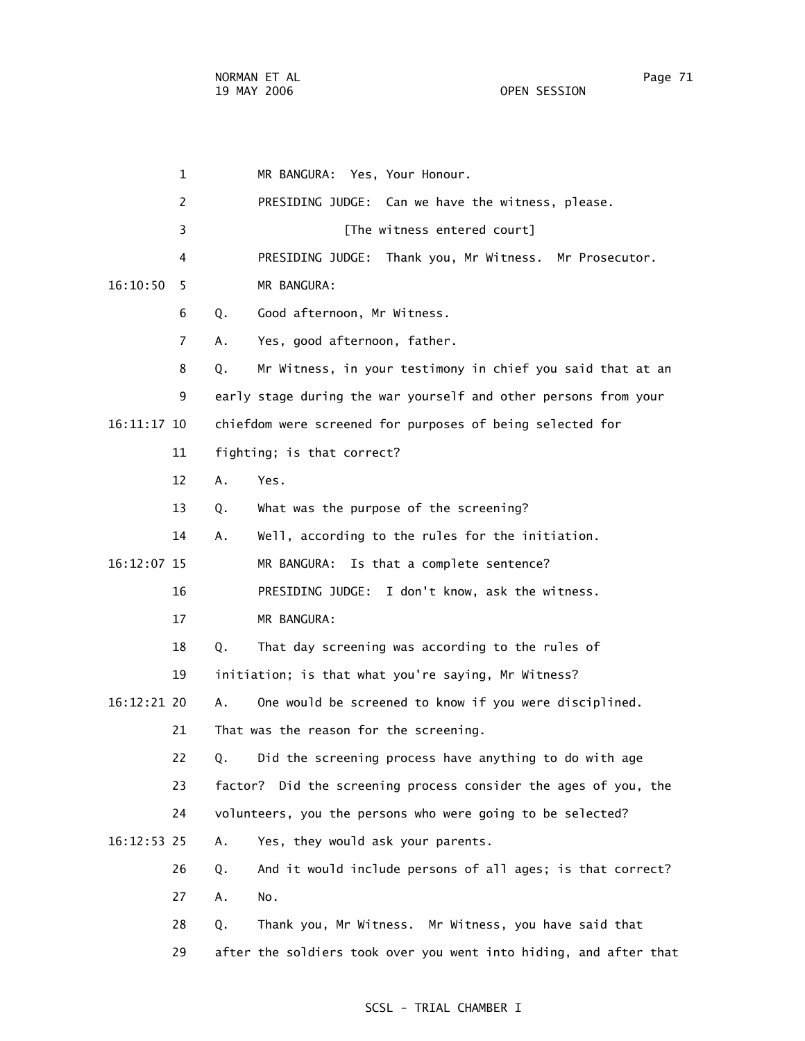|    |               | $\mathbf 1$    |                                                     | MR BANGURA: Yes, Your Honour.                                     |
|----|---------------|----------------|-----------------------------------------------------|-------------------------------------------------------------------|
|    |               | 2              |                                                     | PRESIDING JUDGE: Can we have the witness, please.                 |
|    |               | 3              |                                                     | [The witness entered court]                                       |
|    |               | 4              |                                                     | PRESIDING JUDGE: Thank you, Mr Witness. Mr Prosecutor.            |
|    | 16:10:50      | 5              |                                                     | MR BANGURA:                                                       |
|    |               | 6              | Q.                                                  | Good afternoon, Mr Witness.                                       |
|    |               | $\overline{7}$ | А.                                                  | Yes, good afternoon, father.                                      |
|    |               | 8              | Q.                                                  | Mr Witness, in your testimony in chief you said that at an        |
|    |               | 9              |                                                     | early stage during the war yourself and other persons from your   |
|    | 16:11:17 10   |                |                                                     | chiefdom were screened for purposes of being selected for         |
|    |               | 11             |                                                     | fighting; is that correct?                                        |
|    |               | 12             | A.                                                  | Yes.                                                              |
|    |               | 13             | Q.                                                  | What was the purpose of the screening?                            |
|    |               | 14             | А.                                                  | Well, according to the rules for the initiation.                  |
|    | 16:12:07 15   |                |                                                     | MR BANGURA: Is that a complete sentence?                          |
|    |               | 16             |                                                     | PRESIDING JUDGE: I don't know, ask the witness.                   |
|    |               | 17             |                                                     | MR BANGURA:                                                       |
|    |               | 18             | Q.                                                  | That day screening was according to the rules of                  |
| 19 |               |                | initiation; is that what you're saying, Mr Witness? |                                                                   |
|    | $16:12:21$ 20 |                | А.                                                  | One would be screened to know if you were disciplined.            |
|    |               | 21             |                                                     | That was the reason for the screening.                            |
|    |               | 22             | Q.                                                  | Did the screening process have anything to do with age            |
|    |               | 23             |                                                     | factor? Did the screening process consider the ages of you, the   |
|    |               | 24             |                                                     | volunteers, you the persons who were going to be selected?        |
|    | 16:12:53 25   |                | А.                                                  | Yes, they would ask your parents.                                 |
|    |               | 26             | Q.                                                  | And it would include persons of all ages; is that correct?        |
|    |               | 27             | Α.                                                  | No.                                                               |
|    |               | 28             | Q.                                                  | Thank you, Mr Witness. Mr Witness, you have said that             |
|    |               | 29             |                                                     | after the soldiers took over you went into hiding, and after that |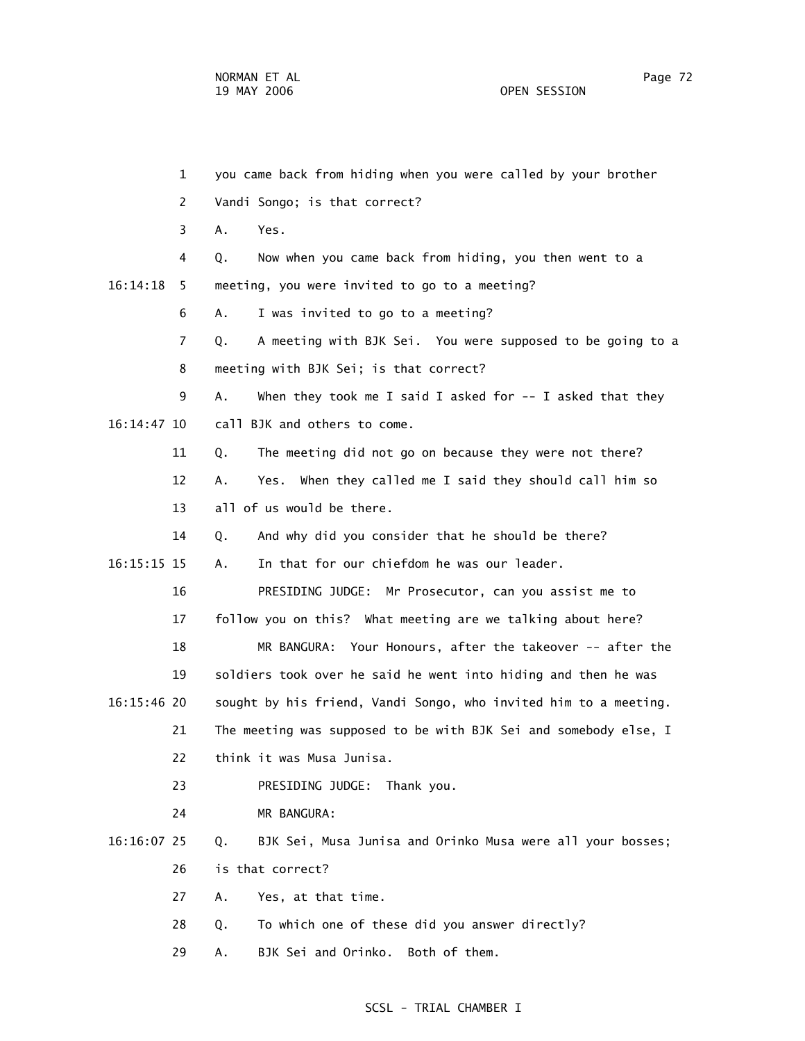1 you came back from hiding when you were called by your brother 2 Vandi Songo; is that correct? 3 A. Yes. 4 Q. Now when you came back from hiding, you then went to a 16:14:18 5 meeting, you were invited to go to a meeting? 6 A. I was invited to go to a meeting? 7 Q. A meeting with BJK Sei. You were supposed to be going to a 8 meeting with BJK Sei; is that correct? 9 A. When they took me I said I asked for -- I asked that they 16:14:47 10 call BJK and others to come. 11 Q. The meeting did not go on because they were not there? 12 A. Yes. When they called me I said they should call him so 13 all of us would be there. 14 Q. And why did you consider that he should be there? 16:15:15 15 A. In that for our chiefdom he was our leader. 16 PRESIDING JUDGE: Mr Prosecutor, can you assist me to 17 follow you on this? What meeting are we talking about here? 18 MR BANGURA: Your Honours, after the takeover -- after the 19 soldiers took over he said he went into hiding and then he was 16:15:46 20 sought by his friend, Vandi Songo, who invited him to a meeting. 21 The meeting was supposed to be with BJK Sei and somebody else, I 22 think it was Musa Junisa. 23 PRESIDING JUDGE: Thank you. 24 MR BANGURA: 16:16:07 25 Q. BJK Sei, Musa Junisa and Orinko Musa were all your bosses; 26 is that correct? 27 A. Yes, at that time. 28 Q. To which one of these did you answer directly? 29 A. BJK Sei and Orinko. Both of them.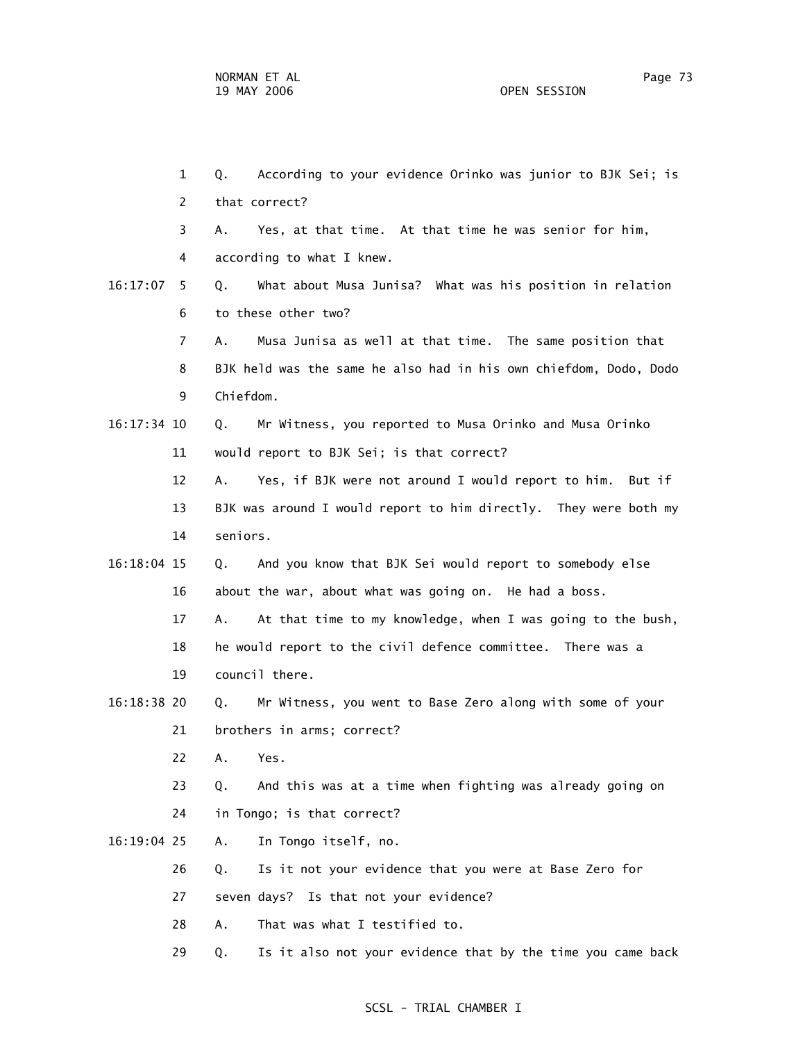1 Q. According to your evidence Orinko was junior to BJK Sei; is 2 that correct? 3 A. Yes, at that time. At that time he was senior for him, 4 according to what I knew. 16:17:07 5 Q. What about Musa Junisa? What was his position in relation 6 to these other two? 7 A. Musa Junisa as well at that time. The same position that 8 BJK held was the same he also had in his own chiefdom, Dodo, Dodo 9 Chiefdom. 16:17:34 10 Q. Mr Witness, you reported to Musa Orinko and Musa Orinko 11 would report to BJK Sei; is that correct? 12 A. Yes, if BJK were not around I would report to him. But if 13 BJK was around I would report to him directly. They were both my 14 seniors. 16:18:04 15 Q. And you know that BJK Sei would report to somebody else 16 about the war, about what was going on. He had a boss. 17 A. At that time to my knowledge, when I was going to the bush, 18 he would report to the civil defence committee. There was a 19 council there. 16:18:38 20 Q. Mr Witness, you went to Base Zero along with some of your 21 brothers in arms; correct? 22 A. Yes. 23 Q. And this was at a time when fighting was already going on 24 in Tongo; is that correct? 16:19:04 25 A. In Tongo itself, no. 26 Q. Is it not your evidence that you were at Base Zero for 27 seven days? Is that not your evidence? 28 A. That was what I testified to. 29 Q. Is it also not your evidence that by the time you came back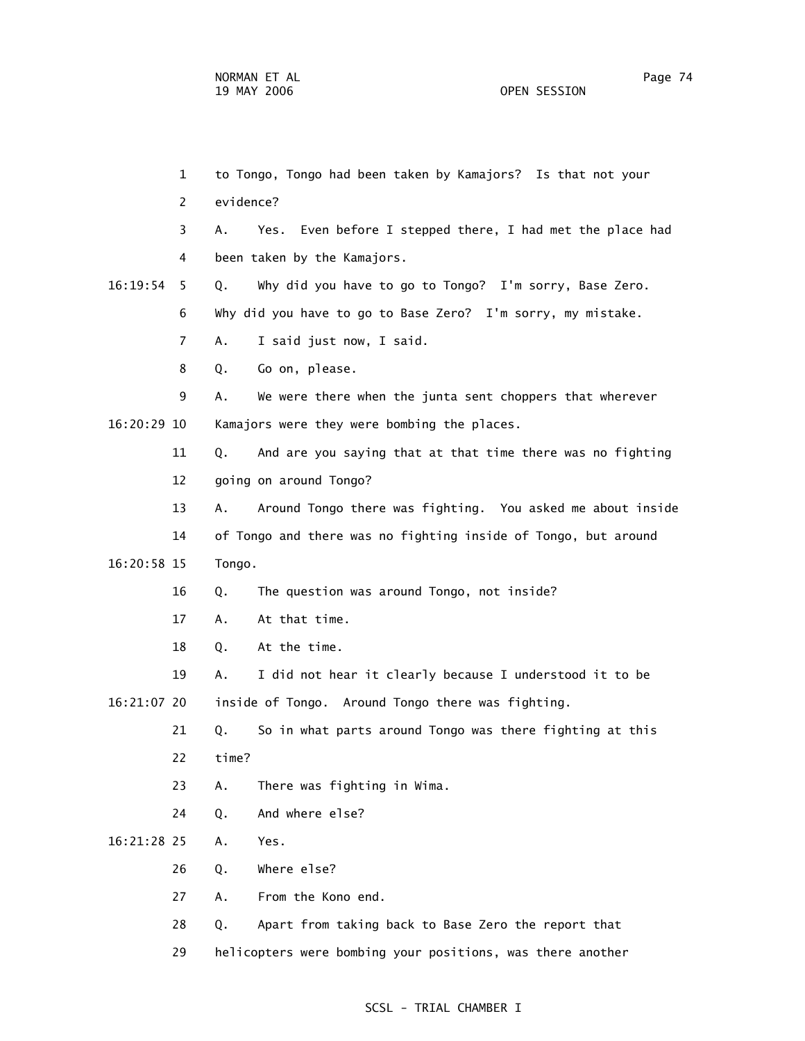1 to Tongo, Tongo had been taken by Kamajors? Is that not your 2 evidence? 3 A. Yes. Even before I stepped there, I had met the place had 4 been taken by the Kamajors. 16:19:54 5 Q. Why did you have to go to Tongo? I'm sorry, Base Zero. 6 Why did you have to go to Base Zero? I'm sorry, my mistake. 7 A. I said just now, I said. 8 Q. Go on, please. 9 A. We were there when the junta sent choppers that wherever 16:20:29 10 Kamajors were they were bombing the places. 11 Q. And are you saying that at that time there was no fighting 12 going on around Tongo? 13 A. Around Tongo there was fighting. You asked me about inside 14 of Tongo and there was no fighting inside of Tongo, but around 16:20:58 15 Tongo. 16 Q. The question was around Tongo, not inside? 17 A. At that time. 18 Q. At the time. 19 A. I did not hear it clearly because I understood it to be 16:21:07 20 inside of Tongo. Around Tongo there was fighting. 21 Q. So in what parts around Tongo was there fighting at this 22 time? 23 A. There was fighting in Wima. 24 Q. And where else? 16:21:28 25 A. Yes. 26 Q. Where else? 27 A. From the Kono end. 28 Q. Apart from taking back to Base Zero the report that 29 helicopters were bombing your positions, was there another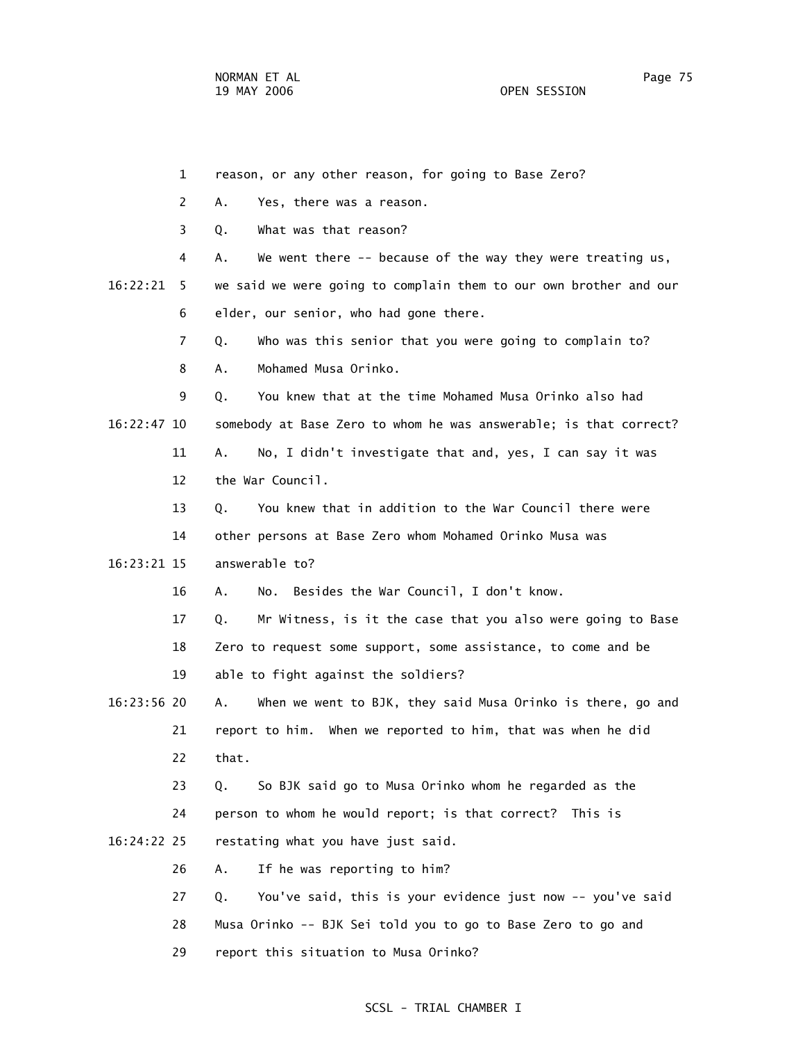|             | 1              | reason, or any other reason, for going to Base Zero?              |
|-------------|----------------|-------------------------------------------------------------------|
|             | $\overline{2}$ | Α.<br>Yes, there was a reason.                                    |
|             | 3              | What was that reason?<br>Q.                                       |
|             | 4              | We went there -- because of the way they were treating us,<br>А.  |
| 16:22:21    | 5.             | we said we were going to complain them to our own brother and our |
|             | 6              | elder, our senior, who had gone there.                            |
|             | 7              | Who was this senior that you were going to complain to?<br>Q.     |
|             | 8              | Mohamed Musa Orinko.<br>А.                                        |
|             | 9              | You knew that at the time Mohamed Musa Orinko also had<br>Q.      |
| 16:22:47 10 |                | somebody at Base Zero to whom he was answerable; is that correct? |
|             | 11             | No, I didn't investigate that and, yes, I can say it was<br>Α.    |
|             | 12             | the War Council.                                                  |
|             | 13             | You knew that in addition to the War Council there were<br>Q.     |
|             | 14             | other persons at Base Zero whom Mohamed Orinko Musa was           |
| 16:23:21 15 |                | answerable to?                                                    |
|             | 16             | No. Besides the War Council, I don't know.<br>Α.                  |
|             | 17             | Mr Witness, is it the case that you also were going to Base<br>Q. |
|             | 18             | Zero to request some support, some assistance, to come and be     |
|             | 19             | able to fight against the soldiers?                               |
| 16:23:56 20 |                | When we went to BJK, they said Musa Orinko is there, go and<br>Α. |
|             | 21             | report to him. When we reported to him, that was when he did      |
|             | 22             | that.                                                             |
|             | 23             | So BJK said go to Musa Orinko whom he regarded as the<br>Q.       |
|             | 24             | person to whom he would report; is that correct? This is          |
| 16:24:22 25 |                | restating what you have just said.                                |
|             | 26             | If he was reporting to him?<br>Α.                                 |
|             | 27             | You've said, this is your evidence just now -- you've said<br>Q.  |
|             | 28             | Musa Orinko -- BJK Sei told you to go to Base Zero to go and      |
|             | 29             | report this situation to Musa Orinko?                             |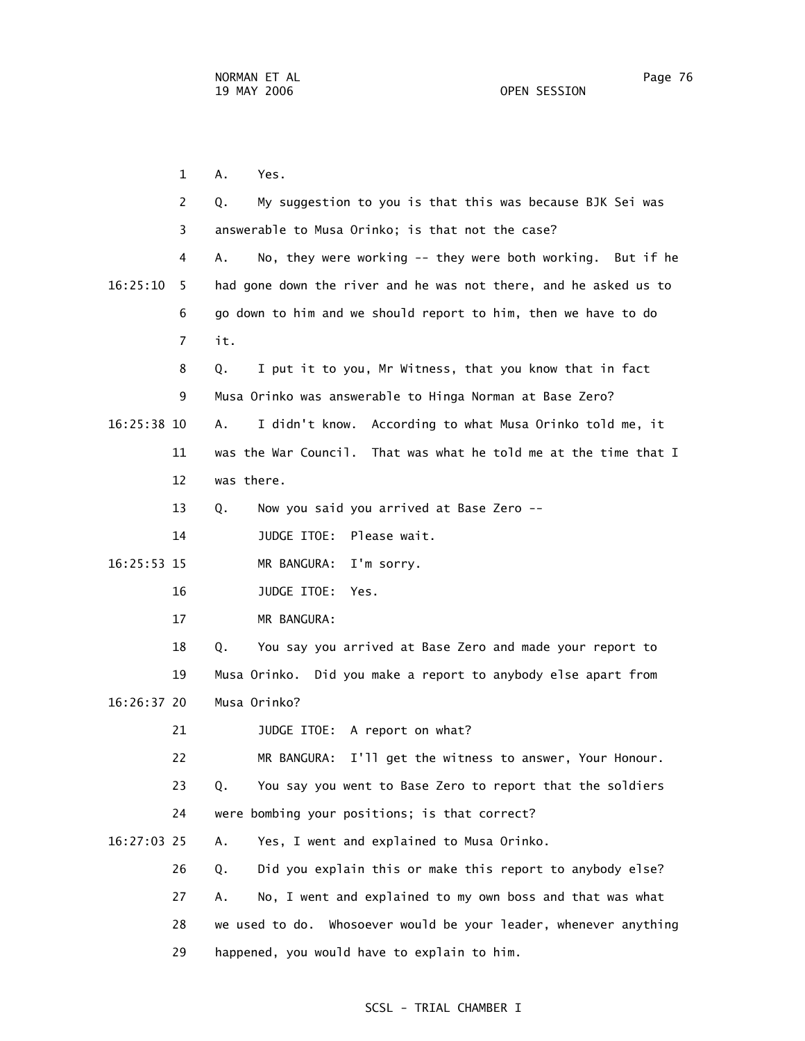1 A. Yes. 2 Q. My suggestion to you is that this was because BJK Sei was 3 answerable to Musa Orinko; is that not the case? 4 A. No, they were working -- they were both working. But if he 16:25:10 5 had gone down the river and he was not there, and he asked us to 6 go down to him and we should report to him, then we have to do 7 it. 8 Q. I put it to you, Mr Witness, that you know that in fact 9 Musa Orinko was answerable to Hinga Norman at Base Zero? 16:25:38 10 A. I didn't know. According to what Musa Orinko told me, it 11 was the War Council. That was what he told me at the time that I 12 was there. 13 Q. Now you said you arrived at Base Zero -- 14 JUDGE ITOE: Please wait. 16:25:53 15 MR BANGURA: I'm sorry. 16 JUDGE ITOE: Yes. 17 MR BANGURA: 18 Q. You say you arrived at Base Zero and made your report to 19 Musa Orinko. Did you make a report to anybody else apart from 16:26:37 20 Musa Orinko? 21 JUDGE ITOE: A report on what? 22 MR BANGURA: I'll get the witness to answer, Your Honour. 23 Q. You say you went to Base Zero to report that the soldiers 24 were bombing your positions; is that correct? 16:27:03 25 A. Yes, I went and explained to Musa Orinko. 26 Q. Did you explain this or make this report to anybody else? 27 A. No, I went and explained to my own boss and that was what 28 we used to do. Whosoever would be your leader, whenever anything

29 happened, you would have to explain to him.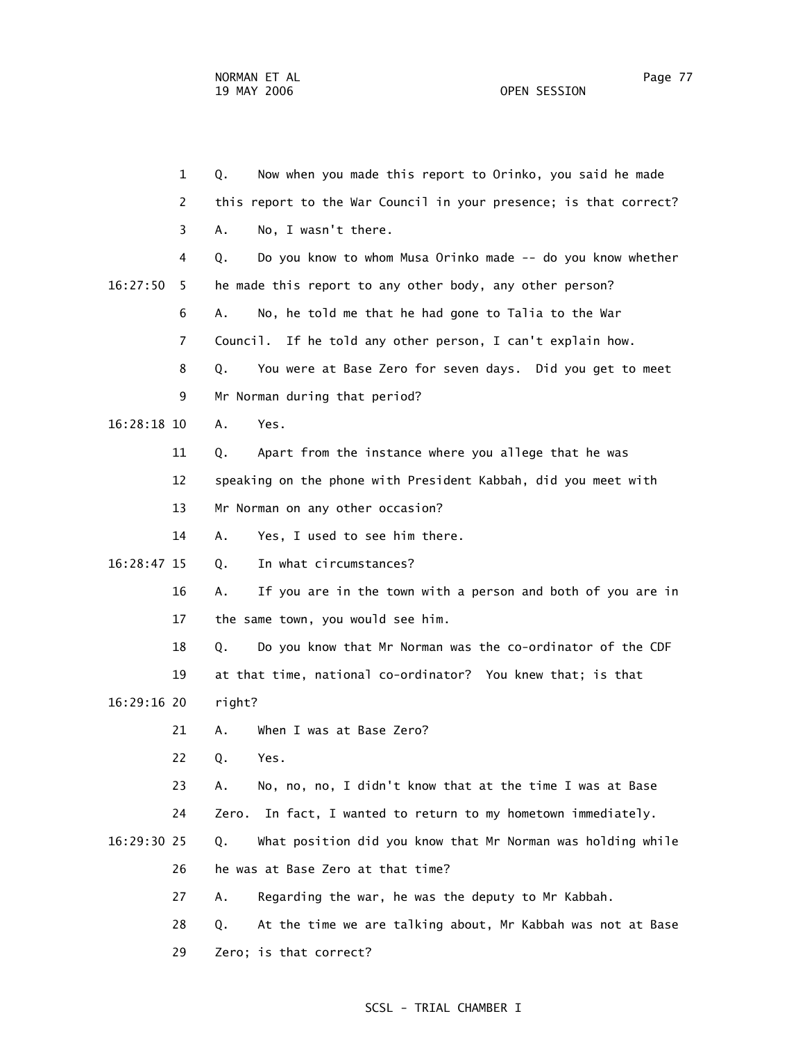1 Q. Now when you made this report to Orinko, you said he made 2 this report to the War Council in your presence; is that correct? 3 A. No, I wasn't there. 4 Q. Do you know to whom Musa Orinko made -- do you know whether 16:27:50 5 he made this report to any other body, any other person? 6 A. No, he told me that he had gone to Talia to the War 7 Council. If he told any other person, I can't explain how. 8 Q. You were at Base Zero for seven days. Did you get to meet 9 Mr Norman during that period? 16:28:18 10 A. Yes. 11 Q. Apart from the instance where you allege that he was 12 speaking on the phone with President Kabbah, did you meet with 13 Mr Norman on any other occasion? 14 A. Yes, I used to see him there. 16:28:47 15 Q. In what circumstances? 16 A. If you are in the town with a person and both of you are in 17 the same town, you would see him. 18 Q. Do you know that Mr Norman was the co-ordinator of the CDF 19 at that time, national co-ordinator? You knew that; is that 16:29:16 20 right? 21 A. When I was at Base Zero? 22 Q. Yes. 23 A. No, no, no, I didn't know that at the time I was at Base 24 Zero. In fact, I wanted to return to my hometown immediately. 16:29:30 25 Q. What position did you know that Mr Norman was holding while 26 he was at Base Zero at that time? 27 A. Regarding the war, he was the deputy to Mr Kabbah. 28 Q. At the time we are talking about, Mr Kabbah was not at Base 29 Zero; is that correct?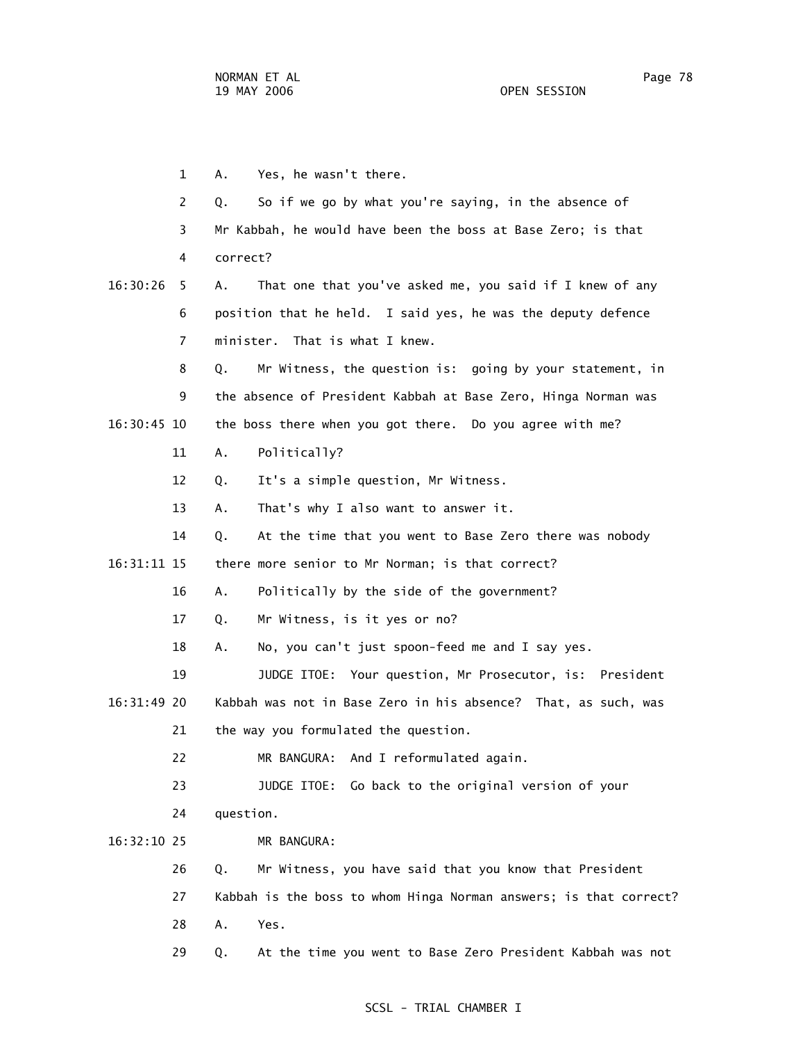1 A. Yes, he wasn't there. 2 Q. So if we go by what you're saying, in the absence of 3 Mr Kabbah, he would have been the boss at Base Zero; is that 4 correct? 16:30:26 5 A. That one that you've asked me, you said if I knew of any 6 position that he held. I said yes, he was the deputy defence 7 minister. That is what I knew. 8 Q. Mr Witness, the question is: going by your statement, in 9 the absence of President Kabbah at Base Zero, Hinga Norman was 16:30:45 10 the boss there when you got there. Do you agree with me? 11 A. Politically? 12 Q. It's a simple question, Mr Witness. 13 A. That's why I also want to answer it. 14 Q. At the time that you went to Base Zero there was nobody 16:31:11 15 there more senior to Mr Norman; is that correct? 16 A. Politically by the side of the government? 17 Q. Mr Witness, is it yes or no? 18 A. No, you can't just spoon-feed me and I say yes. 19 JUDGE ITOE: Your question, Mr Prosecutor, is: President 16:31:49 20 Kabbah was not in Base Zero in his absence? That, as such, was 21 the way you formulated the question. 22 MR BANGURA: And I reformulated again. 23 JUDGE ITOE: Go back to the original version of your 24 question. 16:32:10 25 MR BANGURA: 26 Q. Mr Witness, you have said that you know that President 27 Kabbah is the boss to whom Hinga Norman answers; is that correct? 28 A. Yes. 29 Q. At the time you went to Base Zero President Kabbah was not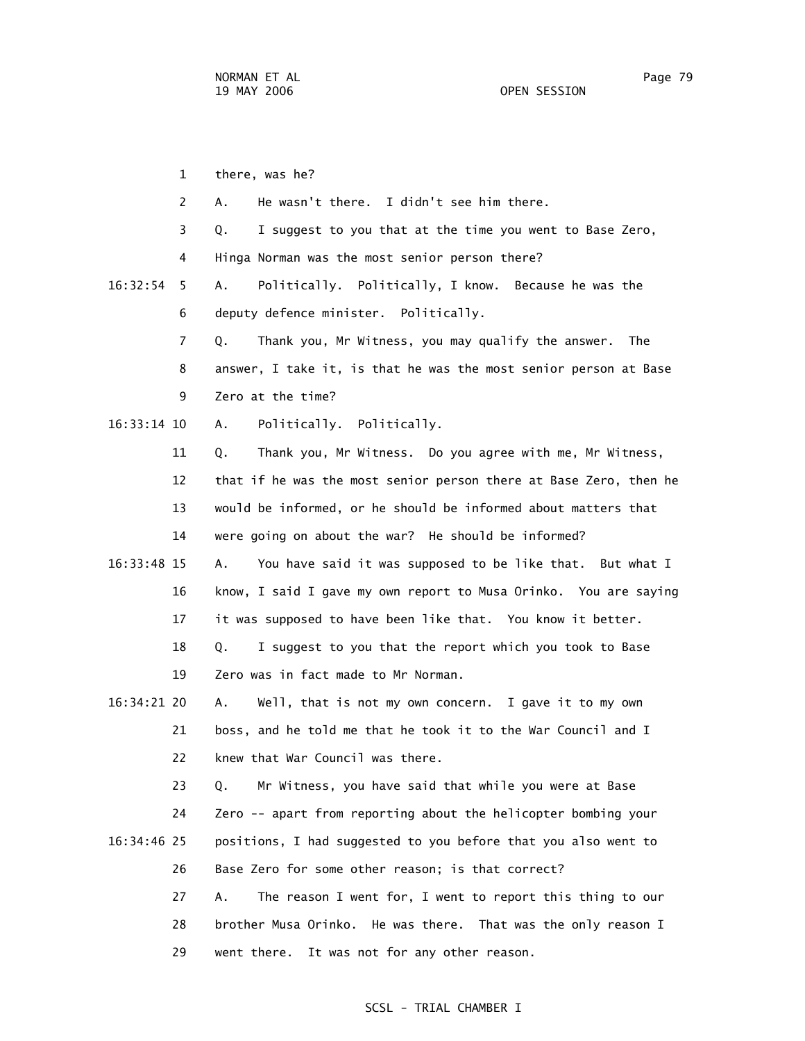1 there, was he?

2 A. He wasn't there. I didn't see him there.

 3 Q. I suggest to you that at the time you went to Base Zero, 4 Hinga Norman was the most senior person there?

 16:32:54 5 A. Politically. Politically, I know. Because he was the 6 deputy defence minister. Politically.

> 7 Q. Thank you, Mr Witness, you may qualify the answer. The 8 answer, I take it, is that he was the most senior person at Base 9 Zero at the time?

16:33:14 10 A. Politically. Politically.

11 Q. Thank you, Mr Witness. Do you agree with me, Mr Witness,

 12 that if he was the most senior person there at Base Zero, then he 13 would be informed, or he should be informed about matters that

14 were going on about the war? He should be informed?

 16:33:48 15 A. You have said it was supposed to be like that. But what I 16 know, I said I gave my own report to Musa Orinko. You are saying 17 it was supposed to have been like that. You know it better. 18 Q. I suggest to you that the report which you took to Base

19 Zero was in fact made to Mr Norman.

 16:34:21 20 A. Well, that is not my own concern. I gave it to my own 21 boss, and he told me that he took it to the War Council and I 22 knew that War Council was there.

 23 Q. Mr Witness, you have said that while you were at Base 24 Zero -- apart from reporting about the helicopter bombing your 16:34:46 25 positions, I had suggested to you before that you also went to 26 Base Zero for some other reason; is that correct?

> 27 A. The reason I went for, I went to report this thing to our 28 brother Musa Orinko. He was there. That was the only reason I 29 went there. It was not for any other reason.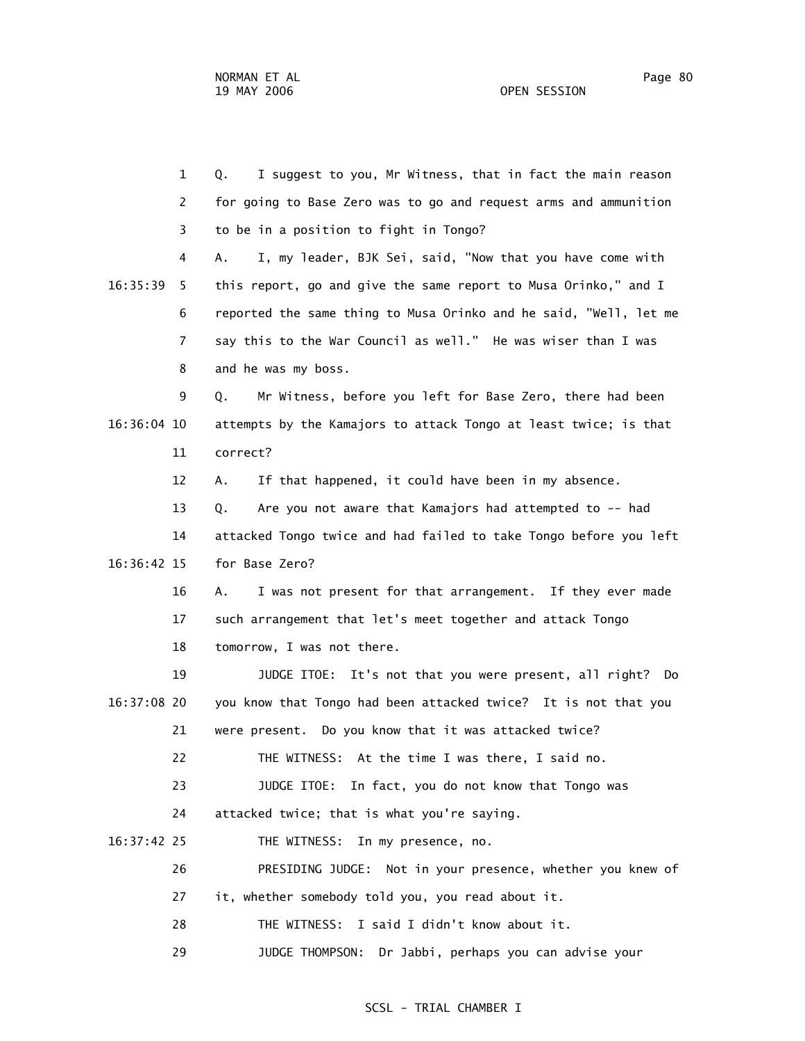1 Q. I suggest to you, Mr Witness, that in fact the main reason 2 for going to Base Zero was to go and request arms and ammunition 3 to be in a position to fight in Tongo? 4 A. I, my leader, BJK Sei, said, "Now that you have come with 16:35:39 5 this report, go and give the same report to Musa Orinko," and I 6 reported the same thing to Musa Orinko and he said, "Well, let me 7 say this to the War Council as well." He was wiser than I was 8 and he was my boss. 9 Q. Mr Witness, before you left for Base Zero, there had been 16:36:04 10 attempts by the Kamajors to attack Tongo at least twice; is that 11 correct? 12 A. If that happened, it could have been in my absence. 13 Q. Are you not aware that Kamajors had attempted to -- had 14 attacked Tongo twice and had failed to take Tongo before you left 16:36:42 15 for Base Zero? 16 A. I was not present for that arrangement. If they ever made 17 such arrangement that let's meet together and attack Tongo 18 tomorrow, I was not there. 19 JUDGE ITOE: It's not that you were present, all right? Do 16:37:08 20 you know that Tongo had been attacked twice? It is not that you 21 were present. Do you know that it was attacked twice? 22 THE WITNESS: At the time I was there, I said no. 23 JUDGE ITOE: In fact, you do not know that Tongo was 24 attacked twice; that is what you're saying. 16:37:42 25 THE WITNESS: In my presence, no. 26 PRESIDING JUDGE: Not in your presence, whether you knew of 27 it, whether somebody told you, you read about it. 28 THE WITNESS: I said I didn't know about it. 29 JUDGE THOMPSON: Dr Jabbi, perhaps you can advise your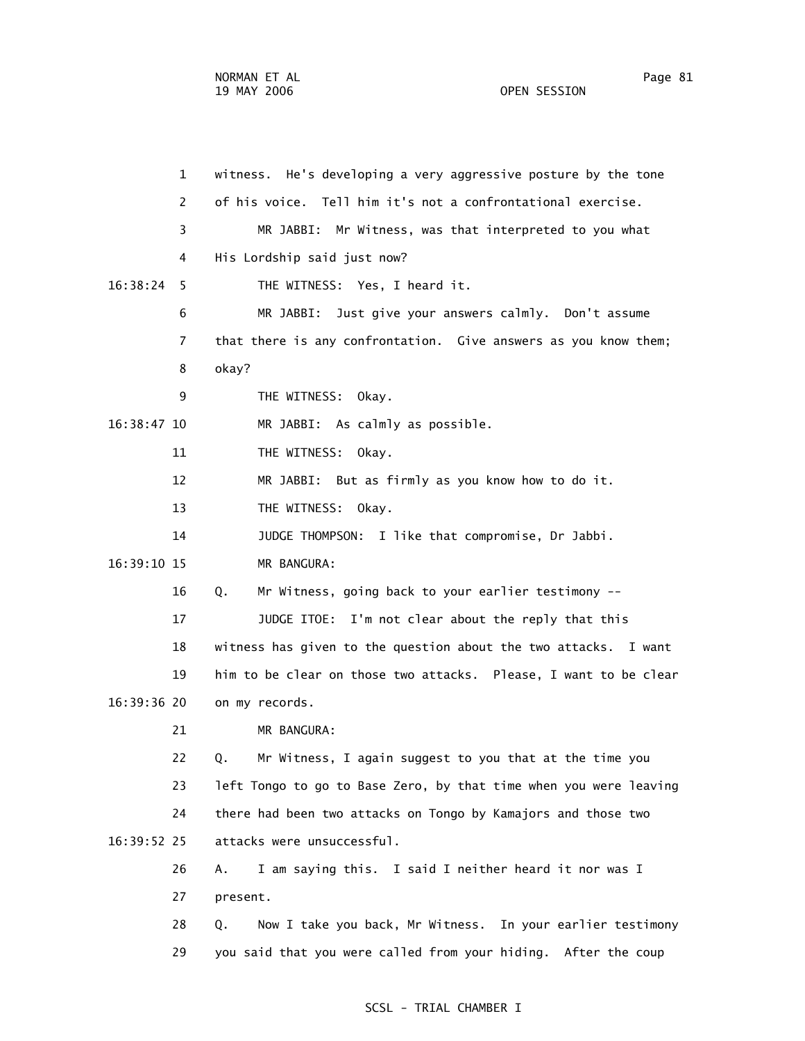1 witness. He's developing a very aggressive posture by the tone 2 of his voice. Tell him it's not a confrontational exercise. 3 MR JABBI: Mr Witness, was that interpreted to you what 4 His Lordship said just now? 16:38:24 5 THE WITNESS: Yes, I heard it. 6 MR JABBI: Just give your answers calmly. Don't assume 7 that there is any confrontation. Give answers as you know them; 8 okay? 9 THE WITNESS: Okay. 16:38:47 10 MR JABBI: As calmly as possible. 11 THE WITNESS: Okay. 12 MR JABBI: But as firmly as you know how to do it. 13 THE WITNESS: Okay. 14 JUDGE THOMPSON: I like that compromise, Dr Jabbi. 16:39:10 15 MR BANGURA: 16 Q. Mr Witness, going back to your earlier testimony -- 17 JUDGE ITOE: I'm not clear about the reply that this 18 witness has given to the question about the two attacks. I want 19 him to be clear on those two attacks. Please, I want to be clear 16:39:36 20 on my records. 21 MR BANGURA: 22 Q. Mr Witness, I again suggest to you that at the time you 23 left Tongo to go to Base Zero, by that time when you were leaving 24 there had been two attacks on Tongo by Kamajors and those two 16:39:52 25 attacks were unsuccessful. 26 A. I am saying this. I said I neither heard it nor was I 27 present. 28 Q. Now I take you back, Mr Witness. In your earlier testimony 29 you said that you were called from your hiding. After the coup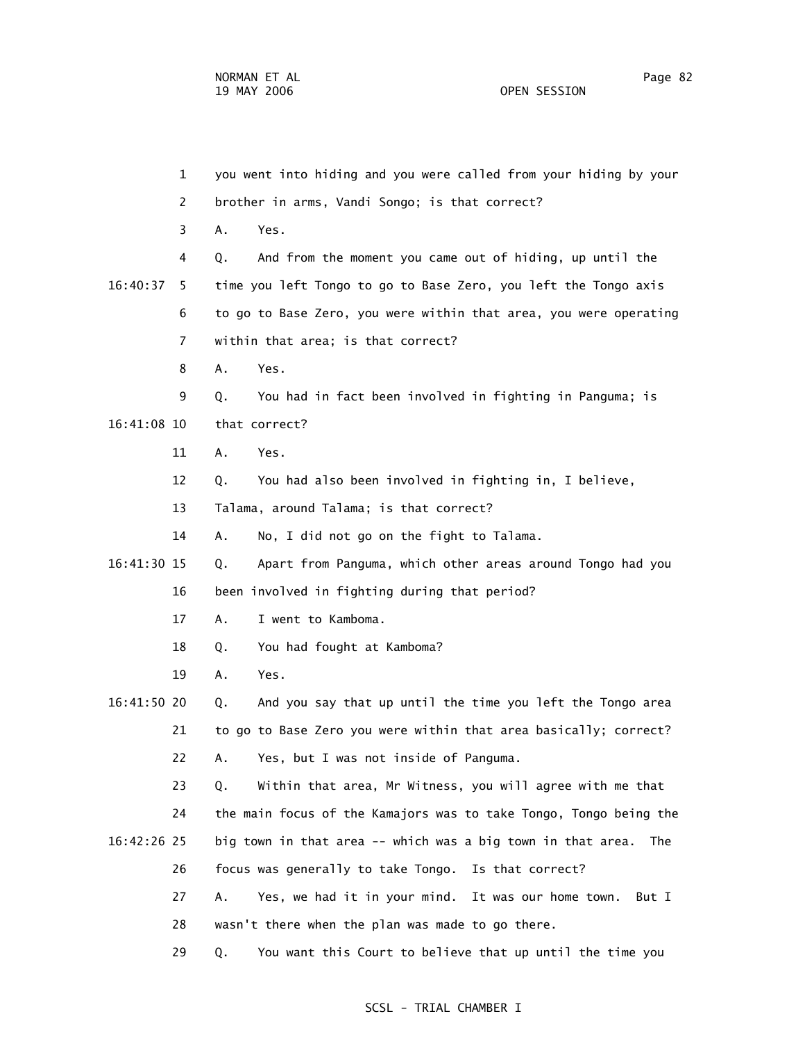1 you went into hiding and you were called from your hiding by your 2 brother in arms, Vandi Songo; is that correct? 3 A. Yes. 4 Q. And from the moment you came out of hiding, up until the 16:40:37 5 time you left Tongo to go to Base Zero, you left the Tongo axis 6 to go to Base Zero, you were within that area, you were operating 7 within that area; is that correct? 8 A. Yes. 9 Q. You had in fact been involved in fighting in Panguma; is 16:41:08 10 that correct? 11 A. Yes. 12 Q. You had also been involved in fighting in, I believe, 13 Talama, around Talama; is that correct? 14 A. No, I did not go on the fight to Talama. 16:41:30 15 Q. Apart from Panguma, which other areas around Tongo had you 16 been involved in fighting during that period? 17 A. I went to Kamboma. 18 Q. You had fought at Kamboma? 19 A. Yes. 16:41:50 20 Q. And you say that up until the time you left the Tongo area 21 to go to Base Zero you were within that area basically; correct? 22 A. Yes, but I was not inside of Panguma. 23 Q. Within that area, Mr Witness, you will agree with me that 24 the main focus of the Kamajors was to take Tongo, Tongo being the 16:42:26 25 big town in that area -- which was a big town in that area. The 26 focus was generally to take Tongo. Is that correct? 27 A. Yes, we had it in your mind. It was our home town. But I 28 wasn't there when the plan was made to go there. 29 Q. You want this Court to believe that up until the time you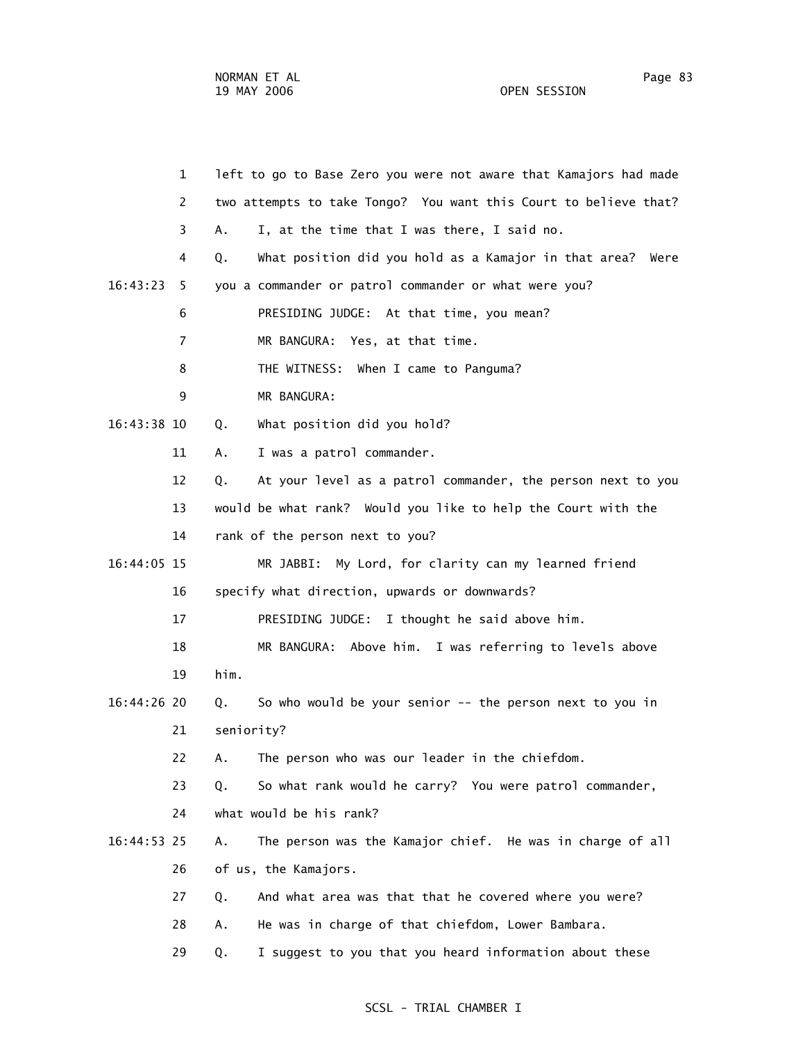|             | $\mathbf{1}$   | left to go to Base Zero you were not aware that Kamajors had made   |
|-------------|----------------|---------------------------------------------------------------------|
|             | $\overline{2}$ | two attempts to take Tongo? You want this Court to believe that?    |
|             | 3              | I, at the time that I was there, I said no.<br>А.                   |
|             | 4              | What position did you hold as a Kamajor in that area?<br>Q.<br>Were |
| 16:43:23    | 5.             | you a commander or patrol commander or what were you?               |
|             | 6              | PRESIDING JUDGE: At that time, you mean?                            |
|             | 7              | MR BANGURA: Yes, at that time.                                      |
|             | 8              | THE WITNESS: When I came to Panguma?                                |
|             | 9              | MR BANGURA:                                                         |
| 16:43:38 10 |                | What position did you hold?<br>Q.                                   |
|             | 11             | I was a patrol commander.<br>А.                                     |
|             | 12             | At your level as a patrol commander, the person next to you<br>Q.   |
|             | 13             | would be what rank? Would you like to help the Court with the       |
|             | 14             | rank of the person next to you?                                     |
| 16:44:05 15 |                | MR JABBI: My Lord, for clarity can my learned friend                |
|             | 16             | specify what direction, upwards or downwards?                       |
|             | 17             | PRESIDING JUDGE: I thought he said above him.                       |
|             | 18             | MR BANGURA: Above him. I was referring to levels above              |
|             | 19             | him.                                                                |
| 16:44:26 20 |                | So who would be your senior $-$ - the person next to you in<br>Q.   |
|             | 21             | seniority?                                                          |
|             | 22             | The person who was our leader in the chiefdom.<br>Α.                |
|             | 23             | So what rank would he carry? You were patrol commander,<br>Q.       |
|             | 24             | what would be his rank?                                             |
| 16:44:53 25 |                | The person was the Kamajor chief. He was in charge of all<br>Α.     |
|             | 26             | of us, the Kamajors.                                                |
|             | 27             | And what area was that that he covered where you were?<br>Q.        |
|             | 28             | He was in charge of that chiefdom, Lower Bambara.<br>Α.             |
|             | 29             | I suggest to you that you heard information about these<br>Q.       |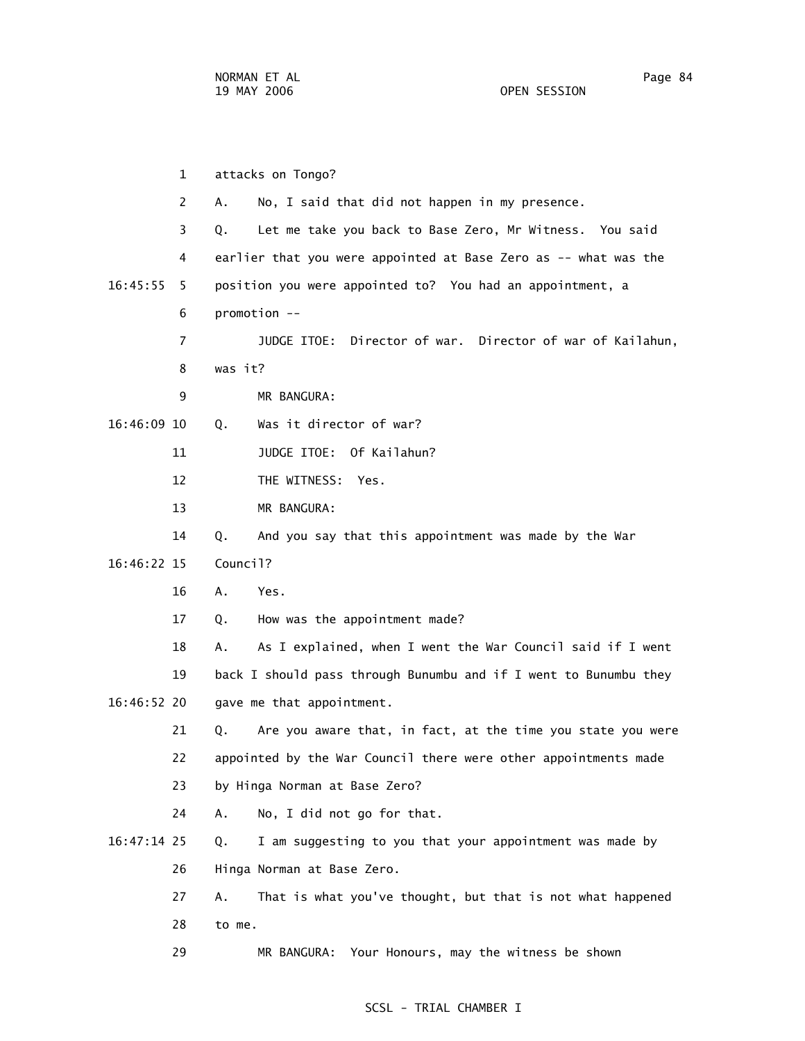1 attacks on Tongo? 2 A. No, I said that did not happen in my presence. 3 Q. Let me take you back to Base Zero, Mr Witness. You said 4 earlier that you were appointed at Base Zero as -- what was the 16:45:55 5 position you were appointed to? You had an appointment, a 6 promotion -- 7 JUDGE ITOE: Director of war. Director of war of Kailahun, 8 was it? 9 MR BANGURA: 16:46:09 10 Q. Was it director of war? 11 JUDGE ITOE: Of Kailahun? 12 THE WITNESS: Yes. 13 MR BANGURA: 14 Q. And you say that this appointment was made by the War 16:46:22 15 Council? 16 A. Yes. 17 Q. How was the appointment made? 18 A. As I explained, when I went the War Council said if I went 19 back I should pass through Bunumbu and if I went to Bunumbu they 16:46:52 20 gave me that appointment. 21 Q. Are you aware that, in fact, at the time you state you were 22 appointed by the War Council there were other appointments made 23 by Hinga Norman at Base Zero? 24 A. No, I did not go for that. 16:47:14 25 Q. I am suggesting to you that your appointment was made by 26 Hinga Norman at Base Zero. 27 A. That is what you've thought, but that is not what happened 28 to me. 29 MR BANGURA: Your Honours, may the witness be shown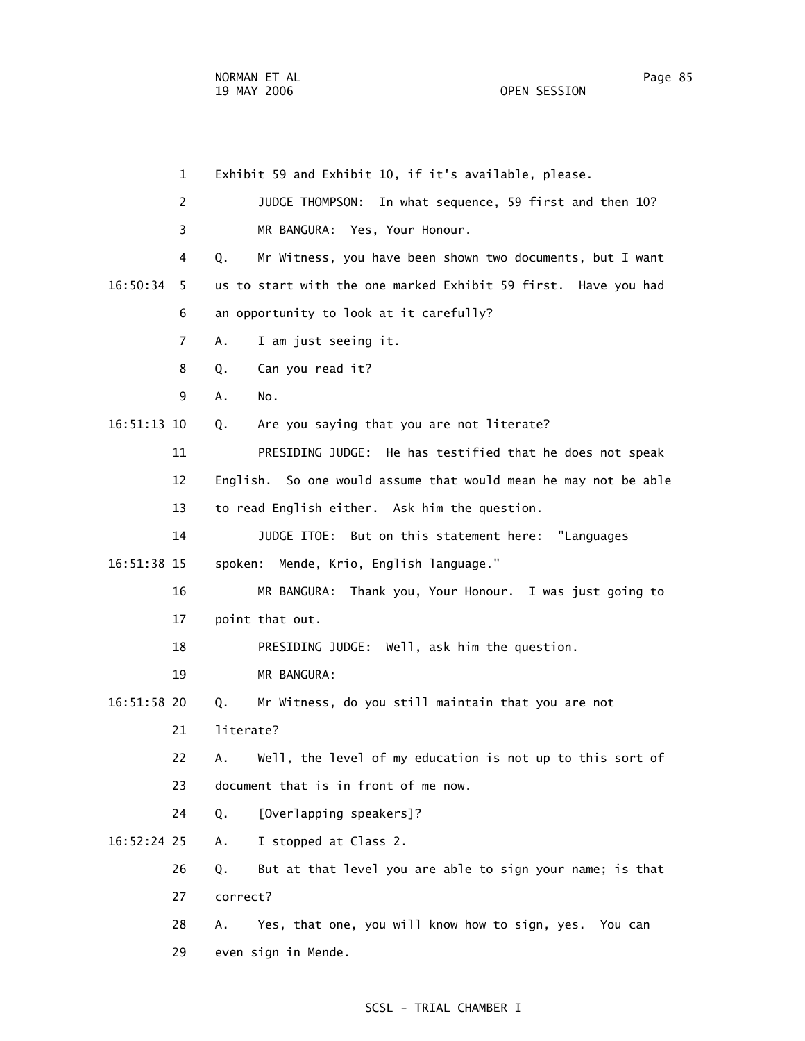1 Exhibit 59 and Exhibit 10, if it's available, please. 2 JUDGE THOMPSON: In what sequence, 59 first and then 10? 3 MR BANGURA: Yes, Your Honour. 4 Q. Mr Witness, you have been shown two documents, but I want 16:50:34 5 us to start with the one marked Exhibit 59 first. Have you had 6 an opportunity to look at it carefully? 7 A. I am just seeing it. 8 Q. Can you read it? 9 A. No. 16:51:13 10 Q. Are you saying that you are not literate? 11 PRESIDING JUDGE: He has testified that he does not speak 12 English. So one would assume that would mean he may not be able 13 to read English either. Ask him the question. 14 JUDGE ITOE: But on this statement here: "Languages 16:51:38 15 spoken: Mende, Krio, English language." 16 MR BANGURA: Thank you, Your Honour. I was just going to 17 point that out. 18 PRESIDING JUDGE: Well, ask him the question. 19 MR BANGURA: 16:51:58 20 Q. Mr Witness, do you still maintain that you are not 21 literate? 22 A. Well, the level of my education is not up to this sort of 23 document that is in front of me now. 24 Q. [Overlapping speakers]? 16:52:24 25 A. I stopped at Class 2. 26 Q. But at that level you are able to sign your name; is that 27 correct? 28 A. Yes, that one, you will know how to sign, yes. You can 29 even sign in Mende.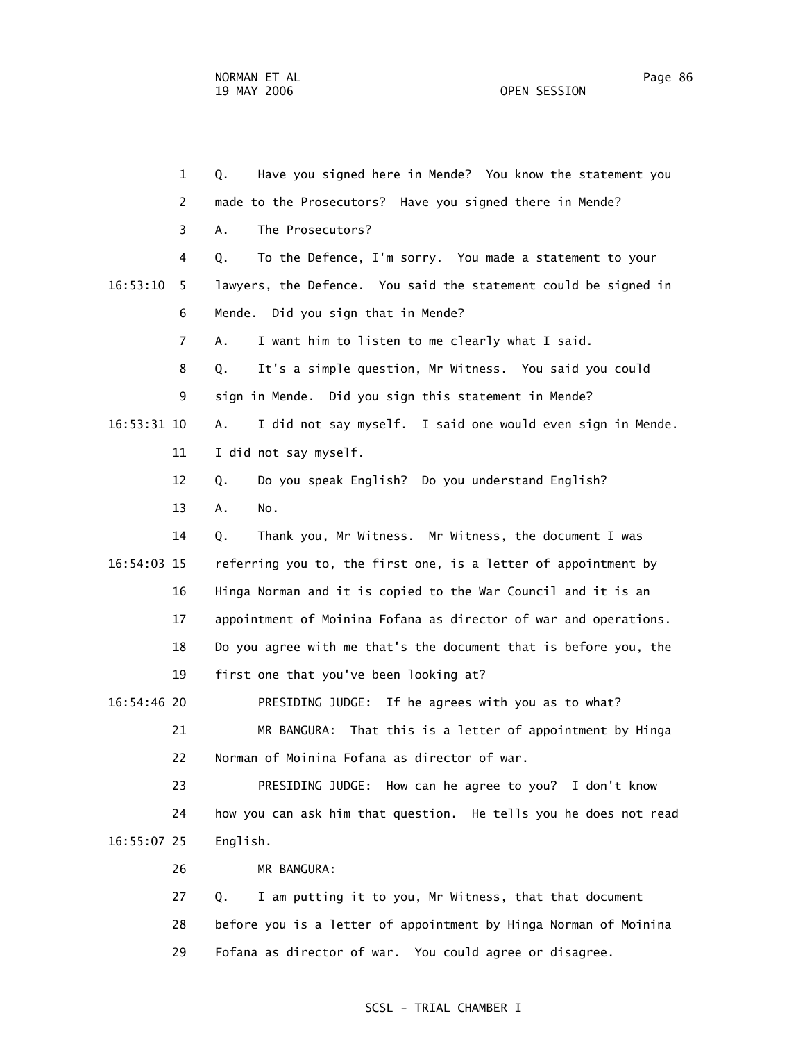1 Q. Have you signed here in Mende? You know the statement you 2 made to the Prosecutors? Have you signed there in Mende? 3 A. The Prosecutors? 4 Q. To the Defence, I'm sorry. You made a statement to your 16:53:10 5 lawyers, the Defence. You said the statement could be signed in 6 Mende. Did you sign that in Mende? 7 A. I want him to listen to me clearly what I said. 8 Q. It's a simple question, Mr Witness. You said you could 9 sign in Mende. Did you sign this statement in Mende? 16:53:31 10 A. I did not say myself. I said one would even sign in Mende. 11 I did not say myself. 12 Q. Do you speak English? Do you understand English? 13 A. No. 14 Q. Thank you, Mr Witness. Mr Witness, the document I was 16:54:03 15 referring you to, the first one, is a letter of appointment by 16 Hinga Norman and it is copied to the War Council and it is an 17 appointment of Moinina Fofana as director of war and operations. 18 Do you agree with me that's the document that is before you, the 19 first one that you've been looking at? 16:54:46 20 PRESIDING JUDGE: If he agrees with you as to what? 21 MR BANGURA: That this is a letter of appointment by Hinga 22 Norman of Moinina Fofana as director of war. 23 PRESIDING JUDGE: How can he agree to you? I don't know 24 how you can ask him that question. He tells you he does not read 16:55:07 25 English. 26 MR BANGURA: 27 Q. I am putting it to you, Mr Witness, that that document 28 before you is a letter of appointment by Hinga Norman of Moinina

#### SCSL - TRIAL CHAMBER I

29 Fofana as director of war. You could agree or disagree.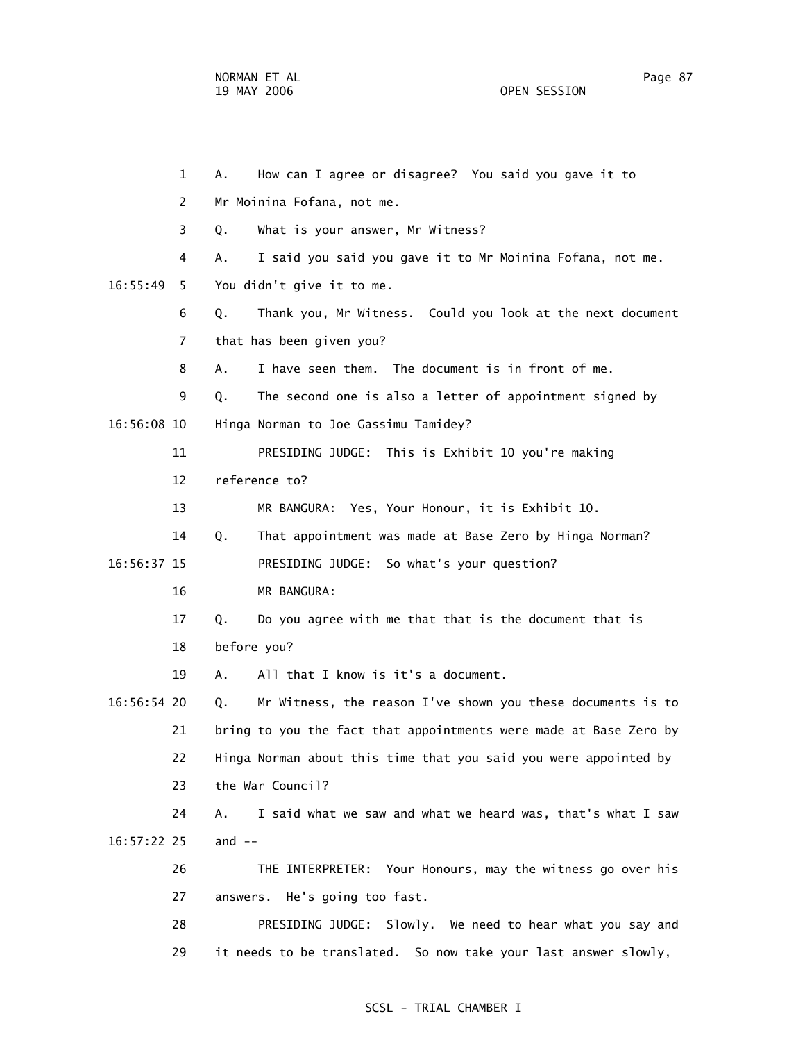1 A. How can I agree or disagree? You said you gave it to 2 Mr Moinina Fofana, not me. 3 Q. What is your answer, Mr Witness? 4 A. I said you said you gave it to Mr Moinina Fofana, not me. 16:55:49 5 You didn't give it to me. 6 Q. Thank you, Mr Witness. Could you look at the next document 7 that has been given you? 8 A. I have seen them. The document is in front of me. 9 Q. The second one is also a letter of appointment signed by 16:56:08 10 Hinga Norman to Joe Gassimu Tamidey? 11 PRESIDING JUDGE: This is Exhibit 10 you're making 12 reference to? 13 MR BANGURA: Yes, Your Honour, it is Exhibit 10. 14 Q. That appointment was made at Base Zero by Hinga Norman? 16:56:37 15 PRESIDING JUDGE: So what's your question? 16 MR BANGURA: 17 Q. Do you agree with me that that is the document that is 18 before you? 19 A. All that I know is it's a document. 16:56:54 20 Q. Mr Witness, the reason I've shown you these documents is to 21 bring to you the fact that appointments were made at Base Zero by 22 Hinga Norman about this time that you said you were appointed by 23 the War Council? 24 A. I said what we saw and what we heard was, that's what I saw 16:57:22 25 and -- 26 THE INTERPRETER: Your Honours, may the witness go over his 27 answers. He's going too fast. 28 PRESIDING JUDGE: Slowly. We need to hear what you say and 29 it needs to be translated. So now take your last answer slowly,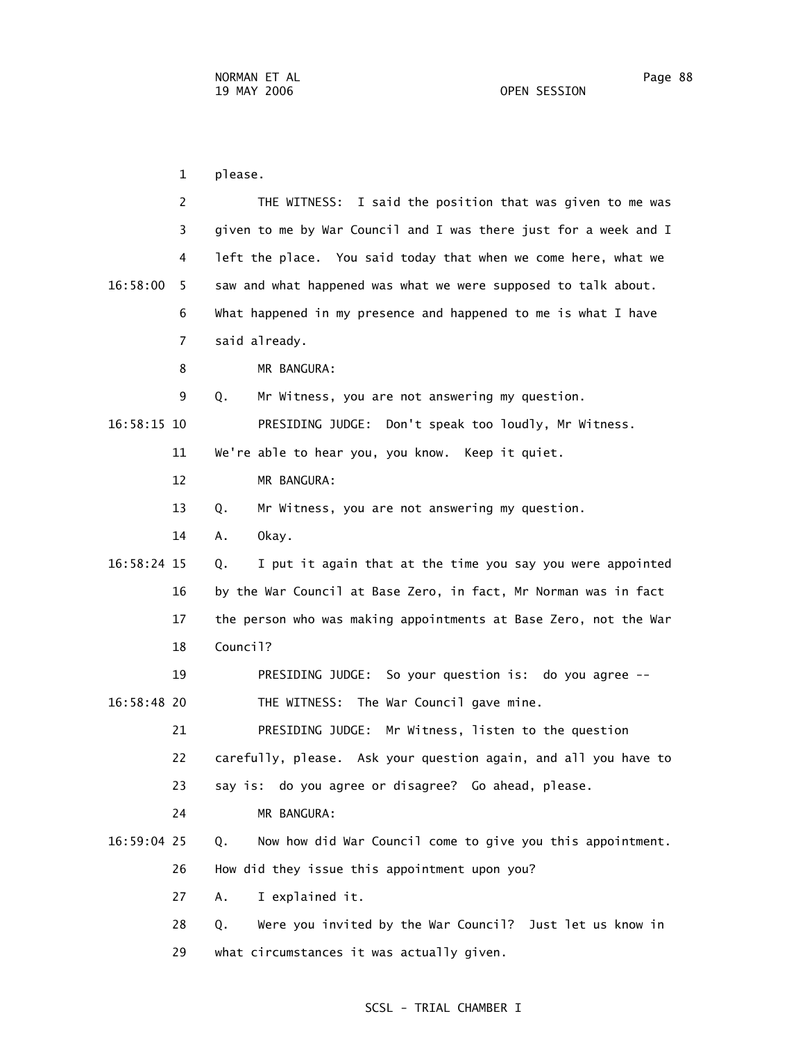1 please. 2 THE WITNESS: I said the position that was given to me was 3 given to me by War Council and I was there just for a week and I 4 left the place. You said today that when we come here, what we 16:58:00 5 saw and what happened was what we were supposed to talk about. 6 What happened in my presence and happened to me is what I have 7 said already. 8 MR BANGURA: 9 Q. Mr Witness, you are not answering my question. 16:58:15 10 PRESIDING JUDGE: Don't speak too loudly, Mr Witness. 11 We're able to hear you, you know. Keep it quiet. 12 MR BANGURA: 13 Q. Mr Witness, you are not answering my question. 14 A. Okay. 16:58:24 15 Q. I put it again that at the time you say you were appointed 16 by the War Council at Base Zero, in fact, Mr Norman was in fact 17 the person who was making appointments at Base Zero, not the War 18 Council? 19 PRESIDING JUDGE: So your question is: do you agree -- 16:58:48 20 THE WITNESS: The War Council gave mine. 21 PRESIDING JUDGE: Mr Witness, listen to the question 22 carefully, please. Ask your question again, and all you have to 23 say is: do you agree or disagree? Go ahead, please. 24 MR BANGURA: 16:59:04 25 Q. Now how did War Council come to give you this appointment. 26 How did they issue this appointment upon you? 27 A. I explained it. 28 Q. Were you invited by the War Council? Just let us know in 29 what circumstances it was actually given.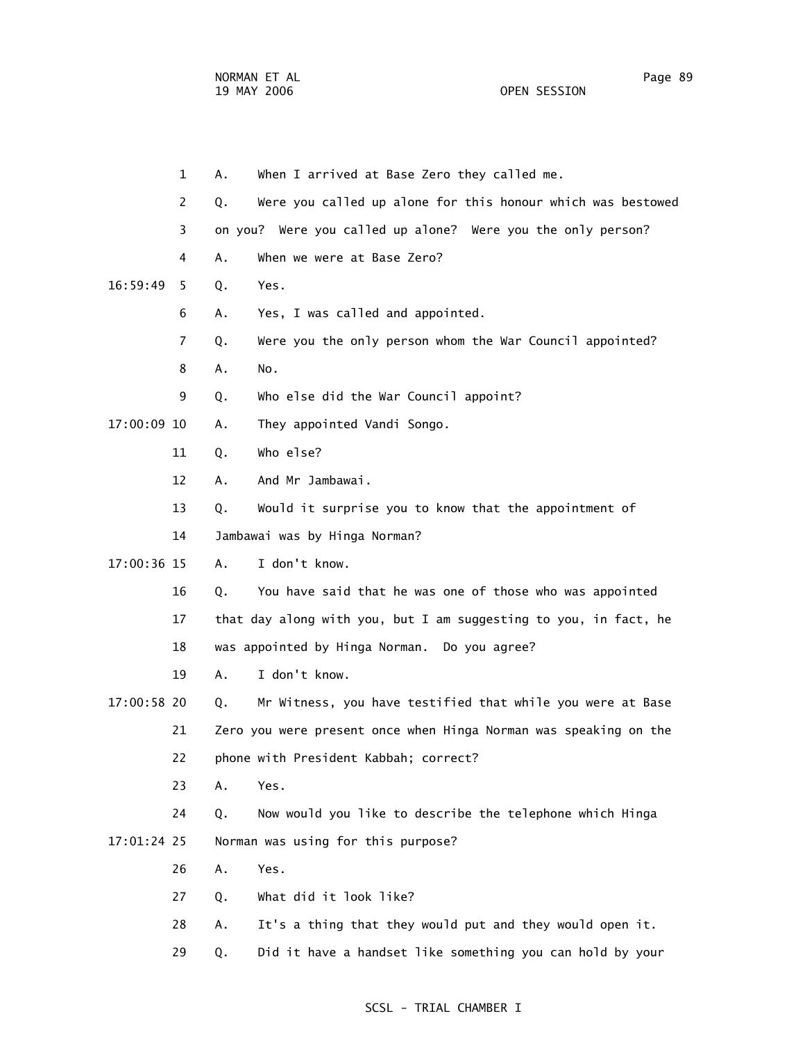|             | $\mathbf 1$    | А. | When I arrived at Base Zero they called me.                      |
|-------------|----------------|----|------------------------------------------------------------------|
|             | $\overline{2}$ | Q. | Were you called up alone for this honour which was bestowed      |
|             | 3              |    | on you? Were you called up alone? Were you the only person?      |
|             | 4              | A. | When we were at Base Zero?                                       |
| 16:59:49    | 5.             | Q. | Yes.                                                             |
|             | 6              | Α. | Yes, I was called and appointed.                                 |
|             | 7              | Q. | Were you the only person whom the War Council appointed?         |
|             | 8              | А. | No.                                                              |
|             | 9              | Q. | Who else did the War Council appoint?                            |
| 17:00:09 10 |                | Α. | They appointed Vandi Songo.                                      |
|             | 11             | Q. | Who else?                                                        |
|             | 12             | Α. | And Mr Jambawai.                                                 |
|             | 13             | Q. | Would it surprise you to know that the appointment of            |
|             | 14             |    | Jambawai was by Hinga Norman?                                    |
| 17:00:36 15 |                | A. | I don't know.                                                    |
|             | 16             | Q. | You have said that he was one of those who was appointed         |
|             | 17             |    | that day along with you, but I am suggesting to you, in fact, he |
|             | 18             |    | was appointed by Hinga Norman. Do you agree?                     |
|             | 19             | А. | I don't know.                                                    |
| 17:00:58 20 |                | Q. | Mr Witness, you have testified that while you were at Base       |
|             | 21             |    | Zero you were present once when Hinga Norman was speaking on the |
|             | 22             |    | phone with President Kabbah; correct?                            |
|             | 23             | Α. | Yes.                                                             |
|             | 24             | Q. | Now would you like to describe the telephone which Hinga         |
| 17:01:24 25 |                |    | Norman was using for this purpose?                               |
|             | 26             | Α. | Yes.                                                             |
|             | 27             | Q. | What did it look like?                                           |
|             | 28             | Α. | It's a thing that they would put and they would open it.         |
|             | 29             | Q. | Did it have a handset like something you can hold by your        |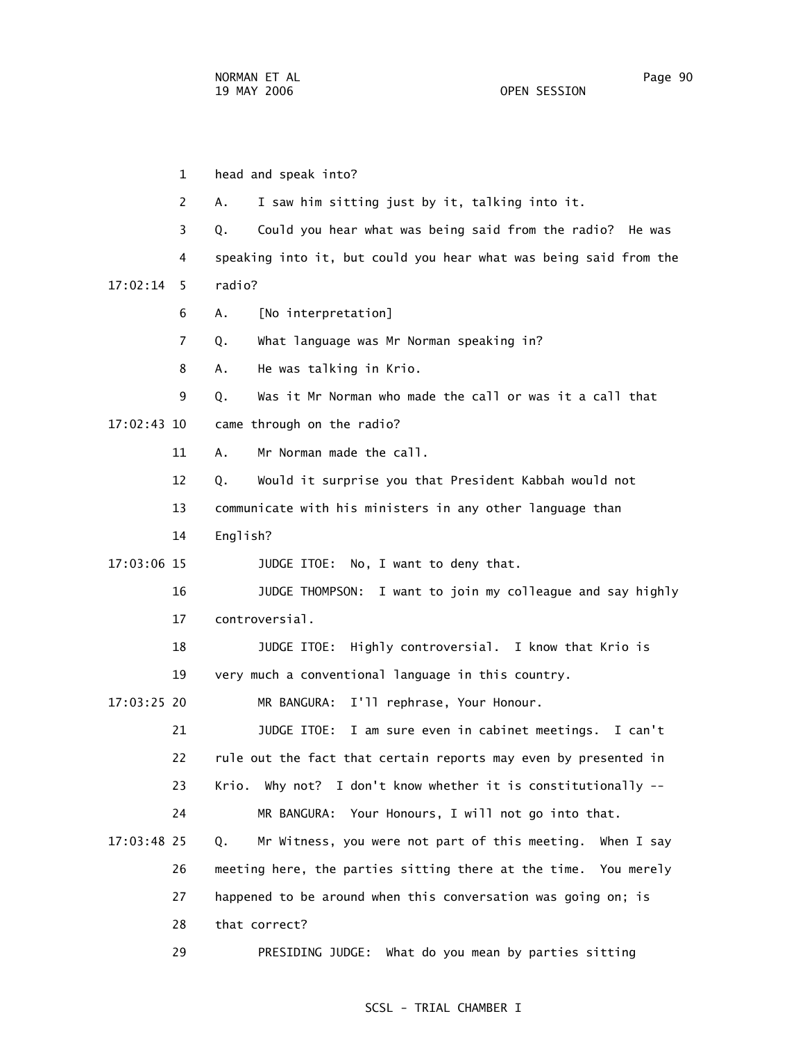1 head and speak into? 2 A. I saw him sitting just by it, talking into it. 3 Q. Could you hear what was being said from the radio? He was 4 speaking into it, but could you hear what was being said from the 17:02:14 5 radio? 6 A. [No interpretation] 7 Q. What language was Mr Norman speaking in? 8 A. He was talking in Krio. 9 Q. Was it Mr Norman who made the call or was it a call that 17:02:43 10 came through on the radio? 11 A. Mr Norman made the call. 12 Q. Would it surprise you that President Kabbah would not 13 communicate with his ministers in any other language than 14 English? 17:03:06 15 JUDGE ITOE: No, I want to deny that. 16 JUDGE THOMPSON: I want to join my colleague and say highly 17 controversial. 18 JUDGE ITOE: Highly controversial. I know that Krio is 19 very much a conventional language in this country. 17:03:25 20 MR BANGURA: I'll rephrase, Your Honour. 21 JUDGE ITOE: I am sure even in cabinet meetings. I can't 22 rule out the fact that certain reports may even by presented in 23 Krio. Why not? I don't know whether it is constitutionally -- 24 MR BANGURA: Your Honours, I will not go into that. 17:03:48 25 Q. Mr Witness, you were not part of this meeting. When I say 26 meeting here, the parties sitting there at the time. You merely 27 happened to be around when this conversation was going on; is 28 that correct?

#### SCSL - TRIAL CHAMBER I

29 PRESIDING JUDGE: What do you mean by parties sitting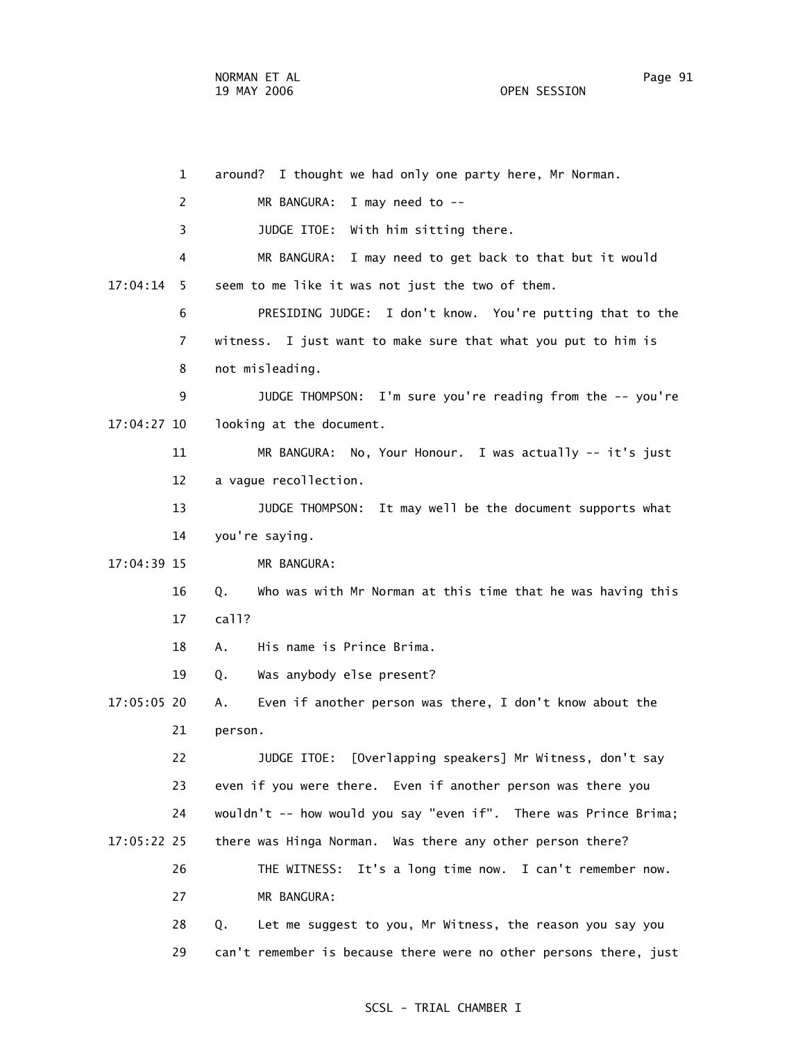1 around? I thought we had only one party here, Mr Norman. 2 MR BANGURA: I may need to -- 3 JUDGE ITOE: With him sitting there. 4 MR BANGURA: I may need to get back to that but it would 17:04:14 5 seem to me like it was not just the two of them. 6 PRESIDING JUDGE: I don't know. You're putting that to the 7 witness. I just want to make sure that what you put to him is 8 not misleading. 9 JUDGE THOMPSON: I'm sure you're reading from the -- you're 17:04:27 10 looking at the document. 11 MR BANGURA: No, Your Honour. I was actually -- it's just 12 a vague recollection. 13 JUDGE THOMPSON: It may well be the document supports what 14 you're saying. 17:04:39 15 MR BANGURA: 16 Q. Who was with Mr Norman at this time that he was having this 17 call? 18 A. His name is Prince Brima. 19 Q. Was anybody else present? 17:05:05 20 A. Even if another person was there, I don't know about the 21 person. 22 JUDGE ITOE: [Overlapping speakers] Mr Witness, don't say 23 even if you were there. Even if another person was there you 24 wouldn't -- how would you say "even if". There was Prince Brima; 17:05:22 25 there was Hinga Norman. Was there any other person there? 26 THE WITNESS: It's a long time now. I can't remember now. 27 MR BANGURA: 28 Q. Let me suggest to you, Mr Witness, the reason you say you 29 can't remember is because there were no other persons there, just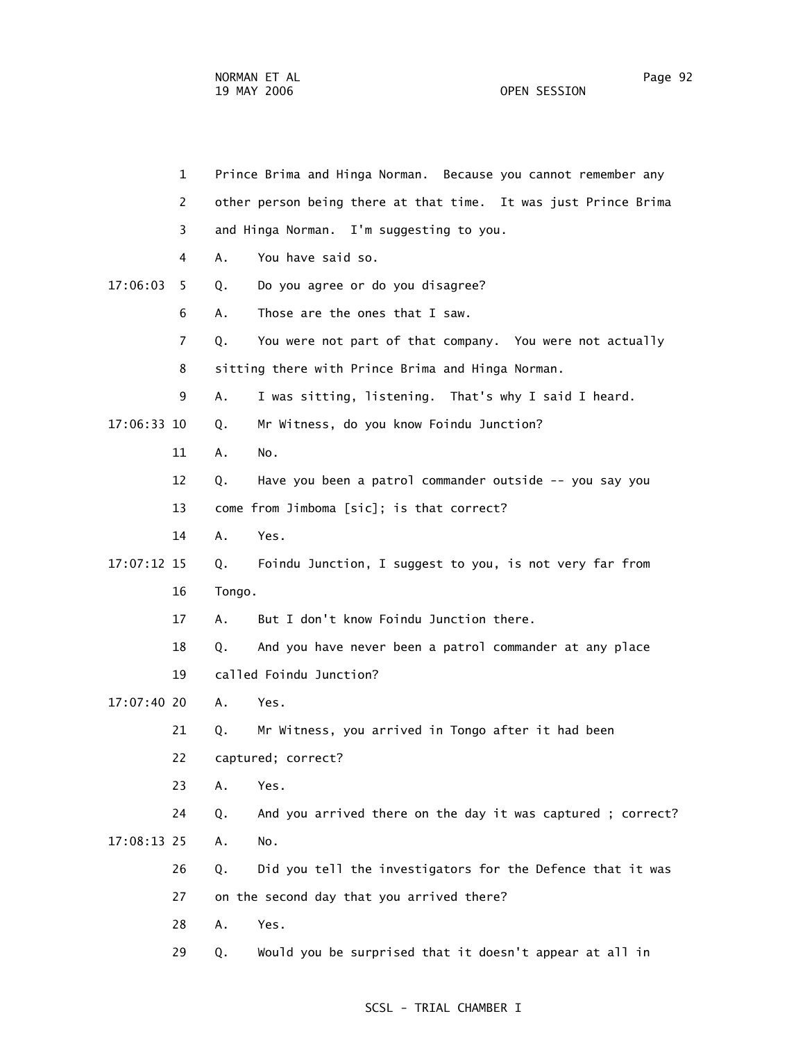|             | $\mathbf{1}$ |                         | Prince Brima and Hinga Norman. Because you cannot remember any  |  |
|-------------|--------------|-------------------------|-----------------------------------------------------------------|--|
|             | 2            |                         | other person being there at that time. It was just Prince Brima |  |
|             | 3            |                         | and Hinga Norman. I'm suggesting to you.                        |  |
|             | 4            | Α.                      | You have said so.                                               |  |
| 17:06:03    | 5            | Q.                      | Do you agree or do you disagree?                                |  |
|             | 6            | А.                      | Those are the ones that I saw.                                  |  |
|             | 7            | Q.                      | You were not part of that company. You were not actually        |  |
|             | 8            |                         | sitting there with Prince Brima and Hinga Norman.               |  |
|             | 9            | Α.                      | I was sitting, listening. That's why I said I heard.            |  |
| 17:06:33 10 |              | Q.                      | Mr Witness, do you know Foindu Junction?                        |  |
|             | 11           | Α.                      | No.                                                             |  |
|             | 12           | Q.                      | Have you been a patrol commander outside -- you say you         |  |
|             | 13           |                         | come from Jimboma [sic]; is that correct?                       |  |
|             | 14           | Α.                      | Yes.                                                            |  |
| 17:07:12 15 |              | Q.                      | Foindu Junction, I suggest to you, is not very far from         |  |
|             | 16           | Tongo.                  |                                                                 |  |
|             | 17           | A.                      | But I don't know Foindu Junction there.                         |  |
|             | 18           | Q.                      | And you have never been a patrol commander at any place         |  |
|             | 19           | called Foindu Junction? |                                                                 |  |
| 17:07:40 20 |              | A.                      | Yes.                                                            |  |
|             | 21           | Q.                      | Mr Witness, you arrived in Tongo after it had been              |  |
|             | 22           |                         | captured; correct?                                              |  |
|             | 23           | Α.                      | Yes.                                                            |  |
|             | 24           | Q.                      | And you arrived there on the day it was captured ; correct?     |  |
| 17:08:13 25 |              | Α.                      | No.                                                             |  |
|             | 26           | Q.                      | Did you tell the investigators for the Defence that it was      |  |
|             | 27           |                         | on the second day that you arrived there?                       |  |
|             | 28           | Α.                      | Yes.                                                            |  |
|             | 29           | Q.                      | Would you be surprised that it doesn't appear at all in         |  |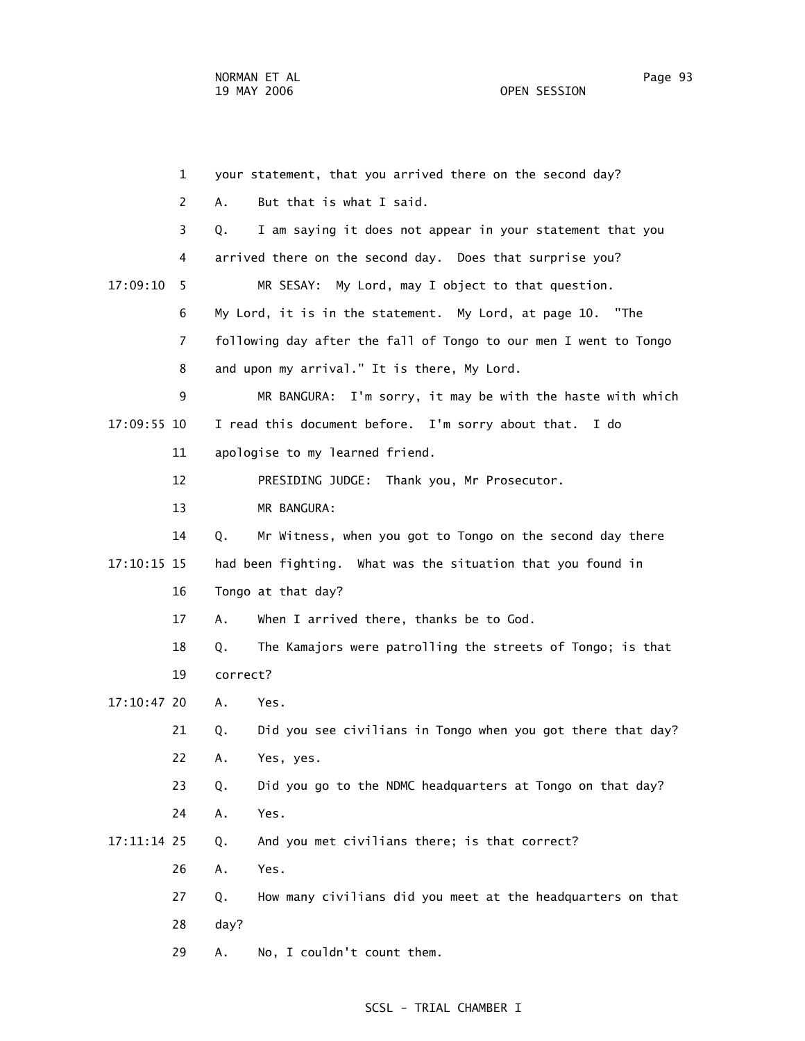1 your statement, that you arrived there on the second day? 2 A. But that is what I said. 3 Q. I am saying it does not appear in your statement that you 4 arrived there on the second day. Does that surprise you? 17:09:10 5 MR SESAY: My Lord, may I object to that question. 6 My Lord, it is in the statement. My Lord, at page 10. "The 7 following day after the fall of Tongo to our men I went to Tongo 8 and upon my arrival." It is there, My Lord. 9 MR BANGURA: I'm sorry, it may be with the haste with which 17:09:55 10 I read this document before. I'm sorry about that. I do 11 apologise to my learned friend. 12 PRESIDING JUDGE: Thank you, Mr Prosecutor. 13 MR BANGURA: 14 Q. Mr Witness, when you got to Tongo on the second day there 17:10:15 15 had been fighting. What was the situation that you found in 16 Tongo at that day? 17 A. When I arrived there, thanks be to God. 18 Q. The Kamajors were patrolling the streets of Tongo; is that 19 correct? 17:10:47 20 A. Yes. 21 Q. Did you see civilians in Tongo when you got there that day? 22 A. Yes, yes. 23 Q. Did you go to the NDMC headquarters at Tongo on that day? 24 A. Yes. 17:11:14 25 Q. And you met civilians there; is that correct? 26 A. Yes. 27 Q. How many civilians did you meet at the headquarters on that 28 day? 29 A. No, I couldn't count them.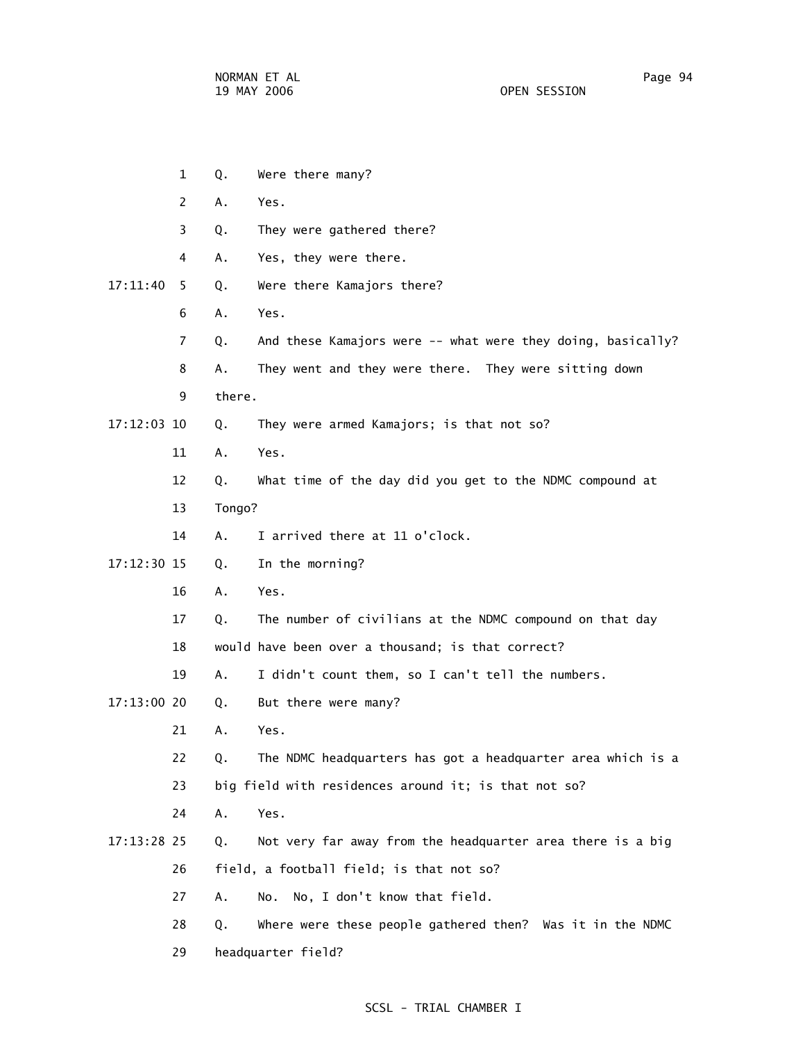1 Q. Were there many?

 2 A. Yes. 3 Q. They were gathered there? 4 A. Yes, they were there. 17:11:40 5 Q. Were there Kamajors there? 6 A. Yes. 7 Q. And these Kamajors were -- what were they doing, basically? 8 A. They went and they were there. They were sitting down 9 there. 17:12:03 10 Q. They were armed Kamajors; is that not so? 11 A. Yes. 12 Q. What time of the day did you get to the NDMC compound at 13 Tongo? 14 A. I arrived there at 11 o'clock. 17:12:30 15 Q. In the morning? 16 A. Yes. 17 Q. The number of civilians at the NDMC compound on that day 18 would have been over a thousand; is that correct? 19 A. I didn't count them, so I can't tell the numbers. 17:13:00 20 Q. But there were many? 21 A. Yes. 22 Q. The NDMC headquarters has got a headquarter area which is a 23 big field with residences around it; is that not so? 24 A. Yes. 17:13:28 25 Q. Not very far away from the headquarter area there is a big 26 field, a football field; is that not so? 27 A. No. No, I don't know that field. 28 Q. Where were these people gathered then? Was it in the NDMC 29 headquarter field?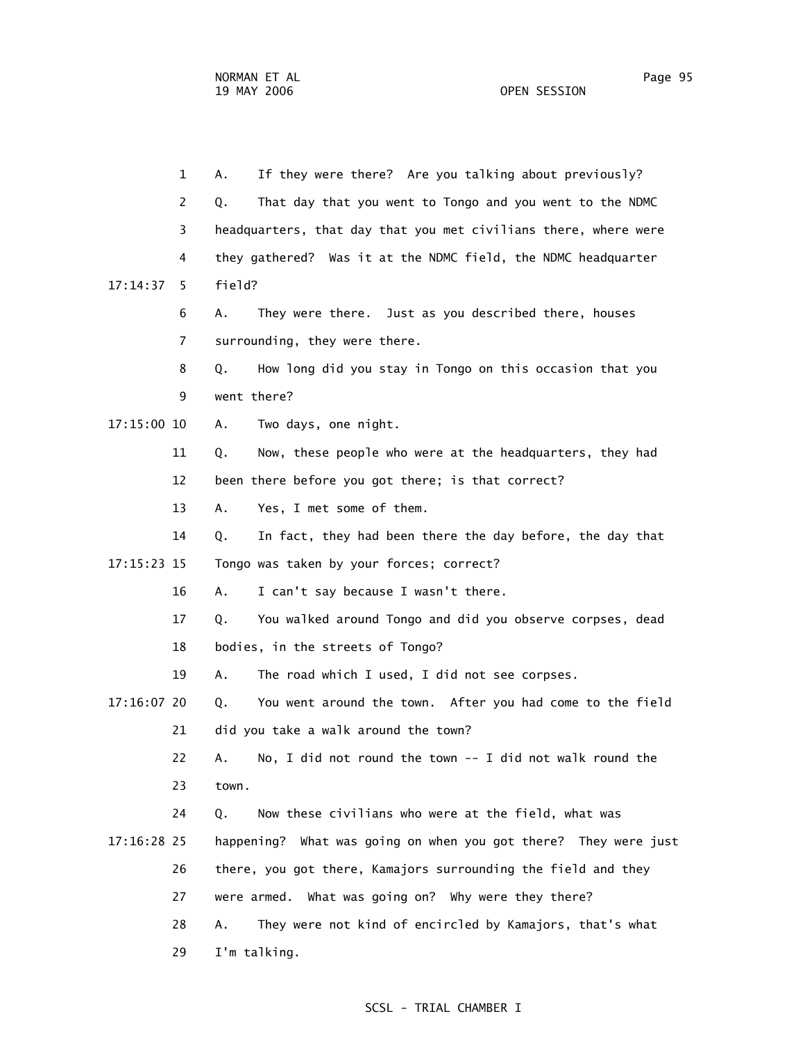1 A. If they were there? Are you talking about previously? 2 Q. That day that you went to Tongo and you went to the NDMC 3 headquarters, that day that you met civilians there, where were 4 they gathered? Was it at the NDMC field, the NDMC headquarter 17:14:37 5 field? 6 A. They were there. Just as you described there, houses 7 surrounding, they were there. 8 Q. How long did you stay in Tongo on this occasion that you 9 went there? 17:15:00 10 A. Two days, one night. 11 Q. Now, these people who were at the headquarters, they had 12 been there before you got there; is that correct? 13 A. Yes, I met some of them. 14 Q. In fact, they had been there the day before, the day that 17:15:23 15 Tongo was taken by your forces; correct? 16 A. I can't say because I wasn't there. 17 Q. You walked around Tongo and did you observe corpses, dead 18 bodies, in the streets of Tongo? 19 A. The road which I used, I did not see corpses. 17:16:07 20 Q. You went around the town. After you had come to the field 21 did you take a walk around the town? 22 A. No, I did not round the town -- I did not walk round the 23 town. 24 Q. Now these civilians who were at the field, what was 17:16:28 25 happening? What was going on when you got there? They were just 26 there, you got there, Kamajors surrounding the field and they 27 were armed. What was going on? Why were they there? 28 A. They were not kind of encircled by Kamajors, that's what 29 I'm talking.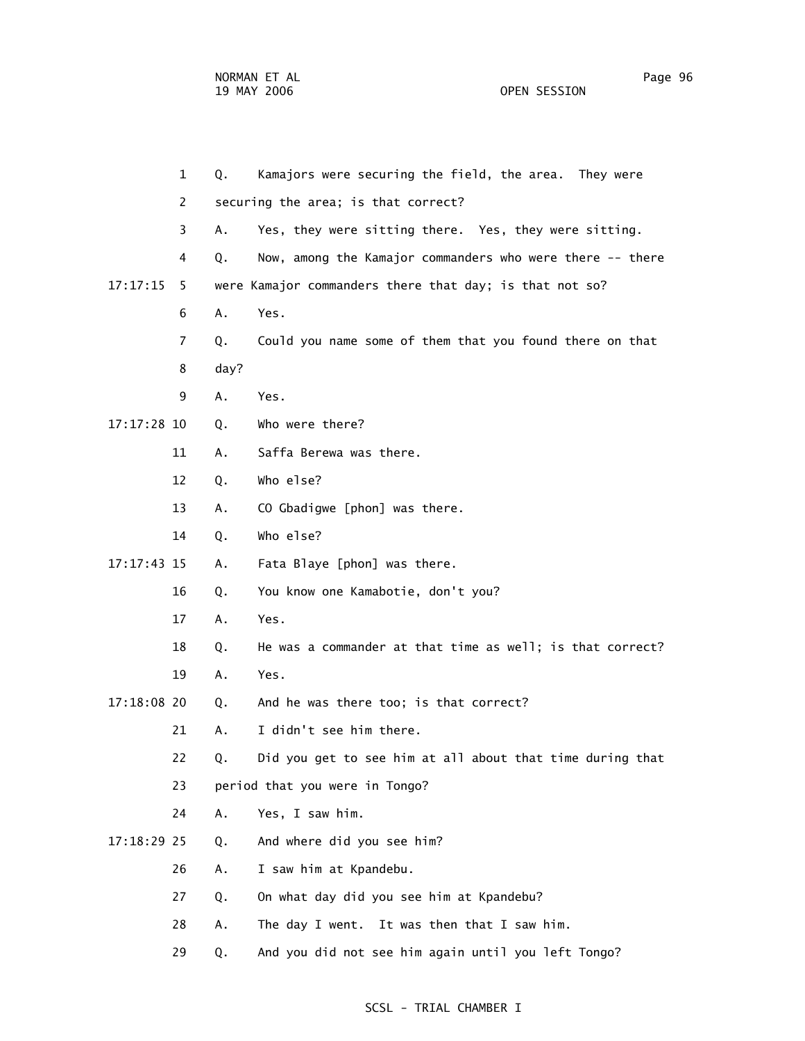| $\mathbf{1}$   | Kamajors were securing the field, the area. They were<br>Q.     |
|----------------|-----------------------------------------------------------------|
| 2              | securing the area; is that correct?                             |
| 3              | Yes, they were sitting there. Yes, they were sitting.<br>А.     |
| 4              | Now, among the Kamajor commanders who were there -- there<br>Q. |
| 17:17:15<br>-5 | were Kamajor commanders there that day; is that not so?         |
| 6              | Α.<br>Yes.                                                      |
| $\overline{7}$ | Could you name some of them that you found there on that<br>Q.  |
| 8              | day?                                                            |
| 9              | Yes.<br>Α.                                                      |
| 17:17:28 10    | Who were there?<br>Q.                                           |
| 11             | Saffa Berewa was there.<br>Α.                                   |
| 12             | Who else?<br>Q.                                                 |
| 13             | CO Gbadigwe [phon] was there.<br>Α.                             |
| 14             | Who else?<br>Q.                                                 |
| 17:17:43 15    | Fata Blaye [phon] was there.<br>Α.                              |
| 16             | You know one Kamabotie, don't you?<br>Q.                        |
| 17             | Yes.<br>Α.                                                      |
| 18             | He was a commander at that time as well; is that correct?<br>Q. |
| 19             | Yes.<br>Α.                                                      |
| 17:18:08 20    | And he was there too; is that correct?<br>Q.                    |
| 21             | I didn't see him there.<br>Α.                                   |
| 22             | Did you get to see him at all about that time during that<br>Q. |
| 23             | period that you were in Tongo?                                  |
| 24             | Yes, I saw him.<br>Α.                                           |
| 17:18:29 25    | And where did you see him?<br>Q.                                |
| 26             | I saw him at Kpandebu.<br>Α.                                    |
| 27             | On what day did you see him at Kpandebu?<br>Q.                  |
| 28             | The day I went. It was then that I saw him.<br>Α.               |
| 29             | And you did not see him again until you left Tongo?<br>Q.       |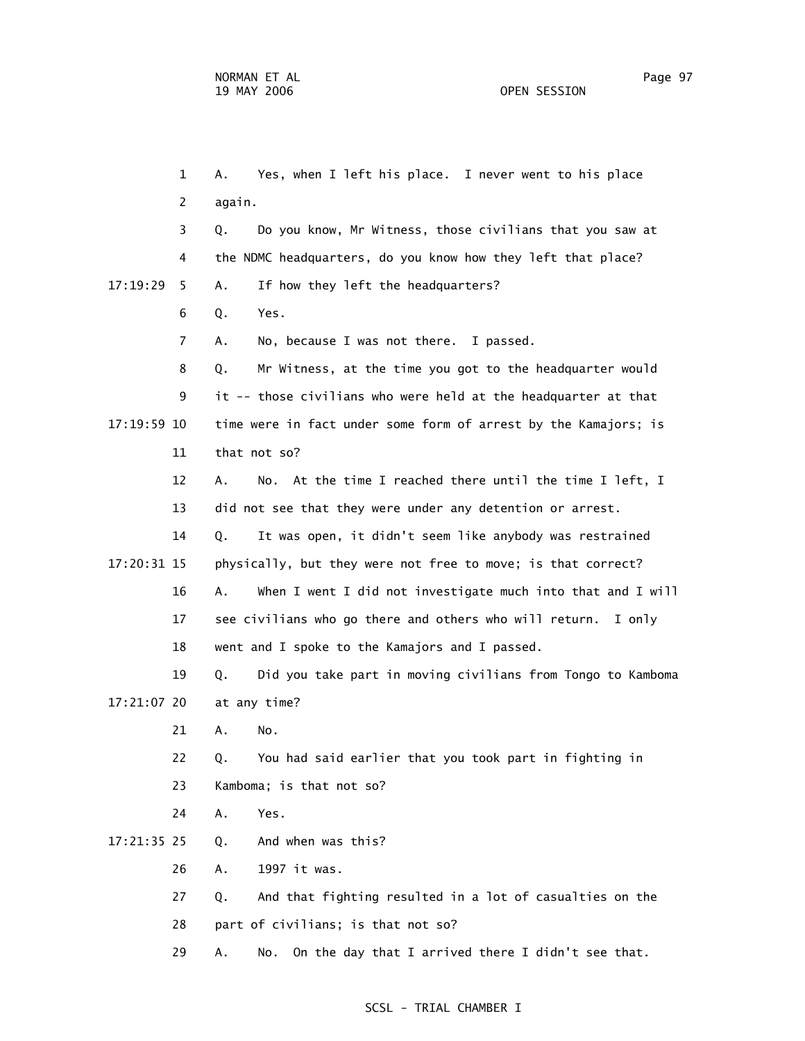1 A. Yes, when I left his place. I never went to his place 2 again. 3 Q. Do you know, Mr Witness, those civilians that you saw at 4 the NDMC headquarters, do you know how they left that place? 17:19:29 5 A. If how they left the headquarters? 6 Q. Yes. 7 A. No, because I was not there. I passed. 8 Q. Mr Witness, at the time you got to the headquarter would 9 it -- those civilians who were held at the headquarter at that 17:19:59 10 time were in fact under some form of arrest by the Kamajors; is 11 that not so? 12 A. No. At the time I reached there until the time I left, I 13 did not see that they were under any detention or arrest. 14 Q. It was open, it didn't seem like anybody was restrained 17:20:31 15 physically, but they were not free to move; is that correct? 16 A. When I went I did not investigate much into that and I will 17 see civilians who go there and others who will return. I only 18 went and I spoke to the Kamajors and I passed. 19 Q. Did you take part in moving civilians from Tongo to Kamboma 17:21:07 20 at any time? 21 A. No. 22 Q. You had said earlier that you took part in fighting in 23 Kamboma; is that not so? 24 A. Yes. 17:21:35 25 Q. And when was this? 26 A. 1997 it was. 27 Q. And that fighting resulted in a lot of casualties on the 28 part of civilians; is that not so? 29 A. No. On the day that I arrived there I didn't see that.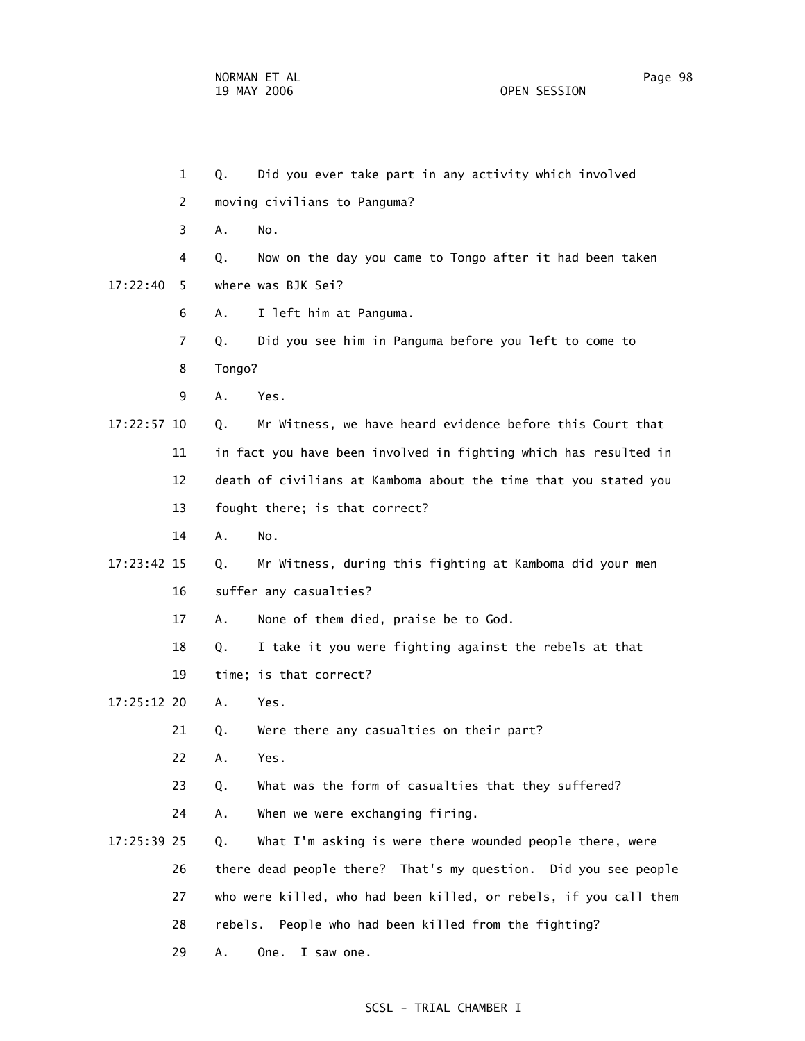1 Q. Did you ever take part in any activity which involved 2 moving civilians to Panguma? 3 A. No. 4 Q. Now on the day you came to Tongo after it had been taken 17:22:40 5 where was BJK Sei? 6 A. I left him at Panguma. 7 Q. Did you see him in Panguma before you left to come to 8 Tongo? 9 A. Yes. 17:22:57 10 Q. Mr Witness, we have heard evidence before this Court that 11 in fact you have been involved in fighting which has resulted in 12 death of civilians at Kamboma about the time that you stated you 13 fought there; is that correct? 14 A. No. 17:23:42 15 Q. Mr Witness, during this fighting at Kamboma did your men 16 suffer any casualties? 17 A. None of them died, praise be to God. 18 Q. I take it you were fighting against the rebels at that 19 time; is that correct? 17:25:12 20 A. Yes. 21 Q. Were there any casualties on their part? 22 A. Yes. 23 Q. What was the form of casualties that they suffered? 24 A. When we were exchanging firing. 17:25:39 25 Q. What I'm asking is were there wounded people there, were 26 there dead people there? That's my question. Did you see people 27 who were killed, who had been killed, or rebels, if you call them 28 rebels. People who had been killed from the fighting? 29 A. One. I saw one.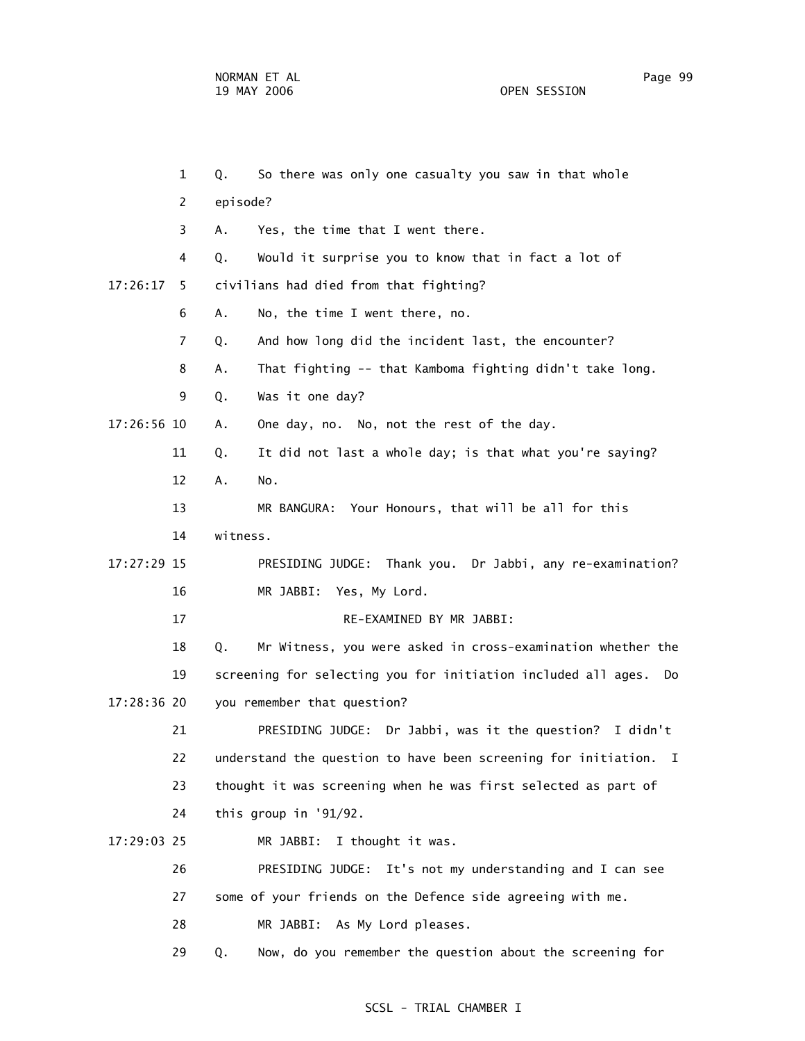1 Q. So there was only one casualty you saw in that whole 2 episode? 3 A. Yes, the time that I went there. 4 Q. Would it surprise you to know that in fact a lot of 17:26:17 5 civilians had died from that fighting? 6 A. No, the time I went there, no. 7 Q. And how long did the incident last, the encounter? 8 A. That fighting -- that Kamboma fighting didn't take long. 9 Q. Was it one day? 17:26:56 10 A. One day, no. No, not the rest of the day. 11 Q. It did not last a whole day; is that what you're saying? 12 A. No. 13 MR BANGURA: Your Honours, that will be all for this 14 witness. 17:27:29 15 PRESIDING JUDGE: Thank you. Dr Jabbi, any re-examination? 16 MR JABBI: Yes, My Lord. 17 RE-EXAMINED BY MR JABBI: 18 Q. Mr Witness, you were asked in cross-examination whether the 19 screening for selecting you for initiation included all ages. Do 17:28:36 20 you remember that question? 21 PRESIDING JUDGE: Dr Jabbi, was it the question? I didn't 22 understand the question to have been screening for initiation. I 23 thought it was screening when he was first selected as part of 24 this group in '91/92. 17:29:03 25 MR JABBI: I thought it was. 26 PRESIDING JUDGE: It's not my understanding and I can see 27 some of your friends on the Defence side agreeing with me. 28 MR JABBI: As My Lord pleases. 29 Q. Now, do you remember the question about the screening for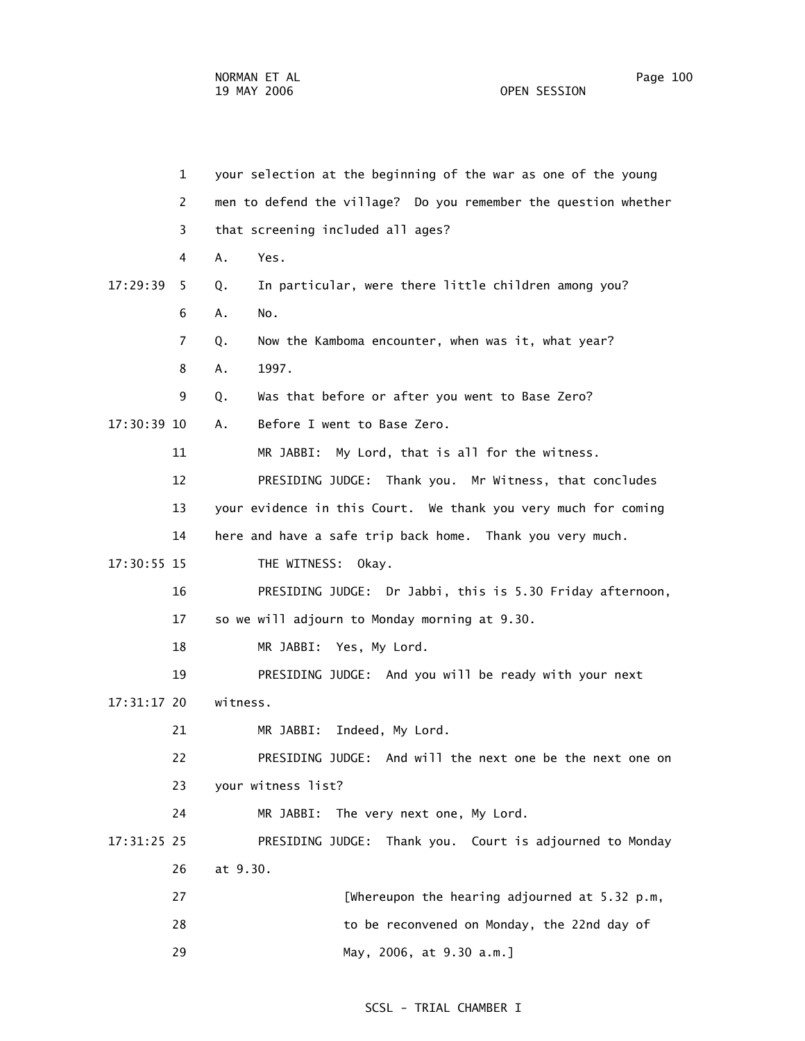1 your selection at the beginning of the war as one of the young 2 men to defend the village? Do you remember the question whether 3 that screening included all ages? 4 A. Yes. 17:29:39 5 Q. In particular, were there little children among you? 6 A. No. 7 Q. Now the Kamboma encounter, when was it, what year? 8 A. 1997. 9 Q. Was that before or after you went to Base Zero? 17:30:39 10 A. Before I went to Base Zero. 11 MR JABBI: My Lord, that is all for the witness. 12 PRESIDING JUDGE: Thank you. Mr Witness, that concludes 13 your evidence in this Court. We thank you very much for coming 14 here and have a safe trip back home. Thank you very much. 17:30:55 15 THE WITNESS: Okay. 16 PRESIDING JUDGE: Dr Jabbi, this is 5.30 Friday afternoon, 17 so we will adjourn to Monday morning at 9.30. 18 MR JABBI: Yes, My Lord. 19 PRESIDING JUDGE: And you will be ready with your next 17:31:17 20 witness. 21 MR JABBI: Indeed, My Lord. 22 PRESIDING JUDGE: And will the next one be the next one on 23 your witness list? 24 MR JABBI: The very next one, My Lord. 17:31:25 25 PRESIDING JUDGE: Thank you. Court is adjourned to Monday 26 at 9.30. 27 [Whereupon the hearing adjourned at 5.32 p.m, 28 to be reconvened on Monday, the 22nd day of 29 May, 2006, at 9.30 a.m.]